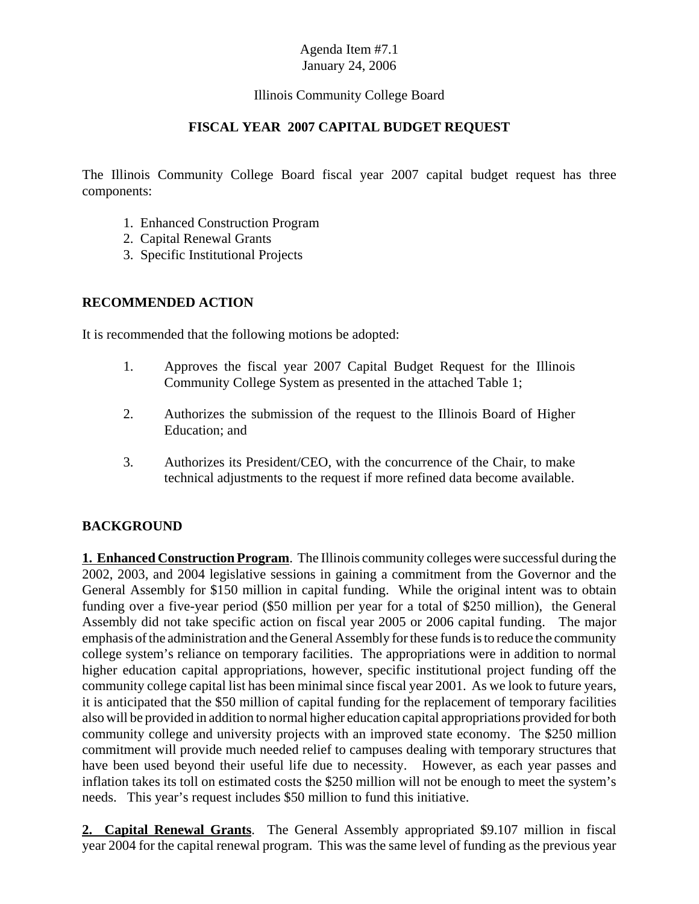#### Illinois Community College Board

#### **FISCAL YEAR 2007 CAPITAL BUDGET REQUEST**

The Illinois Community College Board fiscal year 2007 capital budget request has three components:

- 1. Enhanced Construction Program
- 2. Capital Renewal Grants
- 3. Specific Institutional Projects

#### **RECOMMENDED ACTION**

It is recommended that the following motions be adopted:

- 1. Approves the fiscal year 2007 Capital Budget Request for the Illinois Community College System as presented in the attached Table 1;
- 2. Authorizes the submission of the request to the Illinois Board of Higher Education; and
- 3. Authorizes its President/CEO, with the concurrence of the Chair, to make technical adjustments to the request if more refined data become available.

#### **BACKGROUND**

**1. Enhanced Construction Program**. The Illinois community colleges were successful during the 2002, 2003, and 2004 legislative sessions in gaining a commitment from the Governor and the General Assembly for \$150 million in capital funding. While the original intent was to obtain funding over a five-year period (\$50 million per year for a total of \$250 million), the General Assembly did not take specific action on fiscal year 2005 or 2006 capital funding. The major emphasis of the administration and the General Assembly for these funds is to reduce the community college system's reliance on temporary facilities. The appropriations were in addition to normal higher education capital appropriations, however, specific institutional project funding off the community college capital list has been minimal since fiscal year 2001. As we look to future years, it is anticipated that the \$50 million of capital funding for the replacement of temporary facilities also will be provided in addition to normal higher education capital appropriations provided for both community college and university projects with an improved state economy. The \$250 million commitment will provide much needed relief to campuses dealing with temporary structures that have been used beyond their useful life due to necessity. However, as each year passes and inflation takes its toll on estimated costs the \$250 million will not be enough to meet the system's needs. This year's request includes \$50 million to fund this initiative.

**2. Capital Renewal Grants**. The General Assembly appropriated \$9.107 million in fiscal year 2004 for the capital renewal program. This was the same level of funding as the previous year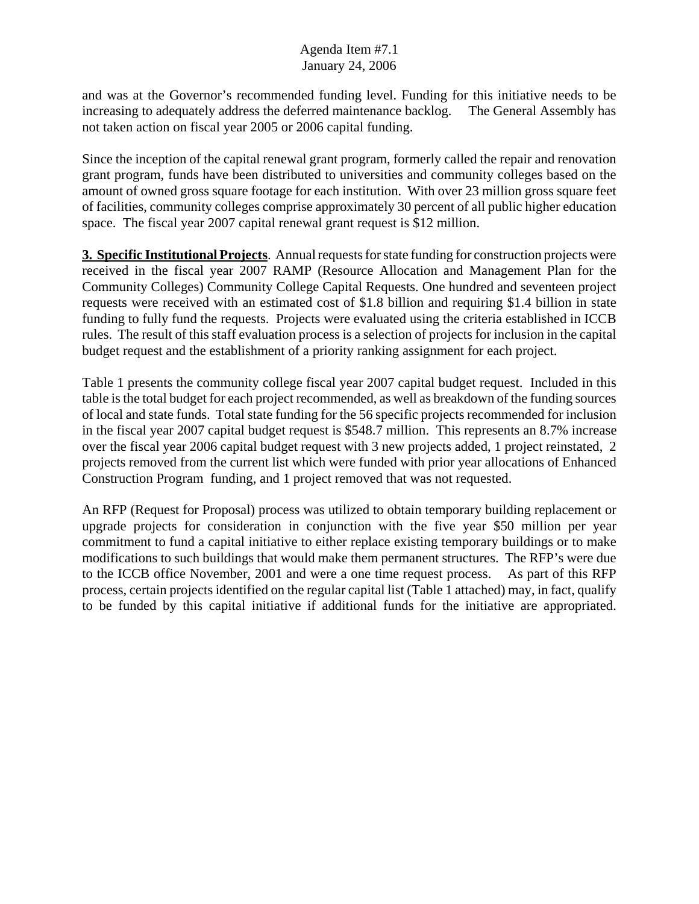and was at the Governor's recommended funding level. Funding for this initiative needs to be increasing to adequately address the deferred maintenance backlog. The General Assembly has not taken action on fiscal year 2005 or 2006 capital funding.

Since the inception of the capital renewal grant program, formerly called the repair and renovation grant program, funds have been distributed to universities and community colleges based on the amount of owned gross square footage for each institution. With over 23 million gross square feet of facilities, community colleges comprise approximately 30 percent of all public higher education space. The fiscal year 2007 capital renewal grant request is \$12 million.

**3. Specific Institutional Projects**. Annual requests for state funding for construction projects were received in the fiscal year 2007 RAMP (Resource Allocation and Management Plan for the Community Colleges) Community College Capital Requests. One hundred and seventeen project requests were received with an estimated cost of \$1.8 billion and requiring \$1.4 billion in state funding to fully fund the requests. Projects were evaluated using the criteria established in ICCB rules. The result of this staff evaluation process is a selection of projects for inclusion in the capital budget request and the establishment of a priority ranking assignment for each project.

Table 1 presents the community college fiscal year 2007 capital budget request. Included in this table is the total budget for each project recommended, as well as breakdown of the funding sources of local and state funds. Total state funding for the 56 specific projects recommended for inclusion in the fiscal year 2007 capital budget request is \$548.7 million. This represents an 8.7% increase over the fiscal year 2006 capital budget request with 3 new projects added, 1 project reinstated, 2 projects removed from the current list which were funded with prior year allocations of Enhanced Construction Program funding, and 1 project removed that was not requested.

An RFP (Request for Proposal) process was utilized to obtain temporary building replacement or upgrade projects for consideration in conjunction with the five year \$50 million per year commitment to fund a capital initiative to either replace existing temporary buildings or to make modifications to such buildings that would make them permanent structures. The RFP's were due to the ICCB office November, 2001 and were a one time request process. As part of this RFP process, certain projects identified on the regular capital list (Table 1 attached) may, in fact, qualify to be funded by this capital initiative if additional funds for the initiative are appropriated.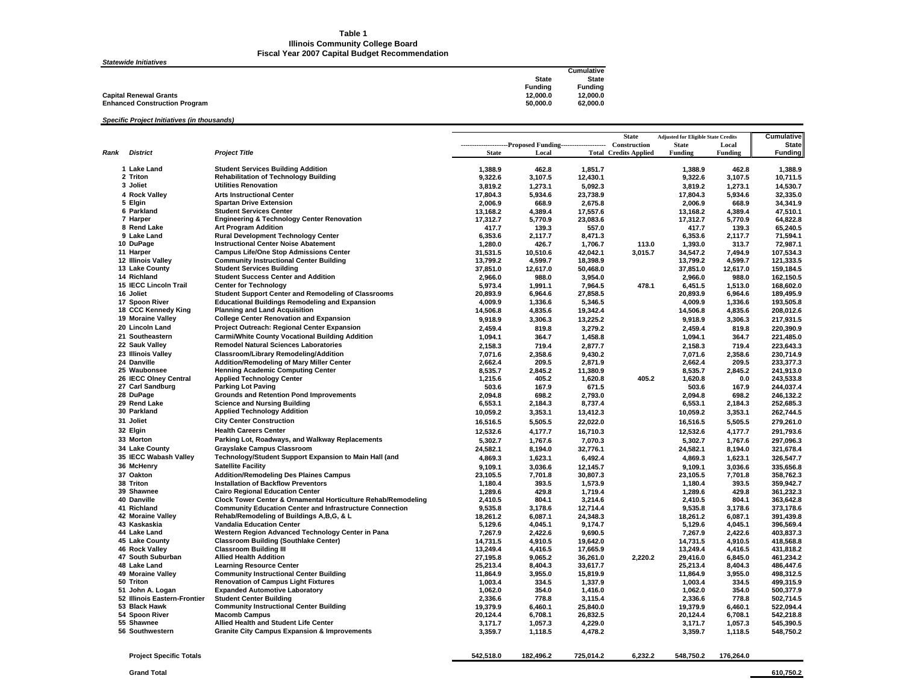#### **Table 1 Illinois Community College Board Fiscal Year 2007 Capital Budget Recommendation**

#### *Statewide Initiatives*

| Cumulative     |
|----------------|
| <b>State</b>   |
| <b>Fundina</b> |
| 12.000.0       |
| 62.000.0       |
|                |

#### *Specific Project Initiatives (in thousands)*

|      |                                                  |                                                                                       |                      |                                                           |                      | <b>State</b>                 | <b>Adjusted for Eligible State Credits</b> |                    | Cumulative             |
|------|--------------------------------------------------|---------------------------------------------------------------------------------------|----------------------|-----------------------------------------------------------|----------------------|------------------------------|--------------------------------------------|--------------------|------------------------|
|      |                                                  |                                                                                       |                      | ---------------------Proposed Funding-------------------- |                      | Construction                 | <b>State</b>                               | Local              | <b>State</b>           |
| Rank | <b>District</b>                                  | <b>Project Title</b>                                                                  | <b>State</b>         | Local                                                     |                      | <b>Total Credits Applied</b> | <b>Funding</b>                             | Funding            | <b>Funding</b>         |
|      | 1 Lake Land                                      | <b>Student Services Building Addition</b>                                             |                      |                                                           |                      |                              |                                            | 462.8              |                        |
|      | 2 Triton                                         | <b>Rehabilitation of Technology Building</b>                                          | 1,388.9<br>9,322.6   | 462.8<br>3,107.5                                          | 1,851.7<br>12,430.1  |                              | 1,388.9<br>9,322.6                         | 3,107.5            | 1,388.9<br>10,711.5    |
|      | 3 Joliet                                         | <b>Utilities Renovation</b>                                                           |                      |                                                           |                      |                              |                                            |                    |                        |
|      | 4 Rock Valley                                    | <b>Arts Instructional Center</b>                                                      | 3,819.2              | 1,273.1                                                   | 5,092.3              |                              | 3,819.2                                    | 1,273.1            | 14,530.7               |
|      |                                                  | <b>Spartan Drive Extension</b>                                                        | 17,804.3             | 5,934.6                                                   | 23,738.9             |                              | 17,804.3                                   | 5,934.6            | 32,335.0               |
|      | 5 Elgin<br>6 Parkland                            | <b>Student Services Center</b>                                                        | 2,006.9              | 668.9<br>4,389.4                                          | 2,675.8              |                              | 2,006.9<br>13,168.2                        | 668.9<br>4,389.4   | 34,341.9<br>47,510.1   |
|      | 7 Harper                                         | <b>Engineering &amp; Technology Center Renovation</b>                                 | 13,168.2             |                                                           | 17,557.6<br>23,083.6 |                              | 17,312.7                                   | 5,770.9            | 64,822.8               |
|      | 8 Rend Lake                                      | <b>Art Program Addition</b>                                                           | 17,312.7<br>417.7    | 5,770.9<br>139.3                                          | 557.0                |                              | 417.7                                      | 139.3              | 65,240.5               |
|      | 9 Lake Land                                      | <b>Rural Development Technology Center</b>                                            | 6,353.6              | 2,117.7                                                   | 8,471.3              |                              | 6,353.6                                    | 2,117.7            | 71,594.1               |
|      | 10 DuPage                                        | <b>Instructional Center Noise Abatement</b>                                           | 1,280.0              | 426.7                                                     | 1,706.7              | 113.0                        | 1,393.0                                    | 313.7              | 72,987.1               |
|      | 11 Harper                                        | <b>Campus Life/One Stop Admissions Center</b>                                         | 31,531.5             | 10,510.6                                                  | 42,042.1             | 3,015.7                      | 34,547.2                                   | 7,494.9            | 107,534.3              |
|      | 12 Illinois Valley                               | <b>Community Instructional Center Building</b>                                        | 13,799.2             | 4,599.7                                                   | 18,398.9             |                              | 13,799.2                                   | 4,599.7            | 121,333.5              |
|      | 13 Lake County                                   | <b>Student Services Building</b>                                                      | 37,851.0             | 12,617.0                                                  | 50,468.0             |                              | 37,851.0                                   | 12,617.0           | 159,184.5              |
|      | 14 Richland                                      | <b>Student Success Center and Addition</b>                                            | 2,966.0              | 988.0                                                     | 3,954.0              |                              | 2,966.0                                    | 988.0              | 162,150.5              |
|      | 15 IECC Lincoln Trail                            | <b>Center for Technology</b>                                                          | 5,973.4              | 1,991.1                                                   | 7,964.5              | 478.1                        | 6,451.5                                    | 1,513.0            | 168,602.0              |
|      | 16 Joliet                                        | <b>Student Support Center and Remodeling of Classrooms</b>                            | 20,893.9             | 6,964.6                                                   | 27,858.5             |                              | 20,893.9                                   | 6,964.6            | 189,495.9              |
|      | 17 Spoon River                                   | <b>Educational Buildings Remodeling and Expansion</b>                                 | 4,009.9              | 1,336.6                                                   | 5,346.5              |                              | 4,009.9                                    | 1,336.6            | 193,505.8              |
|      | 18 CCC Kennedy King                              | <b>Planning and Land Acquisition</b>                                                  | 14,506.8             | 4,835.6                                                   | 19,342.4             |                              | 14,506.8                                   | 4,835.6            | 208,012.6              |
|      | 19 Moraine Valley                                | <b>College Center Renovation and Expansion</b>                                        | 9,918.9              | 3,306.3                                                   | 13,225.2             |                              | 9,918.9                                    | 3,306.3            | 217,931.5              |
|      | 20 Lincoln Land                                  | Project Outreach: Regional Center Expansion                                           | 2,459.4              | 819.8                                                     | 3,279.2              |                              | 2,459.4                                    | 819.8              | 220,390.9              |
|      | 21 Southeastern                                  | <b>Carmi/White County Vocational Building Addition</b>                                |                      | 364.7                                                     |                      |                              |                                            | 364.7              |                        |
|      |                                                  |                                                                                       | 1,094.1              |                                                           | 1,458.8              |                              | 1,094.1                                    |                    | 221,485.0              |
|      | 22 Sauk Valley                                   | <b>Remodel Natural Sciences Laboratories</b>                                          | 2,158.3              | 719.4                                                     | 2,877.7              |                              | 2,158.3                                    | 719.4              | 223,643.3              |
|      | 23 Illinois Valley<br>24 Danville                | Classroom/Library Remodeling/Addition                                                 | 7,071.6              | 2,358.6                                                   | 9,430.2              |                              | 7,071.6                                    | 2,358.6            | 230,714.9              |
|      | 25 Waubonsee                                     | Addition/Remodeling of Mary Miller Center<br><b>Henning Academic Computing Center</b> | 2,662.4              | 209.5                                                     | 2,871.9              |                              | 2,662.4                                    | 209.5              | 233,377.3              |
|      | 26 IECC Olney Central                            | <b>Applied Technology Center</b>                                                      | 8,535.7              | 2,845.2                                                   | 11,380.9             | 405.2                        | 8,535.7                                    | 2,845.2            | 241,913.0<br>243.533.8 |
|      | 27 Carl Sandburg                                 | <b>Parking Lot Paving</b>                                                             | 1,215.6<br>503.6     | 405.2<br>167.9                                            | 1,620.8<br>671.5     |                              | 1,620.8<br>503.6                           | 0.0<br>167.9       | 244,037.4              |
|      | 28 DuPage                                        | <b>Grounds and Retention Pond Improvements</b>                                        | 2,094.8              | 698.2                                                     | 2,793.0              |                              | 2,094.8                                    | 698.2              |                        |
|      | 29 Rend Lake                                     | <b>Science and Nursing Building</b>                                                   | 6,553.1              | 2,184.3                                                   | 8,737.4              |                              | 6,553.1                                    | 2,184.3            | 246,132.2<br>252,685.3 |
|      | 30 Parkland                                      | <b>Applied Technology Addition</b>                                                    |                      |                                                           |                      |                              |                                            |                    |                        |
|      | 31 Joliet                                        | <b>City Center Construction</b>                                                       | 10,059.2             | 3,353.1                                                   | 13,412.3             |                              | 10,059.2                                   | 3,353.1            | 262,744.5              |
|      |                                                  |                                                                                       | 16,516.5             | 5,505.5                                                   | 22,022.0             |                              | 16,516.5                                   | 5,505.5            | 279,261.0              |
|      | 32 Elgin                                         | <b>Health Careers Center</b>                                                          | 12,532.6             | 4,177.7                                                   | 16,710.3             |                              | 12,532.6                                   | 4,177.7            | 291,793.6              |
|      | 33 Morton                                        | Parking Lot, Roadways, and Walkway Replacements                                       | 5,302.7              | 1,767.6                                                   | 7,070.3              |                              | 5,302.7                                    | 1,767.6            | 297,096.3              |
|      | 34 Lake County                                   | <b>Grayslake Campus Classroom</b>                                                     | 24,582.1             | 8,194.0                                                   | 32,776.1             |                              | 24,582.1                                   | 8,194.0            | 321,678.4              |
|      | 35 IECC Wabash Valley                            | Technology/Student Support Expansion to Main Hall (and                                | 4,869.3              | 1,623.1                                                   | 6,492.4              |                              | 4,869.3                                    | 1,623.1            | 326,547.7              |
|      | 36 McHenry                                       | <b>Satellite Facility</b>                                                             | 9,109.1              | 3,036.6                                                   | 12,145.7             |                              | 9,109.1                                    | 3,036.6            | 335,656.8              |
|      | 37 Oakton                                        | <b>Addition/Remodeling Des Plaines Campus</b>                                         | 23,105.5             | 7,701.8                                                   | 30,807.3             |                              | 23,105.5                                   | 7,701.8            | 358,762.3              |
|      | 38 Triton                                        | <b>Installation of Backflow Preventors</b>                                            | 1,180.4              | 393.5                                                     | 1,573.9              |                              | 1,180.4                                    | 393.5              | 359,942.7              |
|      | 39 Shawnee                                       | <b>Cairo Regional Education Center</b>                                                | 1,289.6              | 429.8                                                     | 1,719.4              |                              | 1,289.6                                    | 429.8              | 361,232.3              |
|      | 40 Danville                                      | Clock Tower Center & Ornamental Horticulture Rehab/Remodeling                         | 2,410.5              | 804.1                                                     | 3,214.6              |                              | 2,410.5                                    | 804.1              | 363,642.8              |
|      | 41 Richland                                      | <b>Community Education Center and Infrastructure Connection</b>                       | 9,535.8              | 3,178.6                                                   | 12,714.4             |                              | 9,535.8                                    | 3,178.6            | 373,178.6              |
|      | 42 Moraine Valley                                | Rehab/Remodeling of Buildings A,B,G, & L                                              | 18,261.2             | 6,087.1                                                   | 24,348.3             |                              | 18,261.2                                   | 6,087.1            | 391,439.8              |
|      | 43 Kaskaskia                                     | Vandalia Education Center                                                             | 5,129.6              | 4,045.1                                                   | 9,174.7              |                              | 5,129.6                                    | 4,045.1            | 396,569.4              |
|      | 44 Lake Land                                     | Western Region Advanced Technology Center in Pana                                     | 7,267.9              | 2,422.6                                                   | 9,690.5              |                              | 7,267.9                                    | 2,422.6            | 403,837.3              |
|      | 45 Lake County                                   | <b>Classroom Building (Southlake Center)</b>                                          | 14,731.5             | 4,910.5                                                   | 19,642.0             |                              | 14,731.5                                   | 4,910.5            | 418,568.8              |
|      | 46 Rock Valley                                   | <b>Classroom Building III</b>                                                         | 13,249.4             | 4,416.5                                                   | 17,665.9             |                              | 13,249.4                                   | 4,416.5            | 431,818.2              |
|      | 47 South Suburban                                | <b>Allied Health Addition</b>                                                         | 27,195.8             | 9,065.2                                                   | 36,261.0             | 2,220.2                      | 29,416.0                                   | 6,845.0            | 461,234.2              |
|      | 48 Lake Land                                     | <b>Learning Resource Center</b>                                                       | 25,213.4             | 8,404.3                                                   | 33,617.7             |                              | 25,213.4                                   | 8,404.3            | 486,447.6              |
|      | 49 Moraine Valley                                | <b>Community Instructional Center Building</b>                                        | 11,864.9             | 3,955.0                                                   | 15,819.9             |                              | 11,864.9                                   | 3,955.0            | 498,312.5              |
|      | 50 Triton                                        | <b>Renovation of Campus Light Fixtures</b><br><b>Expanded Automotive Laboratory</b>   | 1,003.4              | 334.5                                                     | 1,337.9              |                              | 1,003.4                                    | 334.5              | 499,315.9<br>500.377.9 |
|      | 51 John A. Logan<br>52 Illinois Eastern-Frontier |                                                                                       | 1,062.0              | 354.0<br>778.8                                            | 1,416.0              |                              | 1,062.0<br>2,336.6                         | 354.0<br>778.8     | 502,714.5              |
|      | 53 Black Hawk                                    | <b>Student Center Building</b><br><b>Community Instructional Center Building</b>      | 2,336.6              |                                                           | 3,115.4              |                              |                                            |                    |                        |
|      | 54 Spoon River                                   | <b>Macomb Campus</b>                                                                  | 19,379.9<br>20,124.4 | 6,460.1<br>6,708.1                                        | 25,840.0<br>26.832.5 |                              | 19,379.9<br>20,124.4                       | 6,460.1<br>6,708.1 | 522,094.4<br>542,218.8 |
|      | 55 Shawnee                                       | Allied Health and Student Life Center                                                 | 3,171.7              | 1,057.3                                                   | 4,229.0              |                              | 3,171.7                                    | 1,057.3            | 545,390.5              |
|      | 56 Southwestern                                  | <b>Granite City Campus Expansion &amp; Improvements</b>                               | 3,359.7              | 1,118.5                                                   | 4,478.2              |                              | 3,359.7                                    | 1,118.5            | 548,750.2              |
|      |                                                  |                                                                                       |                      |                                                           |                      |                              |                                            |                    |                        |
|      |                                                  |                                                                                       |                      |                                                           |                      |                              |                                            |                    |                        |

| <b>Project Specific</b><br>Totals | 542.518.0 | 182.496.2 | 725.014.2 | 6.232.2 | 548.750.2 | 176.264.0 |
|-----------------------------------|-----------|-----------|-----------|---------|-----------|-----------|
|                                   |           |           |           |         |           |           |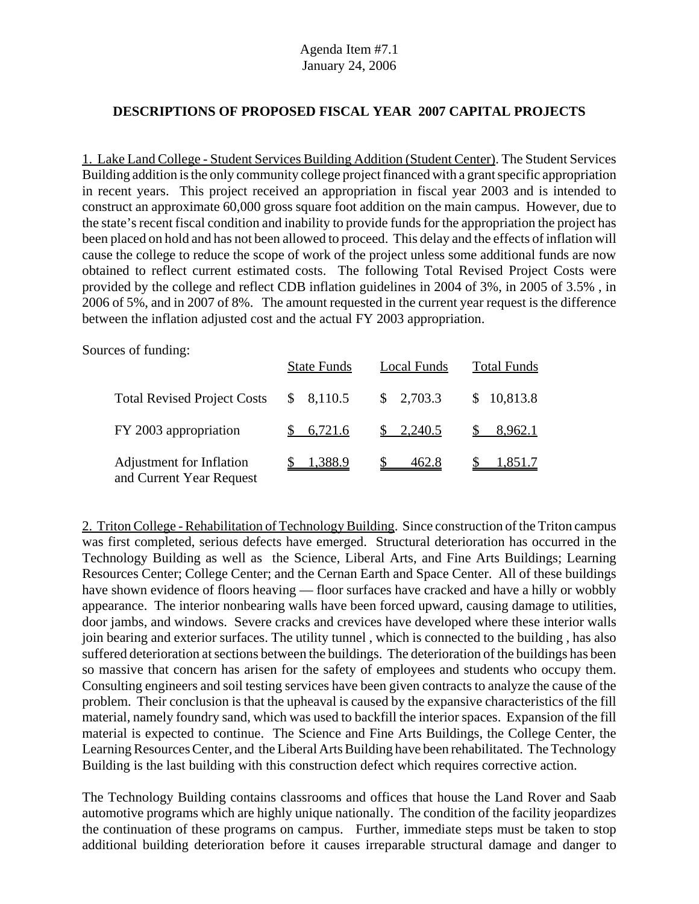#### **DESCRIPTIONS OF PROPOSED FISCAL YEAR 2007 CAPITAL PROJECTS**

1. Lake Land College - Student Services Building Addition (Student Center). The Student Services Building addition is the only community college project financed with a grant specific appropriation in recent years. This project received an appropriation in fiscal year 2003 and is intended to construct an approximate 60,000 gross square foot addition on the main campus. However, due to the state's recent fiscal condition and inability to provide funds for the appropriation the project has been placed on hold and has not been allowed to proceed. This delay and the effects of inflation will cause the college to reduce the scope of work of the project unless some additional funds are now obtained to reflect current estimated costs. The following Total Revised Project Costs were provided by the college and reflect CDB inflation guidelines in 2004 of 3%, in 2005 of 3.5% , in 2006 of 5%, and in 2007 of 8%. The amount requested in the current year request is the difference between the inflation adjusted cost and the actual FY 2003 appropriation.

Sources of funding:

|                                                      | <b>State Funds</b> | Local Funds          | <b>Total Funds</b>   |
|------------------------------------------------------|--------------------|----------------------|----------------------|
| <b>Total Revised Project Costs</b>                   | \$8,110.5          | $\frac{\$}{2,703.3}$ | \$10,813.8           |
| FY 2003 appropriation                                | \$6,721.6          | $\frac{\$}{2,240.5}$ | $\$\,8.962.1$        |
| Adjustment for Inflation<br>and Current Year Request | \$1,388.9          | $\$\,$ 462.8         | $\frac{\$}{1,851.7}$ |

2. Triton College - Rehabilitation of Technology Building. Since construction of the Triton campus was first completed, serious defects have emerged. Structural deterioration has occurred in the Technology Building as well as the Science, Liberal Arts, and Fine Arts Buildings; Learning Resources Center; College Center; and the Cernan Earth and Space Center. All of these buildings have shown evidence of floors heaving — floor surfaces have cracked and have a hilly or wobbly appearance. The interior nonbearing walls have been forced upward, causing damage to utilities, door jambs, and windows. Severe cracks and crevices have developed where these interior walls join bearing and exterior surfaces. The utility tunnel , which is connected to the building , has also suffered deterioration at sections between the buildings. The deterioration of the buildings has been so massive that concern has arisen for the safety of employees and students who occupy them. Consulting engineers and soil testing services have been given contracts to analyze the cause of the problem. Their conclusion is that the upheaval is caused by the expansive characteristics of the fill material, namely foundry sand, which was used to backfill the interior spaces. Expansion of the fill material is expected to continue. The Science and Fine Arts Buildings, the College Center, the Learning Resources Center, and the Liberal Arts Building have been rehabilitated. The Technology Building is the last building with this construction defect which requires corrective action.

The Technology Building contains classrooms and offices that house the Land Rover and Saab automotive programs which are highly unique nationally. The condition of the facility jeopardizes the continuation of these programs on campus. Further, immediate steps must be taken to stop additional building deterioration before it causes irreparable structural damage and danger to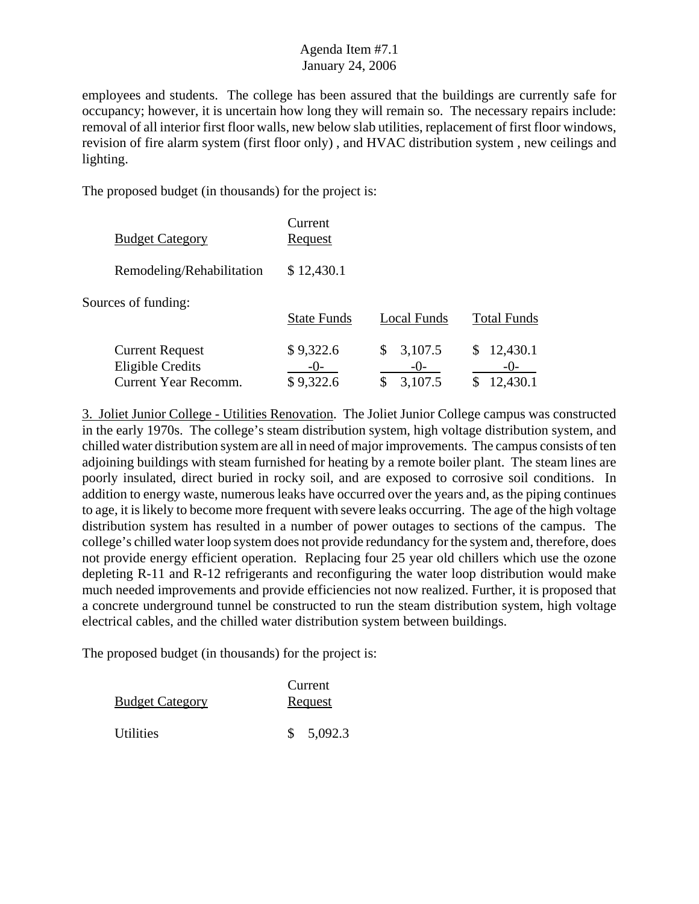employees and students. The college has been assured that the buildings are currently safe for occupancy; however, it is uncertain how long they will remain so. The necessary repairs include: removal of all interior first floor walls, new below slab utilities, replacement of first floor windows, revision of fire alarm system (first floor only) , and HVAC distribution system , new ceilings and lighting.

The proposed budget (in thousands) for the project is:

| <b>Budget Category</b>                                                           | Current<br>Request              |                                   |                                      |
|----------------------------------------------------------------------------------|---------------------------------|-----------------------------------|--------------------------------------|
| Remodeling/Rehabilitation                                                        | \$12,430.1                      |                                   |                                      |
| Sources of funding:                                                              | <b>State Funds</b>              | Local Funds                       | <b>Total Funds</b>                   |
| <b>Current Request</b><br><b>Eligible Credits</b><br><b>Current Year Recomm.</b> | \$9,322.6<br>$-()$<br>\$9,322.6 | 3,107.5<br>\$<br>$-()$<br>3,107.5 | 12,430.1<br>\$.<br>$-()$<br>12,430.1 |

3. Joliet Junior College - Utilities Renovation. The Joliet Junior College campus was constructed in the early 1970s. The college's steam distribution system, high voltage distribution system, and chilled water distribution system are all in need of major improvements. The campus consists of ten adjoining buildings with steam furnished for heating by a remote boiler plant. The steam lines are poorly insulated, direct buried in rocky soil, and are exposed to corrosive soil conditions. In addition to energy waste, numerous leaks have occurred over the years and, as the piping continues to age, it is likely to become more frequent with severe leaks occurring. The age of the high voltage distribution system has resulted in a number of power outages to sections of the campus. The college's chilled water loop system does not provide redundancy for the system and, therefore, does not provide energy efficient operation. Replacing four 25 year old chillers which use the ozone depleting R-11 and R-12 refrigerants and reconfiguring the water loop distribution would make much needed improvements and provide efficiencies not now realized. Further, it is proposed that a concrete underground tunnel be constructed to run the steam distribution system, high voltage electrical cables, and the chilled water distribution system between buildings.

| <b>Budget Category</b>         | Current<br>Request |
|--------------------------------|--------------------|
| <i><u><b>Utilities</b></u></i> | \$5,092.3          |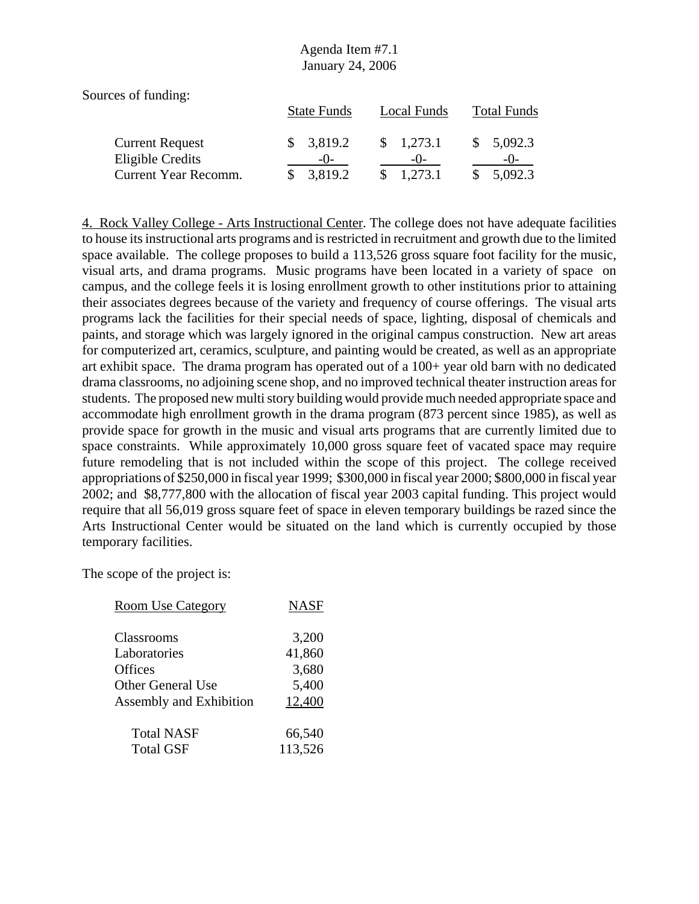| Sources of funding:    |                    |                     |                    |
|------------------------|--------------------|---------------------|--------------------|
|                        | <b>State Funds</b> | Local Funds         | <b>Total Funds</b> |
| <b>Current Request</b> | 3,819.2            | $\frac{1,273.1}{2}$ | 5,092.3            |
| Eligible Credits       | $-()$              | $-()$               | $-()$              |
| Current Year Recomm.   | 3,819.2            | 1,273.1             | 5,092.3            |

4. Rock Valley College - Arts Instructional Center. The college does not have adequate facilities to house its instructional arts programs and is restricted in recruitment and growth due to the limited space available. The college proposes to build a 113,526 gross square foot facility for the music, visual arts, and drama programs. Music programs have been located in a variety of space on campus, and the college feels it is losing enrollment growth to other institutions prior to attaining their associates degrees because of the variety and frequency of course offerings. The visual arts programs lack the facilities for their special needs of space, lighting, disposal of chemicals and paints, and storage which was largely ignored in the original campus construction. New art areas for computerized art, ceramics, sculpture, and painting would be created, as well as an appropriate art exhibit space. The drama program has operated out of a 100+ year old barn with no dedicated drama classrooms, no adjoining scene shop, and no improved technical theater instruction areas for students. The proposed new multi story building would provide much needed appropriate space and accommodate high enrollment growth in the drama program (873 percent since 1985), as well as provide space for growth in the music and visual arts programs that are currently limited due to space constraints. While approximately 10,000 gross square feet of vacated space may require future remodeling that is not included within the scope of this project. The college received appropriations of \$250,000 in fiscal year 1999; \$300,000 in fiscal year 2000; \$800,000 in fiscal year 2002; and \$8,777,800 with the allocation of fiscal year 2003 capital funding. This project would require that all 56,019 gross square feet of space in eleven temporary buildings be razed since the Arts Instructional Center would be situated on the land which is currently occupied by those temporary facilities.

The scope of the project is:

| <b>Room Use Category</b>       | <b>NASF</b> |
|--------------------------------|-------------|
| Classrooms                     | 3,200       |
| Laboratories                   | 41,860      |
| <b>Offices</b>                 | 3,680       |
| <b>Other General Use</b>       | 5,400       |
| <b>Assembly and Exhibition</b> | 12,400      |
| <b>Total NASF</b>              | 66,540      |
| <b>Total GSF</b>               | 113,526     |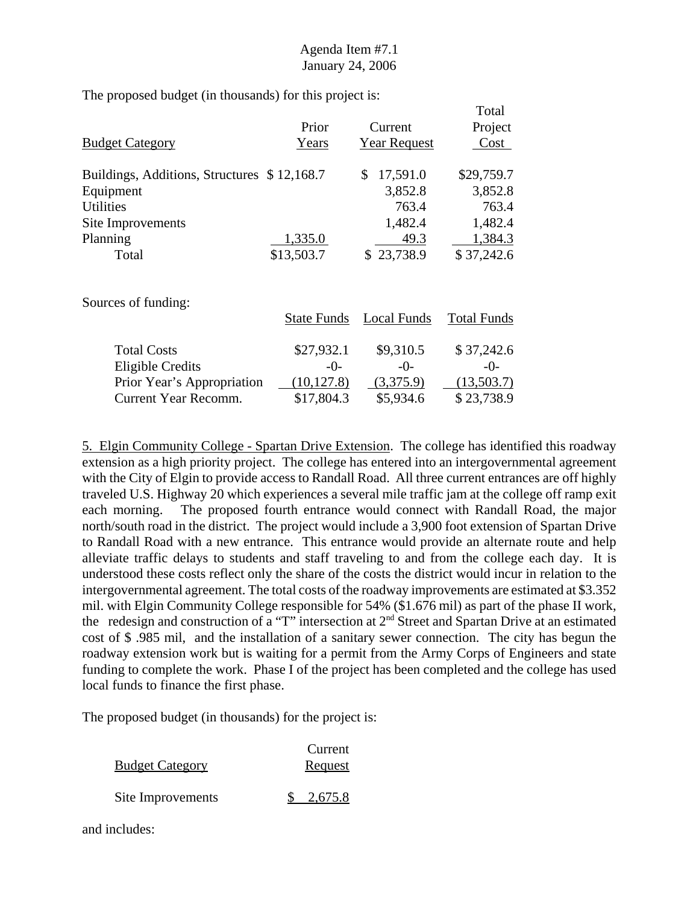The proposed budget (in thousands) for this project is:

|                                             |            |                     | Total      |
|---------------------------------------------|------------|---------------------|------------|
|                                             | Prior      | Current             | Project    |
| <b>Budget Category</b>                      | Years      | <b>Year Request</b> | Cost       |
| Buildings, Additions, Structures \$12,168.7 |            | 17,591.0<br>S       | \$29,759.7 |
| Equipment                                   |            | 3,852.8             | 3,852.8    |
| <b>Utilities</b>                            |            | 763.4               | 763.4      |
| Site Improvements                           |            | 1,482.4             | 1,482.4    |
| Planning                                    | 1,335.0    | 49.3                | 1,384.3    |
| Total                                       | \$13,503.7 | \$23,738.9          | \$37,242.6 |
| Sources of funding:                         |            |                     |            |

|                            | <b>State Funds</b> | Local Funds | <b>Total Funds</b> |
|----------------------------|--------------------|-------------|--------------------|
| <b>Total Costs</b>         | \$27,932.1         | \$9,310.5   | \$37,242.6         |
| <b>Eligible Credits</b>    | $-0-$              | $-0-$       | $-\Omega$ -        |
| Prior Year's Appropriation | (10, 127.8)        | (3,375.9)   | (13,503.7)         |
| Current Year Recomm.       | \$17,804.3         | \$5,934.6   | \$23,738.9         |

5. Elgin Community College - Spartan Drive Extension. The college has identified this roadway extension as a high priority project. The college has entered into an intergovernmental agreement with the City of Elgin to provide access to Randall Road. All three current entrances are off highly traveled U.S. Highway 20 which experiences a several mile traffic jam at the college off ramp exit each morning. The proposed fourth entrance would connect with Randall Road, the major north/south road in the district. The project would include a 3,900 foot extension of Spartan Drive to Randall Road with a new entrance. This entrance would provide an alternate route and help alleviate traffic delays to students and staff traveling to and from the college each day. It is understood these costs reflect only the share of the costs the district would incur in relation to the intergovernmental agreement. The total costs of the roadway improvements are estimated at \$3.352 mil. with Elgin Community College responsible for 54% (\$1.676 mil) as part of the phase II work, the redesign and construction of a "T" intersection at 2nd Street and Spartan Drive at an estimated cost of \$ .985 mil, and the installation of a sanitary sewer connection. The city has begun the roadway extension work but is waiting for a permit from the Army Corps of Engineers and state funding to complete the work. Phase I of the project has been completed and the college has used local funds to finance the first phase.

The proposed budget (in thousands) for the project is:

| <b>Budget Category</b> | Current<br><b>Request</b> |
|------------------------|---------------------------|
| Site Improvements      | 2,675.8                   |

and includes: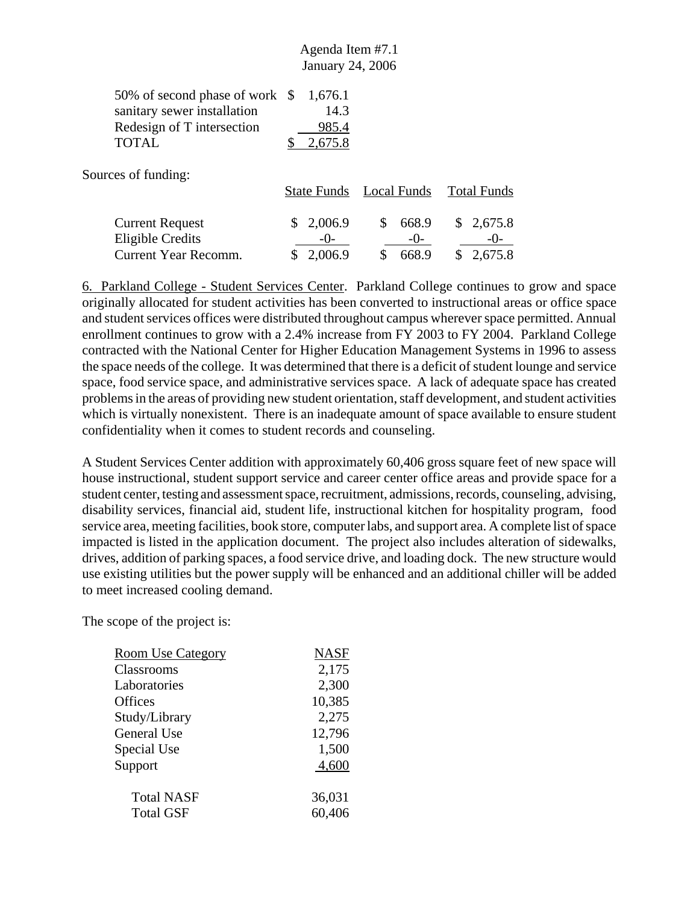|                                                                                                                                      | Agenda Item #7.1<br>January 24, 2006 |
|--------------------------------------------------------------------------------------------------------------------------------------|--------------------------------------|
| 50% of second phase of work $$1,676.1$<br>sanitary sewer installation<br>Redesign of T intersection<br><b>TOTAL</b><br>$\sim$ $\sim$ | 14.3<br>985.4<br>2,675.8             |

Sources of funding:

|                                            |                    | State Funds Local Funds Total Funds |                    |
|--------------------------------------------|--------------------|-------------------------------------|--------------------|
| <b>Current Request</b><br>Eligible Credits | \$2,006.9<br>$-()$ | 668.9<br>S.<br>$-()$                | \$2,675.8<br>$-()$ |
| Current Year Recomm.                       | \$2,006.9          | 668.9                               | \$2,675.8          |
|                                            |                    |                                     |                    |

6. Parkland College - Student Services Center. Parkland College continues to grow and space originally allocated for student activities has been converted to instructional areas or office space and student services offices were distributed throughout campus wherever space permitted. Annual enrollment continues to grow with a 2.4% increase from FY 2003 to FY 2004. Parkland College contracted with the National Center for Higher Education Management Systems in 1996 to assess the space needs of the college. It was determined that there is a deficit of student lounge and service space, food service space, and administrative services space. A lack of adequate space has created problems in the areas of providing new student orientation, staff development, and student activities which is virtually nonexistent. There is an inadequate amount of space available to ensure student confidentiality when it comes to student records and counseling.

A Student Services Center addition with approximately 60,406 gross square feet of new space will house instructional, student support service and career center office areas and provide space for a student center, testing and assessment space, recruitment, admissions, records, counseling, advising, disability services, financial aid, student life, instructional kitchen for hospitality program, food service area, meeting facilities, book store, computer labs, and support area. A complete list of space impacted is listed in the application document. The project also includes alteration of sidewalks, drives, addition of parking spaces, a food service drive, and loading dock. The new structure would use existing utilities but the power supply will be enhanced and an additional chiller will be added to meet increased cooling demand.

The scope of the project is:

| <b>Room Use Category</b> | <b>NASF</b> |
|--------------------------|-------------|
| Classrooms               | 2,175       |
| Laboratories             | 2,300       |
| <b>Offices</b>           | 10,385      |
| Study/Library            | 2,275       |
| <b>General Use</b>       | 12,796      |
| Special Use              | 1,500       |
| Support                  | 4,600       |
| <b>Total NASF</b>        | 36,031      |
| <b>Total GSF</b>         | 60,406      |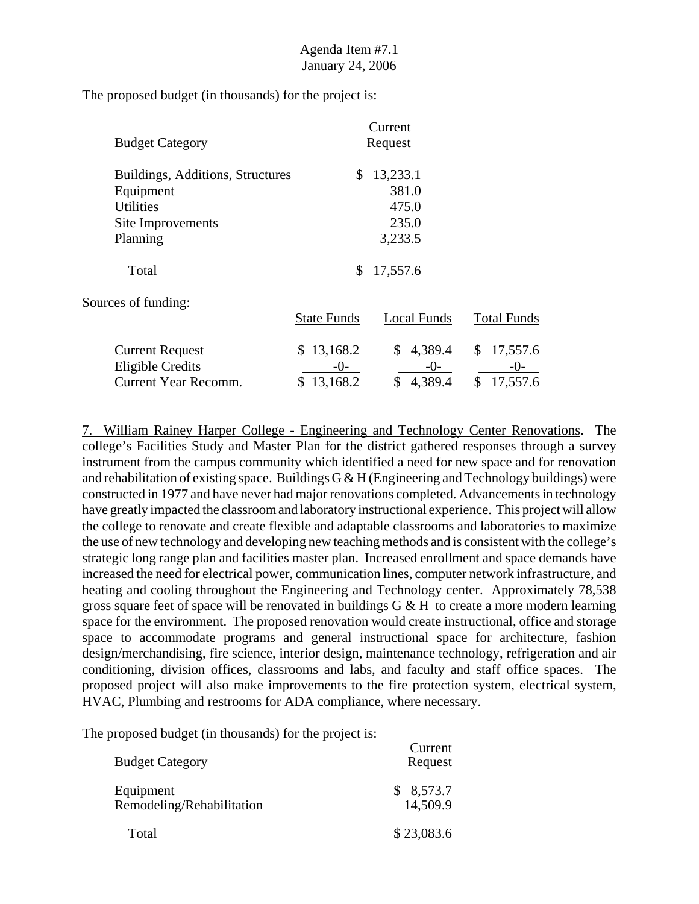The proposed budget (in thousands) for the project is:

| <b>Budget Category</b>                                            | Current<br><u>Request</u> |                            |                        |
|-------------------------------------------------------------------|---------------------------|----------------------------|------------------------|
| Buildings, Additions, Structures<br>Equipment<br><b>Utilities</b> | \$                        | 13,233.1<br>381.0<br>475.0 |                        |
| Site Improvements                                                 |                           | 235.0                      |                        |
| Planning<br>Total                                                 | \$                        | 3,233.5<br>17,557.6        |                        |
| Sources of funding:                                               |                           |                            |                        |
|                                                                   | <b>State Funds</b>        | <b>Local Funds</b>         | <b>Total Funds</b>     |
| <b>Current Request</b><br><b>Eligible Credits</b>                 | \$13,168.2<br>$-()$       | 4,389.4<br>\$<br>$-0-$     | \$<br>17,557.6<br>-()- |
| Current Year Recomm.                                              | \$13,168.2                | 4,389.4<br>\$              | \$<br>17,557.6         |

7. William Rainey Harper College - Engineering and Technology Center Renovations. The college's Facilities Study and Master Plan for the district gathered responses through a survey instrument from the campus community which identified a need for new space and for renovation and rehabilitation of existing space. Buildings G & H (Engineering and Technology buildings) were constructed in 1977 and have never had major renovations completed. Advancements in technology have greatly impacted the classroom and laboratory instructional experience. This project will allow the college to renovate and create flexible and adaptable classrooms and laboratories to maximize the use of new technology and developing new teaching methods and is consistent with the college's strategic long range plan and facilities master plan. Increased enrollment and space demands have increased the need for electrical power, communication lines, computer network infrastructure, and heating and cooling throughout the Engineering and Technology center. Approximately 78,538 gross square feet of space will be renovated in buildings  $G \& H$  to create a more modern learning space for the environment. The proposed renovation would create instructional, office and storage space to accommodate programs and general instructional space for architecture, fashion design/merchandising, fire science, interior design, maintenance technology, refrigeration and air conditioning, division offices, classrooms and labs, and faculty and staff office spaces. The proposed project will also make improvements to the fire protection system, electrical system, HVAC, Plumbing and restrooms for ADA compliance, where necessary.

| <b>Budget Category</b>                 | Current<br>Request    |
|----------------------------------------|-----------------------|
| Equipment<br>Remodeling/Rehabilitation | \$8,573.7<br>14,509.9 |
| Total                                  | \$23,083.6            |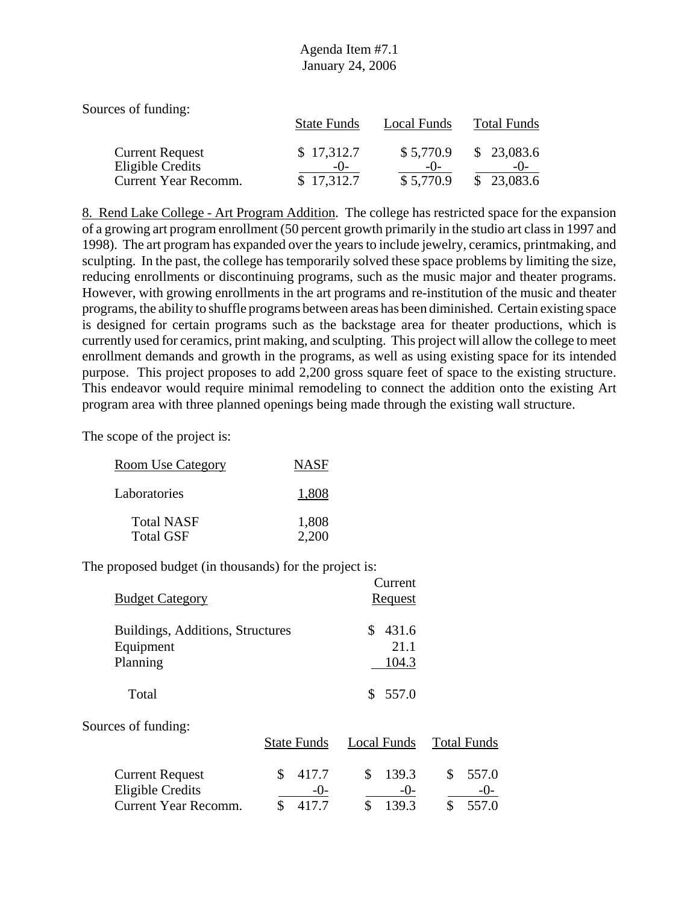| Sources of funding:                        |                     |                    |                          |
|--------------------------------------------|---------------------|--------------------|--------------------------|
|                                            | <b>State Funds</b>  | Local Funds        | <b>Total Funds</b>       |
| <b>Current Request</b><br>Eligible Credits | \$17,312.7<br>$-()$ | \$5,770.9<br>$-()$ | \$23,083.6<br>$-()$      |
| <b>Current Year Recomm.</b>                | \$17,312.7          | \$5,770.9          | 23,083.6<br>$\mathbb{S}$ |

8. Rend Lake College - Art Program Addition. The college has restricted space for the expansion of a growing art program enrollment (50 percent growth primarily in the studio art class in 1997 and 1998). The art program has expanded over the years to include jewelry, ceramics, printmaking, and sculpting. In the past, the college has temporarily solved these space problems by limiting the size, reducing enrollments or discontinuing programs, such as the music major and theater programs. However, with growing enrollments in the art programs and re-institution of the music and theater programs, the ability to shuffle programs between areas has been diminished. Certain existing space is designed for certain programs such as the backstage area for theater productions, which is currently used for ceramics, print making, and sculpting. This project will allow the college to meet enrollment demands and growth in the programs, as well as using existing space for its intended purpose. This project proposes to add 2,200 gross square feet of space to the existing structure. This endeavor would require minimal remodeling to connect the addition onto the existing Art program area with three planned openings being made through the existing wall structure.

Current

The scope of the project is:

| <u>Room Use Category</u>              | <b>NASF</b>    |
|---------------------------------------|----------------|
| Laboratories                          | 1,808          |
| <b>Total NASF</b><br><b>Total GSF</b> | 1,808<br>2.200 |

| <b>Budget Category</b>                                                    |                                     | <b>Culture</b><br><b>Request</b>    |                                       |
|---------------------------------------------------------------------------|-------------------------------------|-------------------------------------|---------------------------------------|
| Buildings, Additions, Structures<br>Equipment<br>Planning                 |                                     | \$<br>431.6<br>21.1<br>104.3        |                                       |
| Total                                                                     |                                     | 557.0<br>S.                         |                                       |
| Sources of funding:                                                       | <b>State Funds</b>                  | Local Funds                         | <b>Total Funds</b>                    |
| <b>Current Request</b><br><b>Eligible Credits</b><br>Current Year Recomm. | 417.7<br>\$<br>$-()$<br>\$<br>417.7 | \$<br>139.3<br>$-0-$<br>\$<br>139.3 | \$<br>557.0<br>$-()$ -<br>\$<br>557.0 |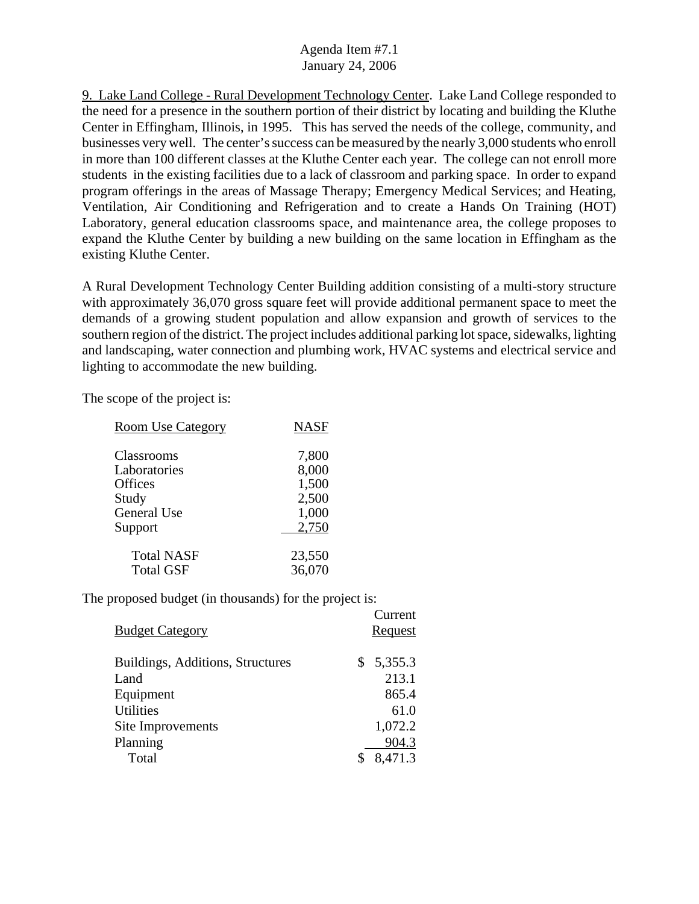9. Lake Land College - Rural Development Technology Center. Lake Land College responded to the need for a presence in the southern portion of their district by locating and building the Kluthe Center in Effingham, Illinois, in 1995. This has served the needs of the college, community, and businesses very well. The center's success can be measured by the nearly 3,000 students who enroll in more than 100 different classes at the Kluthe Center each year. The college can not enroll more students in the existing facilities due to a lack of classroom and parking space. In order to expand program offerings in the areas of Massage Therapy; Emergency Medical Services; and Heating, Ventilation, Air Conditioning and Refrigeration and to create a Hands On Training (HOT) Laboratory, general education classrooms space, and maintenance area, the college proposes to expand the Kluthe Center by building a new building on the same location in Effingham as the existing Kluthe Center.

A Rural Development Technology Center Building addition consisting of a multi-story structure with approximately 36,070 gross square feet will provide additional permanent space to meet the demands of a growing student population and allow expansion and growth of services to the southern region of the district. The project includes additional parking lot space, sidewalks, lighting and landscaping, water connection and plumbing work, HVAC systems and electrical service and lighting to accommodate the new building.

 $C$ urront

The scope of the project is:

| <b>NASF</b>      |
|------------------|
| 7,800            |
| 8,000<br>1,500   |
| 2,500<br>1,000   |
| 2,750            |
| 23,550<br>36,070 |
|                  |

| <b>Budget Category</b>           | Vancie<br>Request |
|----------------------------------|-------------------|
| Buildings, Additions, Structures | 5,355.3<br>S.     |
| Land                             | 213.1             |
| Equipment                        | 865.4             |
| <b>Utilities</b>                 | 61.0              |
| Site Improvements                | 1,072.2           |
| Planning                         | 904.3             |
| Total                            | 8,471.3           |
|                                  |                   |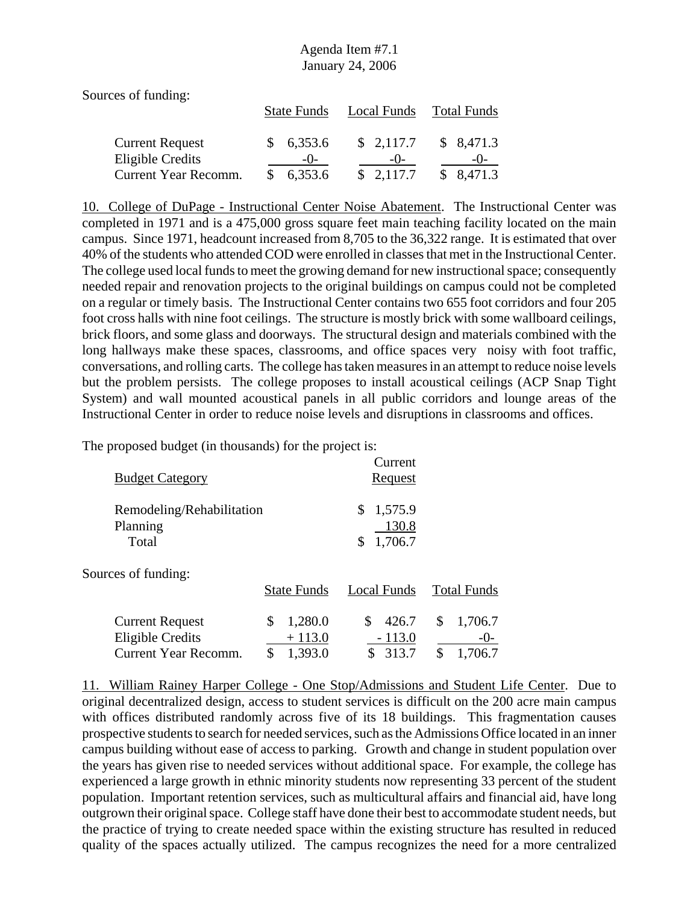Sources of funding:

|                        |    | <b>State Funds</b> | Local Funds | Total Funds |
|------------------------|----|--------------------|-------------|-------------|
| <b>Current Request</b> |    | \$6,353.6          | \$2,117.7   | \$8,471.3   |
| Eligible Credits       |    | $-()$              | $-()$       | $-()$       |
| Current Year Recomm.   | S. | 6,353.6            | \$2,117.7   | \$8,471.3   |

10. College of DuPage - Instructional Center Noise Abatement. The Instructional Center was completed in 1971 and is a 475,000 gross square feet main teaching facility located on the main campus. Since 1971, headcount increased from 8,705 to the 36,322 range. It is estimated that over 40% of the students who attended COD were enrolled in classes that met in the Instructional Center. The college used local funds to meet the growing demand for new instructional space; consequently needed repair and renovation projects to the original buildings on campus could not be completed on a regular or timely basis. The Instructional Center contains two 655 foot corridors and four 205 foot cross halls with nine foot ceilings. The structure is mostly brick with some wallboard ceilings, brick floors, and some glass and doorways. The structural design and materials combined with the long hallways make these spaces, classrooms, and office spaces very noisy with foot traffic, conversations, and rolling carts. The college has taken measures in an attempt to reduce noise levels but the problem persists. The college proposes to install acoustical ceilings (ACP Snap Tight System) and wall mounted acoustical panels in all public corridors and lounge areas of the Instructional Center in order to reduce noise levels and disruptions in classrooms and offices.

The proposed budget (in thousands) for the project is:

| <b>Budget Category</b>                                                           |                                            | Current<br><u>Request</u>               |                                           |
|----------------------------------------------------------------------------------|--------------------------------------------|-----------------------------------------|-------------------------------------------|
| Remodeling/Rehabilitation<br>Planning<br>Total                                   |                                            | 1,575.9<br>\$<br>130.8<br>1,706.7<br>\$ |                                           |
| Sources of funding:                                                              | <b>State Funds</b>                         | <b>Local Funds</b>                      | <b>Total Funds</b>                        |
| <b>Current Request</b><br><b>Eligible Credits</b><br><b>Current Year Recomm.</b> | 1,280.0<br>\$<br>$+113.0$<br>\$<br>1,393.0 | \$<br>426.7<br>$-113.0$<br>313.7        | \$<br>1,706.7<br>$-()$ -<br>\$<br>1,706.7 |

11. William Rainey Harper College - One Stop/Admissions and Student Life Center. Due to original decentralized design, access to student services is difficult on the 200 acre main campus with offices distributed randomly across five of its 18 buildings. This fragmentation causes prospective students to search for needed services, such as the Admissions Office located in an inner campus building without ease of access to parking. Growth and change in student population over the years has given rise to needed services without additional space. For example, the college has experienced a large growth in ethnic minority students now representing 33 percent of the student population. Important retention services, such as multicultural affairs and financial aid, have long outgrown their original space. College staff have done their best to accommodate student needs, but the practice of trying to create needed space within the existing structure has resulted in reduced quality of the spaces actually utilized. The campus recognizes the need for a more centralized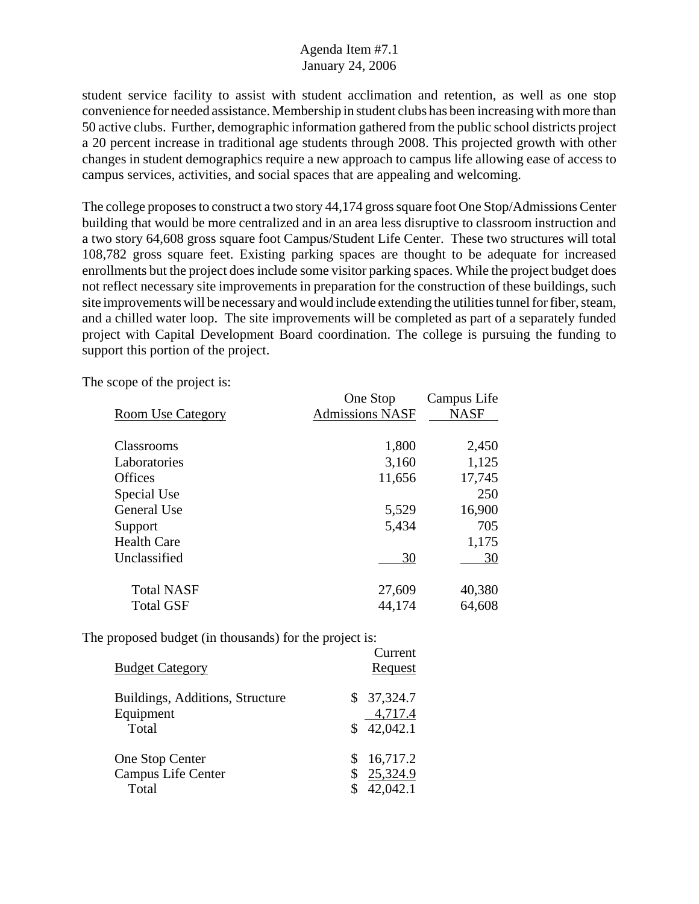student service facility to assist with student acclimation and retention, as well as one stop convenience for needed assistance. Membership in student clubs has been increasing with more than 50 active clubs. Further, demographic information gathered from the public school districts project a 20 percent increase in traditional age students through 2008. This projected growth with other changes in student demographics require a new approach to campus life allowing ease of access to campus services, activities, and social spaces that are appealing and welcoming.

The college proposes to construct a two story 44,174 gross square foot One Stop/Admissions Center building that would be more centralized and in an area less disruptive to classroom instruction and a two story 64,608 gross square foot Campus/Student Life Center. These two structures will total 108,782 gross square feet. Existing parking spaces are thought to be adequate for increased enrollments but the project does include some visitor parking spaces. While the project budget does not reflect necessary site improvements in preparation for the construction of these buildings, such site improvements will be necessary and would include extending the utilities tunnel for fiber, steam, and a chilled water loop. The site improvements will be completed as part of a separately funded project with Capital Development Board coordination. The college is pursuing the funding to support this portion of the project.

Current

One Stop Campus Life Room Use Category Admissions NASF NASF Classrooms 1,800 2,450 Laboratories 3,160 1,125 Offices 11,656 17,745 Special Use 250 General Use 5,529 16,900 Support 5,434 705 Health Care 1,175 Unclassified 30 30 Total NASF 27,609 40,380 Total GSF 44,174 64,608

The scope of the project is:

| <b>Budget Category</b>                                | van viit<br>Request                     |
|-------------------------------------------------------|-----------------------------------------|
| Buildings, Additions, Structure<br>Equipment<br>Total | \$<br>37,324.7<br>4,717.4<br>\$42,042.1 |
| One Stop Center<br>Campus Life Center<br>Total        | 16,717.2<br>25,324.9<br>42,042.1        |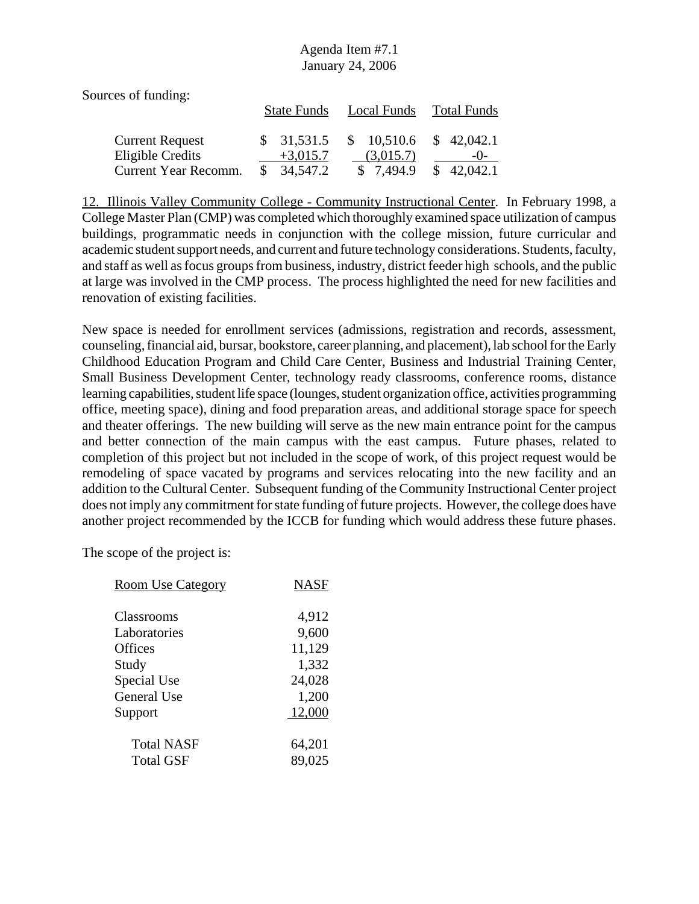| Sources of funding:    |                    |             |             |
|------------------------|--------------------|-------------|-------------|
|                        | <b>State Funds</b> | Local Funds | Total Funds |
| <b>Current Request</b> | \$31,531.5         | \$10,510.6  | \$42,042.1  |
| Eligible Credits       | $+3,015.7$         | (3,015.7)   | $-()$       |
| Current Year Recomm.   | 34, 547. 2         | \$7,494.9   | \$42,042.1  |

12. Illinois Valley Community College - Community Instructional Center. In February 1998, a College Master Plan (CMP) was completed which thoroughly examined space utilization of campus buildings, programmatic needs in conjunction with the college mission, future curricular and academic student support needs, and current and future technology considerations. Students, faculty, and staff as well as focus groups from business, industry, district feeder high schools, and the public at large was involved in the CMP process. The process highlighted the need for new facilities and renovation of existing facilities.

New space is needed for enrollment services (admissions, registration and records, assessment, counseling, financial aid, bursar, bookstore, career planning, and placement), lab school for the Early Childhood Education Program and Child Care Center, Business and Industrial Training Center, Small Business Development Center, technology ready classrooms, conference rooms, distance learning capabilities, student life space (lounges, student organization office, activities programming office, meeting space), dining and food preparation areas, and additional storage space for speech and theater offerings. The new building will serve as the new main entrance point for the campus and better connection of the main campus with the east campus. Future phases, related to completion of this project but not included in the scope of work, of this project request would be remodeling of space vacated by programs and services relocating into the new facility and an addition to the Cultural Center. Subsequent funding of the Community Instructional Center project does not imply any commitment for state funding of future projects. However, the college does have another project recommended by the ICCB for funding which would address these future phases.

The scope of the project is:

| <b>Room Use Category</b> | <b>NASF</b> |
|--------------------------|-------------|
| Classrooms               | 4,912       |
| Laboratories             | 9,600       |
| Offices                  | 11,129      |
| Study                    | 1,332       |
| Special Use              | 24,028      |
| <b>General Use</b>       | 1,200       |
| Support                  | 12,000      |
| <b>Total NASF</b>        | 64,201      |
| <b>Total GSF</b>         | 89,025      |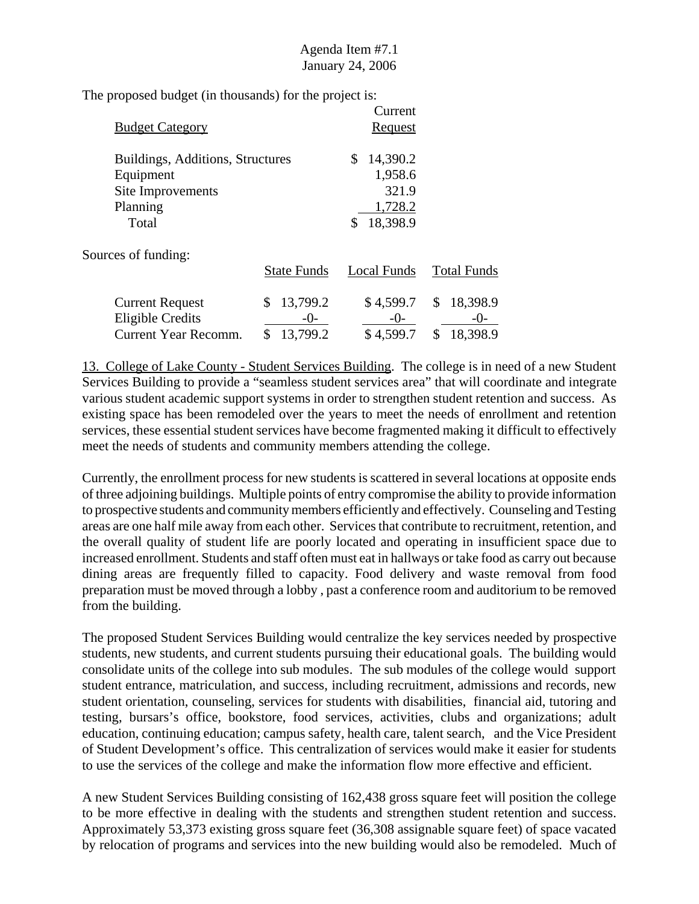The proposed budget (in thousands) for the project is:

| <b>Budget Category</b>           |                    | Current<br>Request |                    |
|----------------------------------|--------------------|--------------------|--------------------|
| Buildings, Additions, Structures |                    | 14,390.2           |                    |
| Equipment                        |                    | 1,958.6            |                    |
| Site Improvements                |                    | 321.9              |                    |
| Planning                         |                    | 1,728.2            |                    |
| Total                            |                    | 18,398.9           |                    |
| Sources of funding:              |                    |                    |                    |
|                                  | <b>State Funds</b> | Local Funds        | <b>Total Funds</b> |

| <b>Current Request</b> | \$13,799.2 | \$4,599.7 | \$18,398.9 |
|------------------------|------------|-----------|------------|
| Eligible Credits       | $-()$      | $-()$     | $-()$      |
| Current Year Recomm.   | \$13,799.2 | \$4,599.7 | \$18,398.9 |

13. College of Lake County - Student Services Building. The college is in need of a new Student Services Building to provide a "seamless student services area" that will coordinate and integrate various student academic support systems in order to strengthen student retention and success. As existing space has been remodeled over the years to meet the needs of enrollment and retention services, these essential student services have become fragmented making it difficult to effectively meet the needs of students and community members attending the college.

Currently, the enrollment process for new students is scattered in several locations at opposite ends of three adjoining buildings. Multiple points of entry compromise the ability to provide information to prospective students and community members efficiently and effectively. Counseling and Testing areas are one half mile away from each other. Services that contribute to recruitment, retention, and the overall quality of student life are poorly located and operating in insufficient space due to increased enrollment. Students and staff often must eat in hallways or take food as carry out because dining areas are frequently filled to capacity. Food delivery and waste removal from food preparation must be moved through a lobby , past a conference room and auditorium to be removed from the building.

The proposed Student Services Building would centralize the key services needed by prospective students, new students, and current students pursuing their educational goals. The building would consolidate units of the college into sub modules. The sub modules of the college would support student entrance, matriculation, and success, including recruitment, admissions and records, new student orientation, counseling, services for students with disabilities, financial aid, tutoring and testing, bursars's office, bookstore, food services, activities, clubs and organizations; adult education, continuing education; campus safety, health care, talent search, and the Vice President of Student Development's office. This centralization of services would make it easier for students to use the services of the college and make the information flow more effective and efficient.

A new Student Services Building consisting of 162,438 gross square feet will position the college to be more effective in dealing with the students and strengthen student retention and success. Approximately 53,373 existing gross square feet (36,308 assignable square feet) of space vacated by relocation of programs and services into the new building would also be remodeled. Much of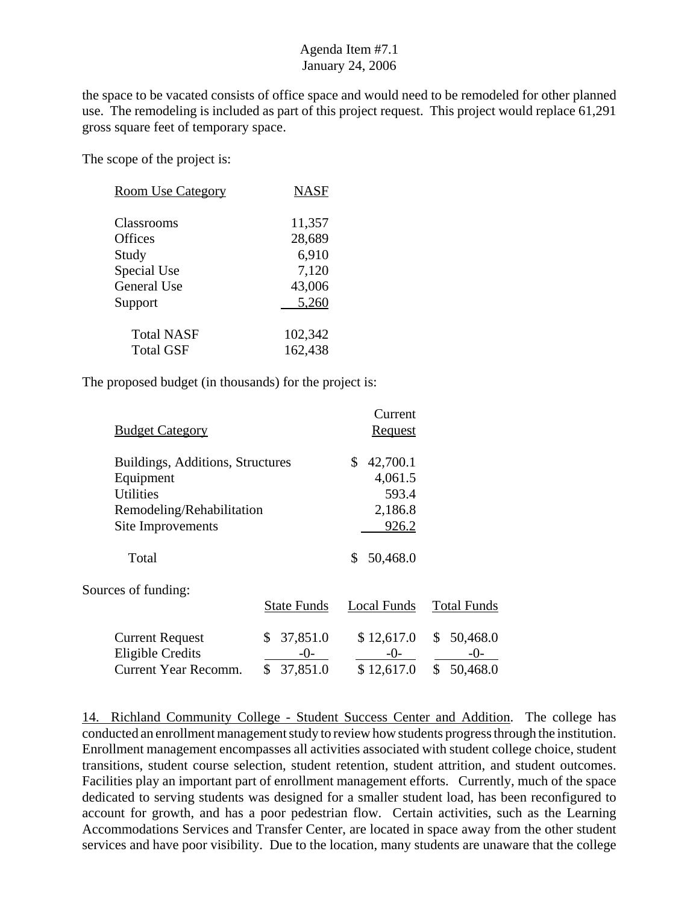the space to be vacated consists of office space and would need to be remodeled for other planned use. The remodeling is included as part of this project request. This project would replace 61,291 gross square feet of temporary space.

The scope of the project is:

| <b>Room Use Category</b> | <b>NASF</b> |
|--------------------------|-------------|
| Classrooms               | 11,357      |
| Offices                  | 28,689      |
| Study                    | 6,910       |
| Special Use              | 7,120       |
| General Use              | 43,006      |
| Support                  | 5,260       |
| <b>Total NASF</b>        | 102,342     |
| Total GSF                | 162,438     |

The proposed budget (in thousands) for the project is:

|                                  |                    | Current            |                    |
|----------------------------------|--------------------|--------------------|--------------------|
| <b>Budget Category</b>           |                    | <u>Request</u>     |                    |
| Buildings, Additions, Structures |                    | \$<br>42,700.1     |                    |
| Equipment                        |                    | 4,061.5            |                    |
| <b>Utilities</b>                 |                    | 593.4              |                    |
| Remodeling/Rehabilitation        |                    | 2,186.8            |                    |
| Site Improvements                |                    | 926.2              |                    |
| Total                            |                    | 50,468.0<br>S      |                    |
| Sources of funding:              |                    |                    |                    |
|                                  | <b>State Funds</b> | <b>Local Funds</b> | <b>Total Funds</b> |
| <b>Current Request</b>           | 37,851.0<br>\$     | \$12,617.0         | 50,468.0<br>\$     |
| <b>Eligible Credits</b>          | $-()$ -            | $-0-$              | -0-                |
| <b>Current Year Recomm.</b>      | \$<br>37,851.0     | \$12,617.0         | \$<br>50,468.0     |

14. Richland Community College - Student Success Center and Addition. The college has conducted an enrollment management study to review how students progress through the institution. Enrollment management encompasses all activities associated with student college choice, student transitions, student course selection, student retention, student attrition, and student outcomes. Facilities play an important part of enrollment management efforts. Currently, much of the space dedicated to serving students was designed for a smaller student load, has been reconfigured to account for growth, and has a poor pedestrian flow. Certain activities, such as the Learning Accommodations Services and Transfer Center, are located in space away from the other student services and have poor visibility. Due to the location, many students are unaware that the college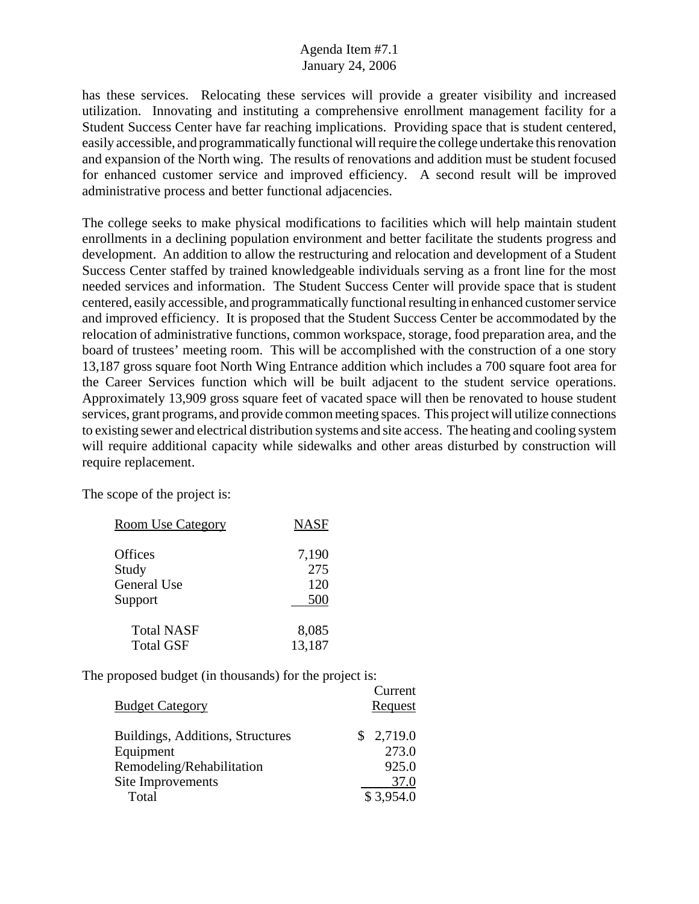has these services. Relocating these services will provide a greater visibility and increased utilization. Innovating and instituting a comprehensive enrollment management facility for a Student Success Center have far reaching implications. Providing space that is student centered, easily accessible, and programmatically functional will require the college undertake this renovation and expansion of the North wing. The results of renovations and addition must be student focused for enhanced customer service and improved efficiency. A second result will be improved administrative process and better functional adjacencies.

The college seeks to make physical modifications to facilities which will help maintain student enrollments in a declining population environment and better facilitate the students progress and development. An addition to allow the restructuring and relocation and development of a Student Success Center staffed by trained knowledgeable individuals serving as a front line for the most needed services and information. The Student Success Center will provide space that is student centered, easily accessible, and programmatically functional resulting in enhanced customer service and improved efficiency. It is proposed that the Student Success Center be accommodated by the relocation of administrative functions, common workspace, storage, food preparation area, and the board of trustees' meeting room. This will be accomplished with the construction of a one story 13,187 gross square foot North Wing Entrance addition which includes a 700 square foot area for the Career Services function which will be built adjacent to the student service operations. Approximately 13,909 gross square feet of vacated space will then be renovated to house student services, grant programs, and provide common meeting spaces. This project will utilize connections to existing sewer and electrical distribution systems and site access. The heating and cooling system will require additional capacity while sidewalks and other areas disturbed by construction will require replacement.

The scope of the project is:

| <b>Room Use Category</b> | <b>NASF</b> |
|--------------------------|-------------|
|                          |             |
| Offices                  | 7,190       |
| Study                    | 275         |
| General Use              | 120         |
| Support                  | 500         |
| <b>Total NASF</b>        | 8,085       |
| <b>Total GSF</b>         | 13,187      |
|                          |             |

| Current   |
|-----------|
| Request   |
| \$2,719.0 |
| 273.0     |
| 925.0     |
| 37.0      |
| \$3,954.0 |
|           |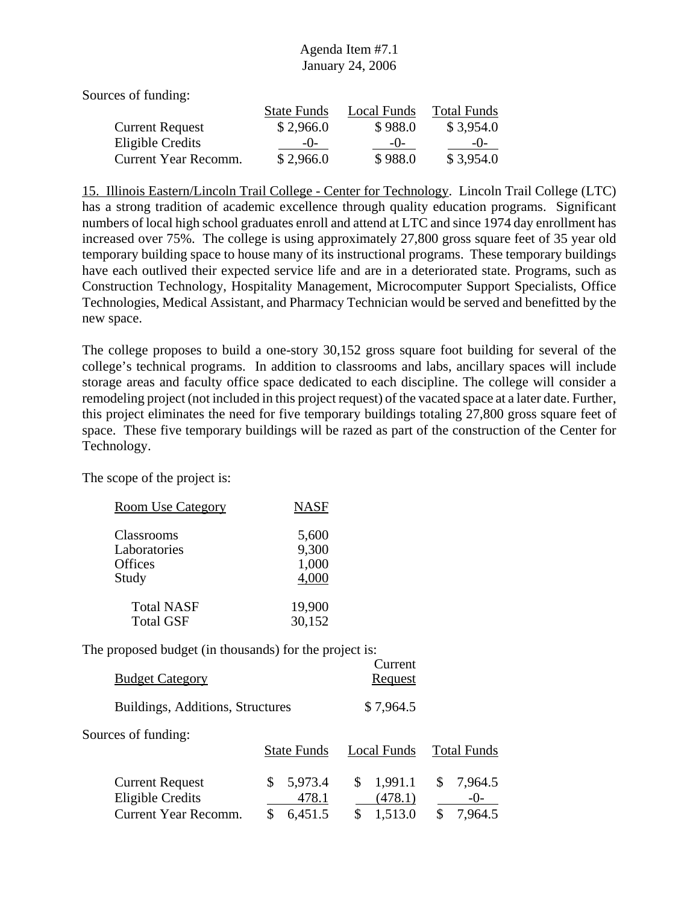Sources of funding:

|                        | <b>State Funds</b> | Local Funds | <b>Total Funds</b> |
|------------------------|--------------------|-------------|--------------------|
| <b>Current Request</b> | \$2,966.0          | \$988.0     | \$3,954.0          |
| Eligible Credits       | $-()$              | $-()$       | $-()$              |
| Current Year Recomm.   | \$2,966.0          | \$988.0     | \$3,954.0          |

15. Illinois Eastern/Lincoln Trail College - Center for Technology. Lincoln Trail College (LTC) has a strong tradition of academic excellence through quality education programs. Significant numbers of local high school graduates enroll and attend at LTC and since 1974 day enrollment has increased over 75%. The college is using approximately 27,800 gross square feet of 35 year old temporary building space to house many of its instructional programs. These temporary buildings have each outlived their expected service life and are in a deteriorated state. Programs, such as Construction Technology, Hospitality Management, Microcomputer Support Specialists, Office Technologies, Medical Assistant, and Pharmacy Technician would be served and benefitted by the new space.

The college proposes to build a one-story 30,152 gross square foot building for several of the college's technical programs. In addition to classrooms and labs, ancillary spaces will include storage areas and faculty office space dedicated to each discipline. The college will consider a remodeling project (not included in this project request) of the vacated space at a later date. Further, this project eliminates the need for five temporary buildings totaling 27,800 gross square feet of space. These five temporary buildings will be razed as part of the construction of the Center for Technology.

The scope of the project is:

| <b>Room Use Category</b> | <b>NASF</b> |
|--------------------------|-------------|
| Classrooms               | 5,600       |
| Laboratories             | 9,300       |
| Offices                  | 1,000       |
| Study                    | 4,000       |
| <b>Total NASF</b>        | 19,900      |
| <b>Total GSF</b>         | 30,152      |

| <b>Budget Category</b>                                                    |                                   | Current<br><u>Request</u>           |                                    |
|---------------------------------------------------------------------------|-----------------------------------|-------------------------------------|------------------------------------|
| Buildings, Additions, Structures                                          |                                   | \$7,964.5                           |                                    |
| Sources of funding:                                                       | <b>State Funds</b>                | Local Funds                         | <b>Total Funds</b>                 |
| <b>Current Request</b><br><b>Eligible Credits</b><br>Current Year Recomm. | 5,973.4<br>S.<br>478.1<br>6,451.5 | 1,991.1<br>\$<br>(478.1)<br>1,513.0 | 7,964.5<br>S<br>$-()$ -<br>7,964.5 |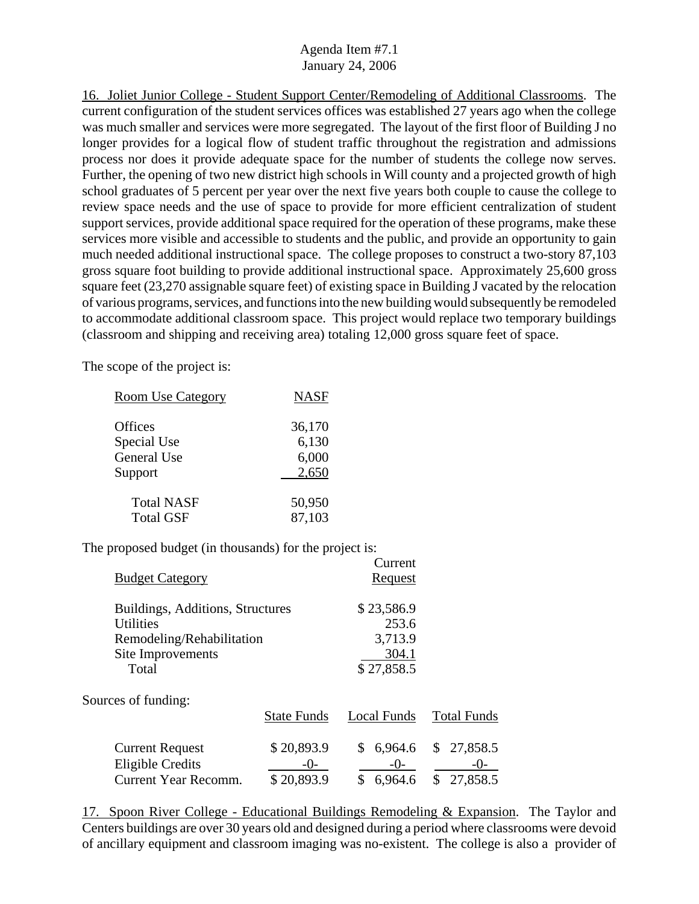16. Joliet Junior College - Student Support Center/Remodeling of Additional Classrooms. The current configuration of the student services offices was established 27 years ago when the college was much smaller and services were more segregated. The layout of the first floor of Building J no longer provides for a logical flow of student traffic throughout the registration and admissions process nor does it provide adequate space for the number of students the college now serves. Further, the opening of two new district high schools in Will county and a projected growth of high school graduates of 5 percent per year over the next five years both couple to cause the college to review space needs and the use of space to provide for more efficient centralization of student support services, provide additional space required for the operation of these programs, make these services more visible and accessible to students and the public, and provide an opportunity to gain much needed additional instructional space. The college proposes to construct a two-story 87,103 gross square foot building to provide additional instructional space. Approximately 25,600 gross square feet (23,270 assignable square feet) of existing space in Building J vacated by the relocation of various programs, services, and functions into the new building would subsequently be remodeled to accommodate additional classroom space. This project would replace two temporary buildings (classroom and shipping and receiving area) totaling 12,000 gross square feet of space.

The scope of the project is:

| <b>Room Use Category</b> | <b>NASF</b> |
|--------------------------|-------------|
| Offices                  | 36,170      |
| Special Use              | 6,130       |
| <b>General Use</b>       | 6,000       |
| Support                  | 2,650       |
| <b>Total NASF</b>        | 50,950      |
| <b>Total GSF</b>         | 87,103      |

The proposed budget (in thousands) for the project is:

| <b>Budget Category</b>                                                                                          |                                 | Current<br><b>Request</b>                             |                                             |
|-----------------------------------------------------------------------------------------------------------------|---------------------------------|-------------------------------------------------------|---------------------------------------------|
| Buildings, Additions, Structures<br><b>Utilities</b><br>Remodeling/Rehabilitation<br>Site Improvements<br>Total |                                 | \$23,586.9<br>253.6<br>3,713.9<br>304.1<br>\$27,858.5 |                                             |
| Sources of funding:                                                                                             | <b>State Funds</b>              | <b>Local Funds</b>                                    | <b>Total Funds</b>                          |
| <b>Current Request</b><br><b>Eligible Credits</b><br><b>Current Year Recomm.</b>                                | \$20,893.9<br>-0-<br>\$20,893.9 | 6,964.6<br>\$<br>$-()$<br>\$<br>6,964.6               | 27,858.5<br>\$<br>$-()$ -<br>27,858.5<br>\$ |

17. Spoon River College - Educational Buildings Remodeling & Expansion. The Taylor and Centers buildings are over 30 years old and designed during a period where classrooms were devoid of ancillary equipment and classroom imaging was no-existent. The college is also a provider of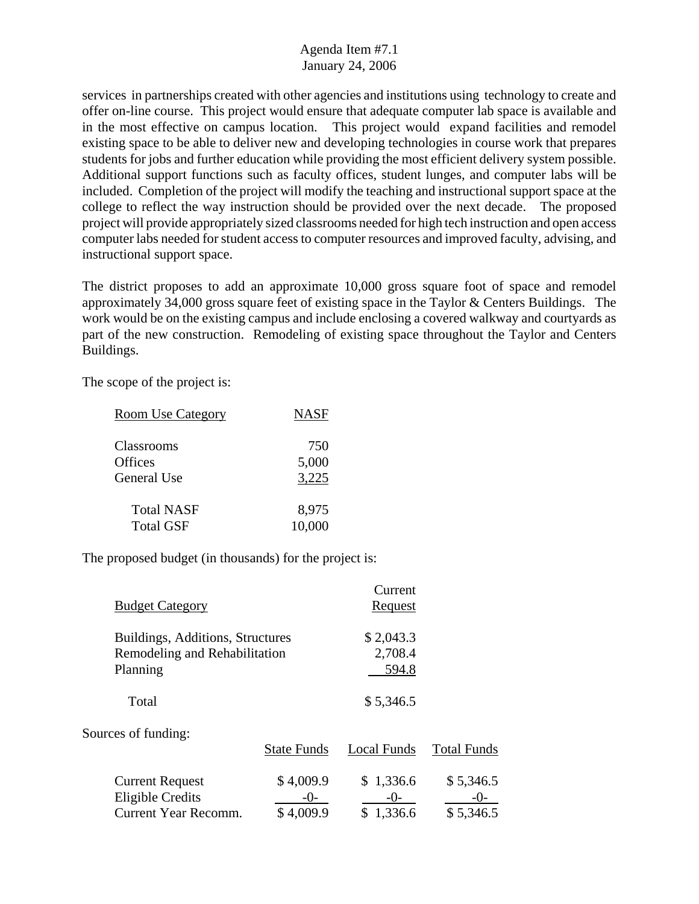services in partnerships created with other agencies and institutions using technology to create and offer on-line course. This project would ensure that adequate computer lab space is available and in the most effective on campus location. This project would expand facilities and remodel existing space to be able to deliver new and developing technologies in course work that prepares students for jobs and further education while providing the most efficient delivery system possible. Additional support functions such as faculty offices, student lunges, and computer labs will be included. Completion of the project will modify the teaching and instructional support space at the college to reflect the way instruction should be provided over the next decade. The proposed project will provide appropriately sized classrooms needed for high tech instruction and open access computer labs needed for student access to computer resources and improved faculty, advising, and instructional support space.

The district proposes to add an approximate 10,000 gross square foot of space and remodel approximately 34,000 gross square feet of existing space in the Taylor & Centers Buildings. The work would be on the existing campus and include enclosing a covered walkway and courtyards as part of the new construction. Remodeling of existing space throughout the Taylor and Centers Buildings.

The scope of the project is:

| <b>Room Use Category</b> | <b>NASF</b> |
|--------------------------|-------------|
| Classrooms               | 750         |
| Offices                  | 5,000       |
| General Use              | 3,225       |
| <b>Total NASF</b>        | 8,975       |
| <b>Total GSF</b>         | 10,000      |

| <b>Budget Category</b>                                                        |                                | Current<br><b>Request</b>       |                                   |
|-------------------------------------------------------------------------------|--------------------------------|---------------------------------|-----------------------------------|
| Buildings, Additions, Structures<br>Remodeling and Rehabilitation<br>Planning |                                | \$2,043.3<br>2,708.4<br>594.8   |                                   |
| Total                                                                         |                                | \$5,346.5                       |                                   |
| Sources of funding:                                                           | <b>State Funds</b>             | Local Funds                     | <b>Total Funds</b>                |
| <b>Current Request</b><br><b>Eligible Credits</b><br>Current Year Recomm.     | \$4,009.9<br>-()-<br>\$4,009.9 | \$1,336.6<br>$-()$ -<br>1,336.6 | \$5,346.5<br>$-()$ -<br>\$5,346.5 |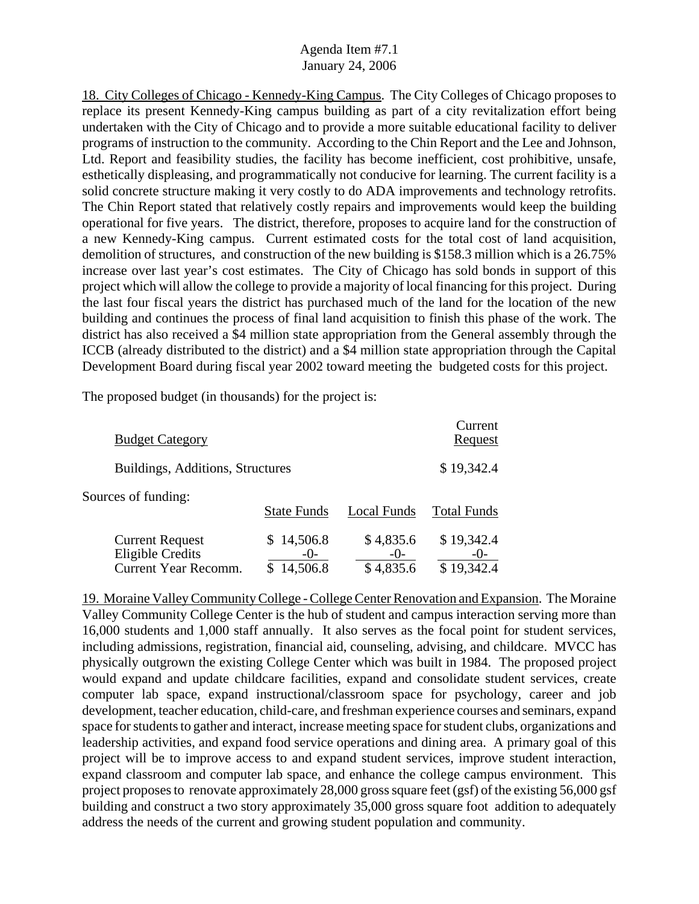18. City Colleges of Chicago - Kennedy-King Campus. The City Colleges of Chicago proposes to replace its present Kennedy-King campus building as part of a city revitalization effort being undertaken with the City of Chicago and to provide a more suitable educational facility to deliver programs of instruction to the community. According to the Chin Report and the Lee and Johnson, Ltd. Report and feasibility studies, the facility has become inefficient, cost prohibitive, unsafe, esthetically displeasing, and programmatically not conducive for learning. The current facility is a solid concrete structure making it very costly to do ADA improvements and technology retrofits. The Chin Report stated that relatively costly repairs and improvements would keep the building operational for five years. The district, therefore, proposes to acquire land for the construction of a new Kennedy-King campus. Current estimated costs for the total cost of land acquisition, demolition of structures, and construction of the new building is \$158.3 million which is a 26.75% increase over last year's cost estimates. The City of Chicago has sold bonds in support of this project which will allow the college to provide a majority of local financing for this project. During the last four fiscal years the district has purchased much of the land for the location of the new building and continues the process of final land acquisition to finish this phase of the work. The district has also received a \$4 million state appropriation from the General assembly through the ICCB (already distributed to the district) and a \$4 million state appropriation through the Capital Development Board during fiscal year 2002 toward meeting the budgeted costs for this project.

The proposed budget (in thousands) for the project is:

| <b>Budget Category</b>                                                           |                            |                                 | Current<br><b>Request</b> |
|----------------------------------------------------------------------------------|----------------------------|---------------------------------|---------------------------|
| Buildings, Additions, Structures                                                 |                            |                                 | \$19,342.4                |
| Sources of funding:                                                              | <b>State Funds</b>         | <b>Local Funds</b>              | <b>Total Funds</b>        |
| <b>Current Request</b><br><b>Eligible Credits</b><br><b>Current Year Recomm.</b> | 14,506.8<br>S.<br>14,506.8 | \$4,835.6<br>$-()$<br>\$4,835.6 | \$19,342.4<br>19,342.4    |

19. Moraine Valley Community College - College Center Renovation and Expansion. The Moraine Valley Community College Center is the hub of student and campus interaction serving more than 16,000 students and 1,000 staff annually. It also serves as the focal point for student services, including admissions, registration, financial aid, counseling, advising, and childcare. MVCC has physically outgrown the existing College Center which was built in 1984. The proposed project would expand and update childcare facilities, expand and consolidate student services, create computer lab space, expand instructional/classroom space for psychology, career and job development, teacher education, child-care, and freshman experience courses and seminars, expand space for students to gather and interact, increase meeting space for student clubs, organizations and leadership activities, and expand food service operations and dining area. A primary goal of this project will be to improve access to and expand student services, improve student interaction, expand classroom and computer lab space, and enhance the college campus environment. This project proposes to renovate approximately 28,000 gross square feet (gsf) of the existing 56,000 gsf building and construct a two story approximately 35,000 gross square foot addition to adequately address the needs of the current and growing student population and community.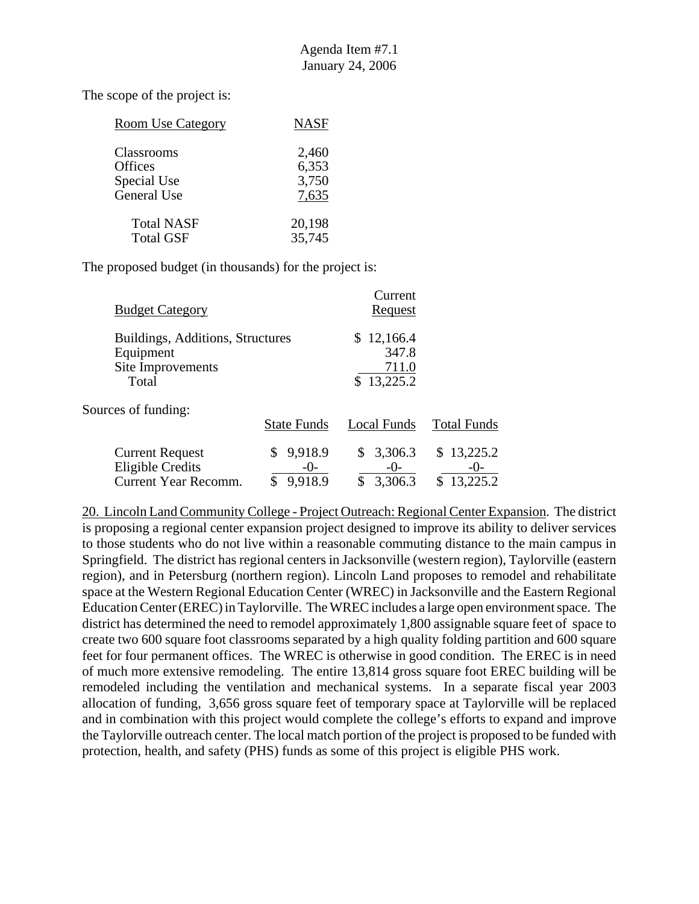| <b>Room Use Category</b> | <b>NASF</b> |
|--------------------------|-------------|
| Classrooms               | 2,460       |
| Offices                  | 6,353       |
| Special Use              | 3,750       |
| General Use              | 7,635       |
| <b>Total NASF</b>        | 20,198      |
| <b>Total GSF</b>         | 35,745      |

The proposed budget (in thousands) for the project is:

| <b>Budget Category</b>                                                           |                                    | Current<br><u>Request</u>                  |                                        |
|----------------------------------------------------------------------------------|------------------------------------|--------------------------------------------|----------------------------------------|
| Buildings, Additions, Structures<br>Equipment<br>Site Improvements<br>Total      |                                    | \$12,166.4<br>347.8<br>711.0<br>\$13,225.2 |                                        |
| Sources of funding:                                                              | <b>State Funds</b>                 | Local Funds                                | <b>Total Funds</b>                     |
| <b>Current Request</b><br><b>Eligible Credits</b><br><b>Current Year Recomm.</b> | 9,918.9<br>S<br>$-()$ -<br>9.918.9 | 3,306.3<br>\$<br>$-()$ -<br>3,306.3<br>\$  | \$13,225.2<br>$-()$ -<br>13,225.2<br>S |

20. Lincoln Land Community College - Project Outreach: Regional Center Expansion. The district is proposing a regional center expansion project designed to improve its ability to deliver services to those students who do not live within a reasonable commuting distance to the main campus in Springfield. The district has regional centers in Jacksonville (western region), Taylorville (eastern region), and in Petersburg (northern region). Lincoln Land proposes to remodel and rehabilitate space at the Western Regional Education Center (WREC) in Jacksonville and the Eastern Regional Education Center (EREC) in Taylorville. The WREC includes a large open environment space. The district has determined the need to remodel approximately 1,800 assignable square feet of space to create two 600 square foot classrooms separated by a high quality folding partition and 600 square feet for four permanent offices. The WREC is otherwise in good condition. The EREC is in need of much more extensive remodeling. The entire 13,814 gross square foot EREC building will be remodeled including the ventilation and mechanical systems. In a separate fiscal year 2003 allocation of funding, 3,656 gross square feet of temporary space at Taylorville will be replaced and in combination with this project would complete the college's efforts to expand and improve the Taylorville outreach center. The local match portion of the project is proposed to be funded with protection, health, and safety (PHS) funds as some of this project is eligible PHS work.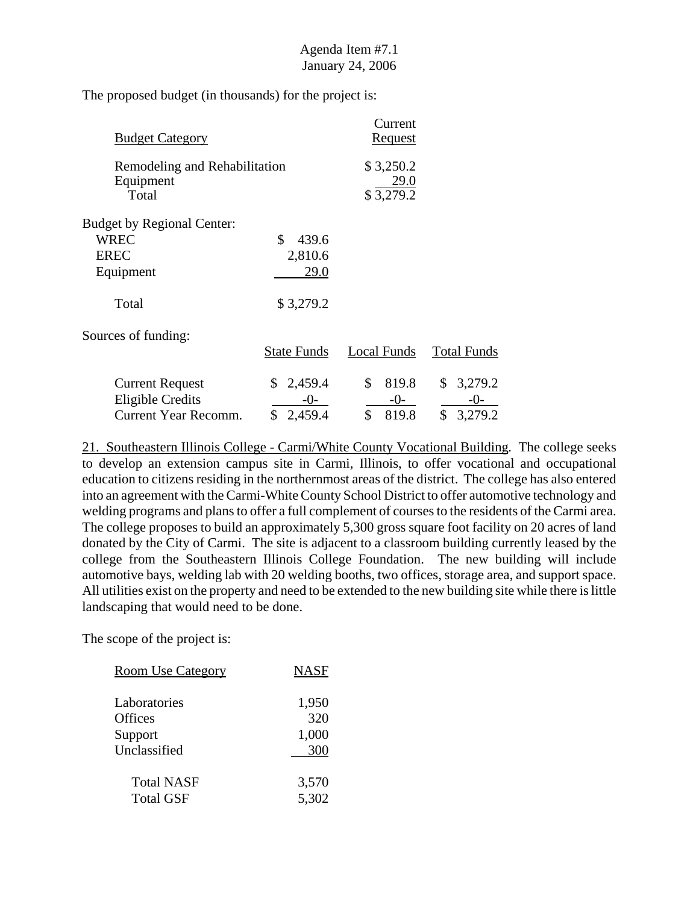The proposed budget (in thousands) for the project is:

| <b>Budget Category</b>                              |                    | Current<br><u>Request</u>      |                    |
|-----------------------------------------------------|--------------------|--------------------------------|--------------------|
| Remodeling and Rehabilitation<br>Equipment<br>Total |                    | \$3,250.2<br>29.0<br>\$3,279.2 |                    |
| <b>Budget by Regional Center:</b>                   |                    |                                |                    |
| <b>WREC</b>                                         | \$<br>439.6        |                                |                    |
| <b>EREC</b>                                         | 2,810.6            |                                |                    |
| Equipment                                           | 29.0               |                                |                    |
| Total                                               | \$3,279.2          |                                |                    |
| Sources of funding:                                 |                    |                                |                    |
|                                                     | <b>State Funds</b> | Local Funds                    | <b>Total Funds</b> |
| <b>Current Request</b>                              | \$2,459.4          | \$<br>819.8                    | 3,279.2<br>\$      |
| <b>Eligible Credits</b>                             | $-0-$              | $-0-$                          | $-()$ -            |
| <b>Current Year Recomm.</b>                         | \$<br>2,459.4      | \$<br>819.8                    | \$<br>3,279.2      |

21. Southeastern Illinois College - Carmi/White County Vocational Building. The college seeks to develop an extension campus site in Carmi, Illinois, to offer vocational and occupational education to citizens residing in the northernmost areas of the district. The college has also entered into an agreement with the Carmi-White County School District to offer automotive technology and welding programs and plans to offer a full complement of courses to the residents of the Carmi area. The college proposes to build an approximately 5,300 gross square foot facility on 20 acres of land donated by the City of Carmi. The site is adjacent to a classroom building currently leased by the college from the Southeastern Illinois College Foundation. The new building will include automotive bays, welding lab with 20 welding booths, two offices, storage area, and support space. All utilities exist on the property and need to be extended to the new building site while there is little landscaping that would need to be done.

The scope of the project is:

| <b>Room Use Category</b> | <b>NASF</b> |
|--------------------------|-------------|
| Laboratories             | 1,950       |
| Offices                  | 320         |
| Support                  | 1,000       |
| Unclassified             | 300         |
| <b>Total NASF</b>        | 3,570       |
| <b>Total GSF</b>         | 5,302       |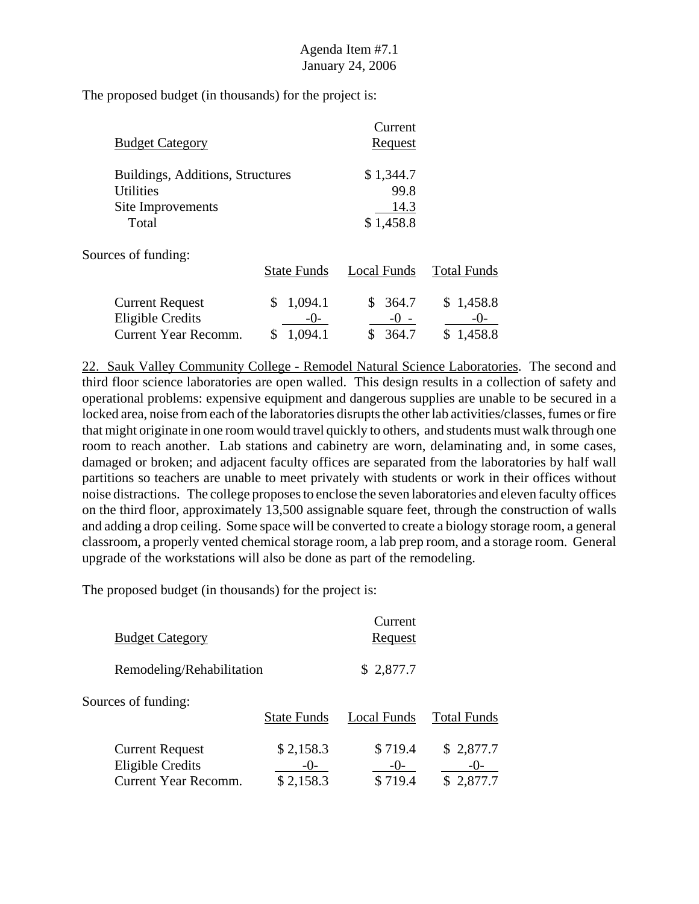The proposed budget (in thousands) for the project is:

| <b>Budget Category</b>                                                             | Current<br>Request                     |  |
|------------------------------------------------------------------------------------|----------------------------------------|--|
| Buildings, Additions, Structures<br><b>Utilities</b><br>Site Improvements<br>Total | \$1,344.7<br>99.8<br>14.3<br>\$1,458.8 |  |
|                                                                                    |                                        |  |

Sources of funding:

|                        | <b>State Funds</b> | Local Funds | <b>Total Funds</b> |
|------------------------|--------------------|-------------|--------------------|
| <b>Current Request</b> | \$1,094.1          | \$ 364.7    | \$1,458.8          |
| Eligible Credits       | $-()$              | $-() -$     | $-()$              |
| Current Year Recomm.   | 1,094.1            | 364.7       | \$1,458.8          |

22. Sauk Valley Community College - Remodel Natural Science Laboratories. The second and third floor science laboratories are open walled. This design results in a collection of safety and operational problems: expensive equipment and dangerous supplies are unable to be secured in a locked area, noise from each of the laboratories disrupts the other lab activities/classes, fumes or fire that might originate in one room would travel quickly to others, and students must walk through one room to reach another. Lab stations and cabinetry are worn, delaminating and, in some cases, damaged or broken; and adjacent faculty offices are separated from the laboratories by half wall partitions so teachers are unable to meet privately with students or work in their offices without noise distractions. The college proposes to enclose the seven laboratories and eleven faculty offices on the third floor, approximately 13,500 assignable square feet, through the construction of walls and adding a drop ceiling. Some space will be converted to create a biology storage room, a general classroom, a properly vented chemical storage room, a lab prep room, and a storage room. General upgrade of the workstations will also be done as part of the remodeling.

| <b>Budget Category</b>                                                           |                        | Current<br>Request          |                      |
|----------------------------------------------------------------------------------|------------------------|-----------------------------|----------------------|
| Remodeling/Rehabilitation                                                        |                        | \$2,877.7                   |                      |
| Sources of funding:                                                              | <b>State Funds</b>     | Local Funds                 | <b>Total Funds</b>   |
| <b>Current Request</b><br><b>Eligible Credits</b><br><b>Current Year Recomm.</b> | \$2,158.3<br>\$2,158.3 | \$719.4<br>$-()$<br>\$719.4 | \$2,877.7<br>2,877.7 |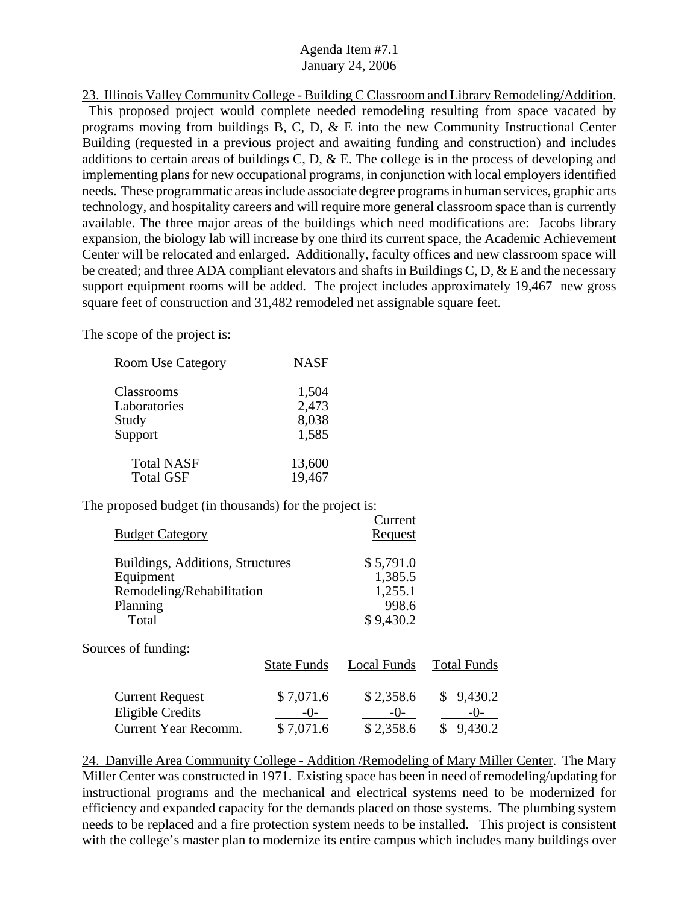23. Illinois Valley Community College - Building C Classroom and Library Remodeling/Addition. This proposed project would complete needed remodeling resulting from space vacated by programs moving from buildings B, C, D, & E into the new Community Instructional Center Building (requested in a previous project and awaiting funding and construction) and includes additions to certain areas of buildings C, D, & E. The college is in the process of developing and implementing plans for new occupational programs, in conjunction with local employers identified needs. These programmatic areas include associate degree programs in human services, graphic arts technology, and hospitality careers and will require more general classroom space than is currently available. The three major areas of the buildings which need modifications are: Jacobs library expansion, the biology lab will increase by one third its current space, the Academic Achievement Center will be relocated and enlarged. Additionally, faculty offices and new classroom space will be created; and three ADA compliant elevators and shafts in Buildings C, D, & E and the necessary support equipment rooms will be added. The project includes approximately 19,467 new gross square feet of construction and 31,482 remodeled net assignable square feet.

The scope of the project is:

| <b>Room Use Category</b>            | <b>NASF</b>               |
|-------------------------------------|---------------------------|
| Classrooms<br>Laboratories<br>Study | 1,504<br>2,473<br>8,038   |
| Support<br><b>Total NASF</b>        | 1,585<br>13,600<br>19,467 |
| <b>Total GSF</b>                    |                           |

The proposed budget (in thousands) for the project is:

| <b>Budget Category</b>                                                                          |                                   | Current<br>Request                                    |                                        |
|-------------------------------------------------------------------------------------------------|-----------------------------------|-------------------------------------------------------|----------------------------------------|
| Buildings, Additions, Structures<br>Equipment<br>Remodeling/Rehabilitation<br>Planning<br>Total |                                   | \$5,791.0<br>1,385.5<br>1,255.1<br>998.6<br>\$9,430.2 |                                        |
| Sources of funding:                                                                             | <b>State Funds</b>                | Local Funds                                           | <b>Total Funds</b>                     |
| <b>Current Request</b><br><b>Eligible Credits</b><br><b>Current Year Recomm.</b>                | \$7,071.6<br>$-()$ -<br>\$7,071.6 | \$2,358.6<br>$-()$ -<br>\$2,358.6                     | 9,430.2<br>\$<br>-()-<br>\$<br>9,430.2 |

24. Danville Area Community College - Addition /Remodeling of Mary Miller Center. The Mary Miller Center was constructed in 1971. Existing space has been in need of remodeling/updating for instructional programs and the mechanical and electrical systems need to be modernized for efficiency and expanded capacity for the demands placed on those systems. The plumbing system needs to be replaced and a fire protection system needs to be installed. This project is consistent with the college's master plan to modernize its entire campus which includes many buildings over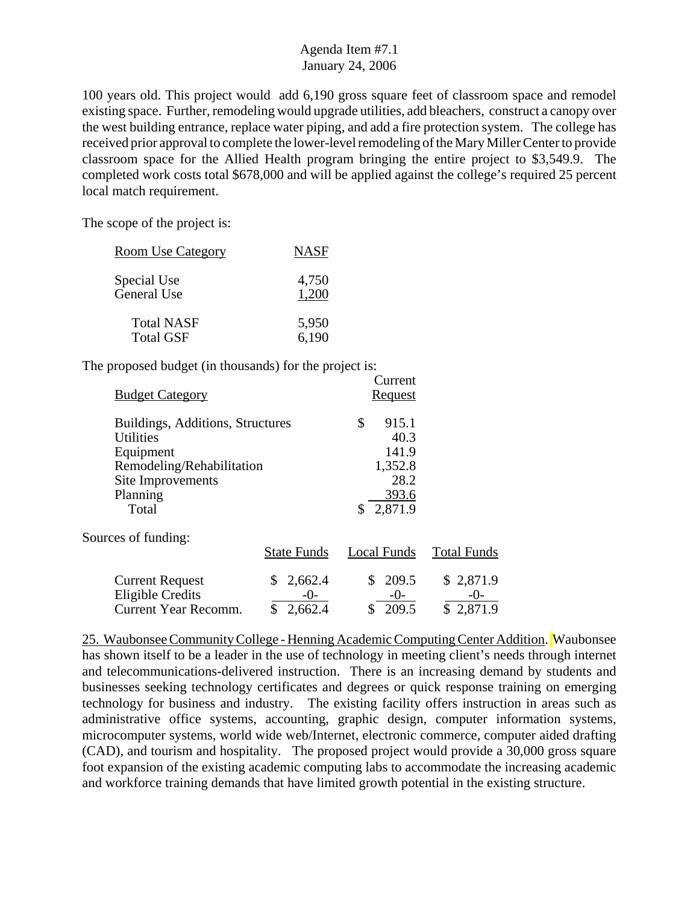100 years old. This project would add 6,190 gross square feet of classroom space and remodel existing space. Further, remodeling would upgrade utilities, add bleachers, construct a canopy over the west building entrance, replace water piping, and add a fire protection system. The college has received prior approval to complete the lower-level remodeling of the Mary Miller Center to provide classroom space for the Allied Health program bringing the entire project to \$3,549.9. The completed work costs total \$678,000 and will be applied against the college's required 25 percent local match requirement.

The scope of the project is:

| <b>Room Use Category</b> | <b>NASF</b> |
|--------------------------|-------------|
| Special Use              | 4,750       |
| General Use              | 1.200       |
| <b>Total NASF</b>        | 5,950       |
| <b>Total GSF</b>         | 6,190       |

The proposed budget (in thousands) for the project is:

| <b>Budget Category</b>                                                                                                                   |                                       | Current<br><b>Request</b>               |                                |
|------------------------------------------------------------------------------------------------------------------------------------------|---------------------------------------|-----------------------------------------|--------------------------------|
| Buildings, Additions, Structures<br><b>Utilities</b><br>Equipment<br>Remodeling/Rehabilitation<br>Site Improvements<br>Planning<br>Total |                                       | \$<br>915.1<br>1,352.8<br>2,871.9<br>\$ | 40.3<br>141.9<br>28.2<br>393.6 |
| Sources of funding:                                                                                                                      | <b>State Funds</b>                    | <b>Local Funds</b>                      | <b>Total Funds</b>             |
| <b>Current Request</b><br><b>Eligible Credits</b><br><b>Current Year Recomm.</b>                                                         | 2,662.4<br>\$<br>-0-<br>\$<br>2,662.4 | 209.5<br>\$<br>$-0-$<br>\$<br>209.5     | \$2,871.9<br>-()-<br>\$2,871.9 |

25. Waubonsee Community College - Henning Academic Computing Center Addition. Waubonsee has shown itself to be a leader in the use of technology in meeting client's needs through internet and telecommunications-delivered instruction. There is an increasing demand by students and businesses seeking technology certificates and degrees or quick response training on emerging technology for business and industry. The existing facility offers instruction in areas such as administrative office systems, accounting, graphic design, computer information systems, microcomputer systems, world wide web/Internet, electronic commerce, computer aided drafting (CAD), and tourism and hospitality. The proposed project would provide a 30,000 gross square foot expansion of the existing academic computing labs to accommodate the increasing academic and workforce training demands that have limited growth potential in the existing structure.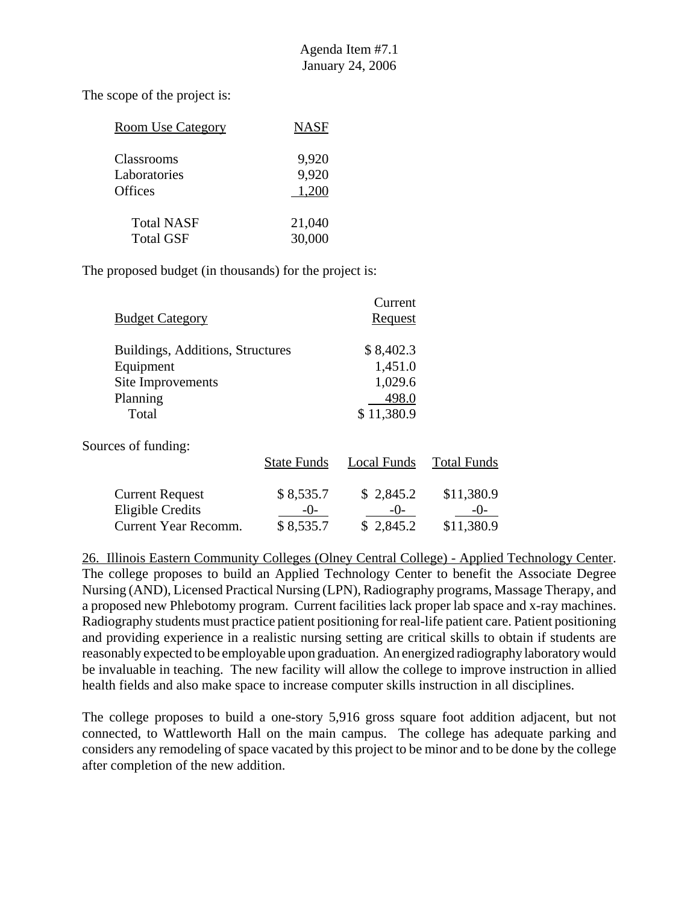| <b>Room Use Category</b> | <b>NASF</b> |
|--------------------------|-------------|
| Classrooms               | 9,920       |
| Laboratories             | 9,920       |
| Offices                  | 1,200       |
| <b>Total NASF</b>        | 21,040      |
| <b>Total GSF</b>         | 30,000      |

The proposed budget (in thousands) for the project is:

| <b>Budget Category</b>                                                                  |                                   | Current<br><b>Request</b>                              |                                     |
|-----------------------------------------------------------------------------------------|-----------------------------------|--------------------------------------------------------|-------------------------------------|
| Buildings, Additions, Structures<br>Equipment<br>Site Improvements<br>Planning<br>Total |                                   | \$8,402.3<br>1,451.0<br>1,029.6<br>498.0<br>\$11,380.9 |                                     |
| Sources of funding:                                                                     | <b>State Funds</b>                | Local Funds                                            | <b>Total Funds</b>                  |
| <b>Current Request</b><br><b>Eligible Credits</b><br>Current Year Recomm.               | \$8,535.7<br>$-()$ -<br>\$8,535.7 | \$2,845.2<br>$-()$<br>\$2,845.2                        | \$11,380.9<br>$-()$ -<br>\$11,380.9 |

26. Illinois Eastern Community Colleges (Olney Central College) - Applied Technology Center. The college proposes to build an Applied Technology Center to benefit the Associate Degree Nursing (AND), Licensed Practical Nursing (LPN), Radiography programs, Massage Therapy, and a proposed new Phlebotomy program. Current facilities lack proper lab space and x-ray machines. Radiography students must practice patient positioning for real-life patient care. Patient positioning and providing experience in a realistic nursing setting are critical skills to obtain if students are reasonably expected to be employable upon graduation. An energized radiography laboratory would be invaluable in teaching. The new facility will allow the college to improve instruction in allied health fields and also make space to increase computer skills instruction in all disciplines.

The college proposes to build a one-story 5,916 gross square foot addition adjacent, but not connected, to Wattleworth Hall on the main campus. The college has adequate parking and considers any remodeling of space vacated by this project to be minor and to be done by the college after completion of the new addition.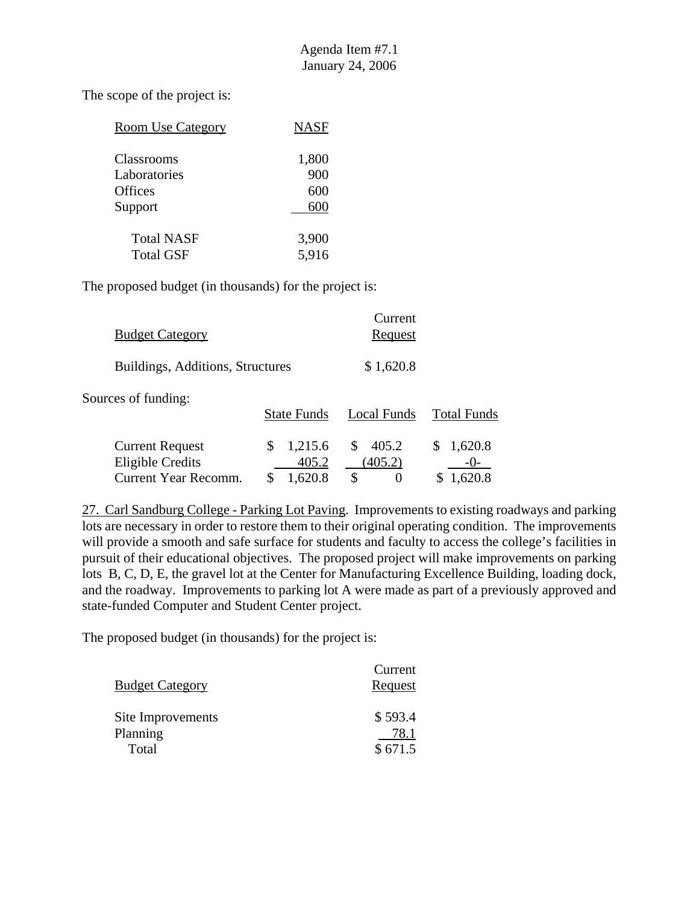The scope of the project is:

| <b>Room Use Category</b> | <b>NASF</b> |
|--------------------------|-------------|
|                          |             |
| Classrooms               | 1,800       |
| Laboratories             | 900         |
| Offices                  | 600         |
| Support                  | 600         |
| <b>Total NASF</b>        | 3,900       |
| <b>Total GSF</b>         | 5,916       |

The proposed budget (in thousands) for the project is:

| <b>Budget Category</b>           | Current<br><u>Request</u> |
|----------------------------------|---------------------------|
| Buildings, Additions, Structures | \$1,620.8                 |

Sources of funding:

|                                            | <b>State Funds</b>              | Local Funds                    | <b>Total Funds</b> |
|--------------------------------------------|---------------------------------|--------------------------------|--------------------|
| <b>Current Request</b><br>Eligible Credits | $\frac{\$}{2}$ 1,215.6<br>405.2 | $\frac{$}{2}$ 405.2<br>(405.2) | \$1,620.8<br>$-()$ |
| Current Year Recomm.                       | \$1,620.8                       |                                | \$1,620.8          |

27. Carl Sandburg College - Parking Lot Paving. Improvements to existing roadways and parking lots are necessary in order to restore them to their original operating condition. The improvements will provide a smooth and safe surface for students and faculty to access the college's facilities in pursuit of their educational objectives. The proposed project will make improvements on parking lots B, C, D, E, the gravel lot at the Center for Manufacturing Excellence Building, loading dock, and the roadway. Improvements to parking lot A were made as part of a previously approved and state-funded Computer and Student Center project.

| <b>Budget Category</b> | Current<br>Request |
|------------------------|--------------------|
| Site Improvements      | \$593.4            |
| Planning<br>Total      | 78.1<br>\$671.5    |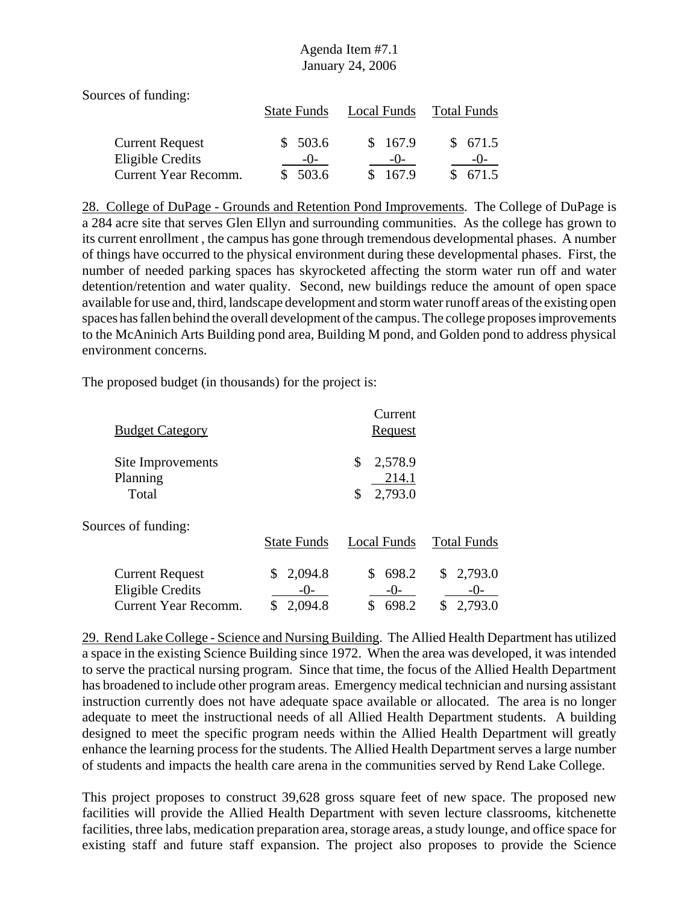Sources of funding:

|                        | <b>State Funds</b> | Local Funds | Total Funds |
|------------------------|--------------------|-------------|-------------|
| <b>Current Request</b> | \$503.6            | \$167.9     | \$671.5     |
| Eligible Credits       | $-()$              | $-()$       | $-()$       |
| Current Year Recomm.   | \$503.6            | 167.9       | \$ 671.5    |

28. College of DuPage - Grounds and Retention Pond Improvements. The College of DuPage is a 284 acre site that serves Glen Ellyn and surrounding communities. As the college has grown to its current enrollment , the campus has gone through tremendous developmental phases. A number of things have occurred to the physical environment during these developmental phases. First, the number of needed parking spaces has skyrocketed affecting the storm water run off and water detention/retention and water quality. Second, new buildings reduce the amount of open space available for use and, third, landscape development and storm water runoff areas of the existing open spaces has fallen behind the overall development of the campus. The college proposes improvements to the McAninich Arts Building pond area, Building M pond, and Golden pond to address physical environment concerns.

The proposed budget (in thousands) for the project is:

| <b>Budget Category</b>                                                           |                                  | Current<br><u>Request</u>               |                                     |
|----------------------------------------------------------------------------------|----------------------------------|-----------------------------------------|-------------------------------------|
| Site Improvements<br>Planning<br>Total                                           |                                  | 2,578.9<br>\$<br>214.1<br>2,793.0<br>\$ |                                     |
| Sources of funding:                                                              | <b>State Funds</b>               | Local Funds                             | <b>Total Funds</b>                  |
| <b>Current Request</b><br><b>Eligible Credits</b><br><b>Current Year Recomm.</b> | 2,094.8<br>S<br>$-()$<br>2,094.8 | 698.2<br>S.<br>$-()$<br>698.2<br>\$     | 2,793.0<br>\$<br>$-()$ -<br>2,793.0 |

29. Rend Lake College - Science and Nursing Building. The Allied Health Department has utilized a space in the existing Science Building since 1972. When the area was developed, it was intended to serve the practical nursing program. Since that time, the focus of the Allied Health Department has broadened to include other program areas. Emergency medical technician and nursing assistant instruction currently does not have adequate space available or allocated. The area is no longer adequate to meet the instructional needs of all Allied Health Department students. A building designed to meet the specific program needs within the Allied Health Department will greatly enhance the learning process for the students. The Allied Health Department serves a large number of students and impacts the health care arena in the communities served by Rend Lake College.

This project proposes to construct 39,628 gross square feet of new space. The proposed new facilities will provide the Allied Health Department with seven lecture classrooms, kitchenette facilities, three labs, medication preparation area, storage areas, a study lounge, and office space for existing staff and future staff expansion. The project also proposes to provide the Science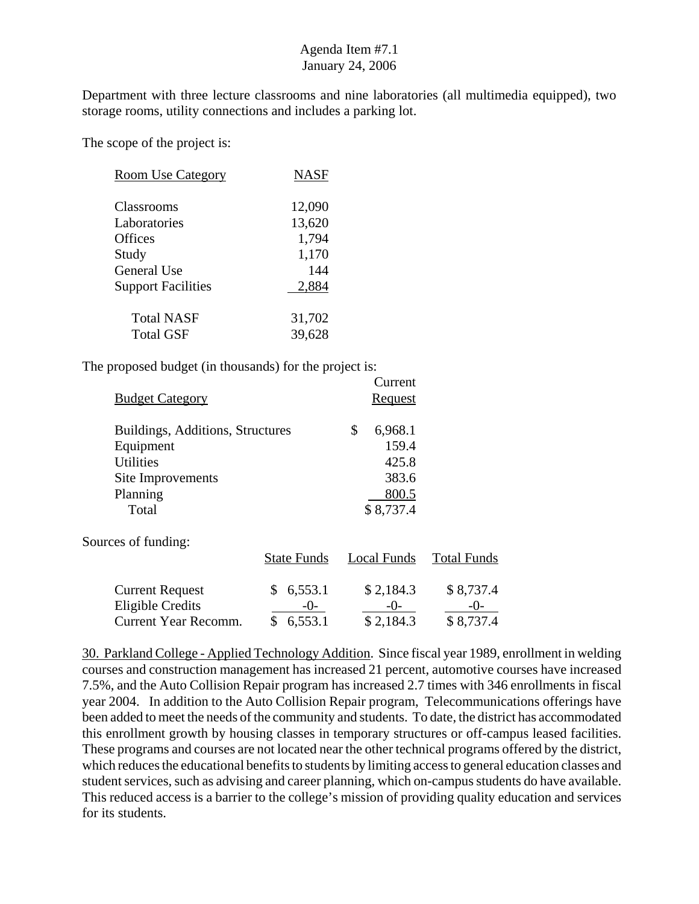Department with three lecture classrooms and nine laboratories (all multimedia equipped), two storage rooms, utility connections and includes a parking lot.

The scope of the project is:

| <b>Room Use Category</b>  | <b>NASF</b> |
|---------------------------|-------------|
| Classrooms                | 12,090      |
| Laboratories              | 13,620      |
| <b>Offices</b>            | 1,794       |
| Study                     | 1,170       |
| General Use               | 144         |
| <b>Support Facilities</b> | 2,884       |
| <b>Total NASF</b>         | 31,702      |
| <b>Total GSF</b>          | 39,628      |

The proposed budget (in thousands) for the project is:

| <b>Budget Category</b>           | Current<br>Request |
|----------------------------------|--------------------|
| Buildings, Additions, Structures | \$<br>6,968.1      |
| Equipment                        | 159.4              |
| <b>Utilities</b>                 | 425.8              |
| Site Improvements                | 383.6              |
| Planning                         | 800.5              |
| Total                            | \$8,737.4          |

Sources of funding:

|                        | <b>State Funds</b> | Local Funds | <b>Total Funds</b> |
|------------------------|--------------------|-------------|--------------------|
| <b>Current Request</b> | \$6,553.1          | \$2,184.3   | \$8,737.4          |
| Eligible Credits       | $-()$              | $-()$       | $-()$              |
| Current Year Recomm.   | \$6,553.1          | \$2,184.3   | \$8,737.4          |

30. Parkland College - Applied Technology Addition. Since fiscal year 1989, enrollment in welding courses and construction management has increased 21 percent, automotive courses have increased 7.5%, and the Auto Collision Repair program has increased 2.7 times with 346 enrollments in fiscal year 2004. In addition to the Auto Collision Repair program, Telecommunications offerings have been added to meet the needs of the community and students. To date, the district has accommodated this enrollment growth by housing classes in temporary structures or off-campus leased facilities. These programs and courses are not located near the other technical programs offered by the district, which reduces the educational benefits to students by limiting access to general education classes and student services, such as advising and career planning, which on-campus students do have available. This reduced access is a barrier to the college's mission of providing quality education and services for its students.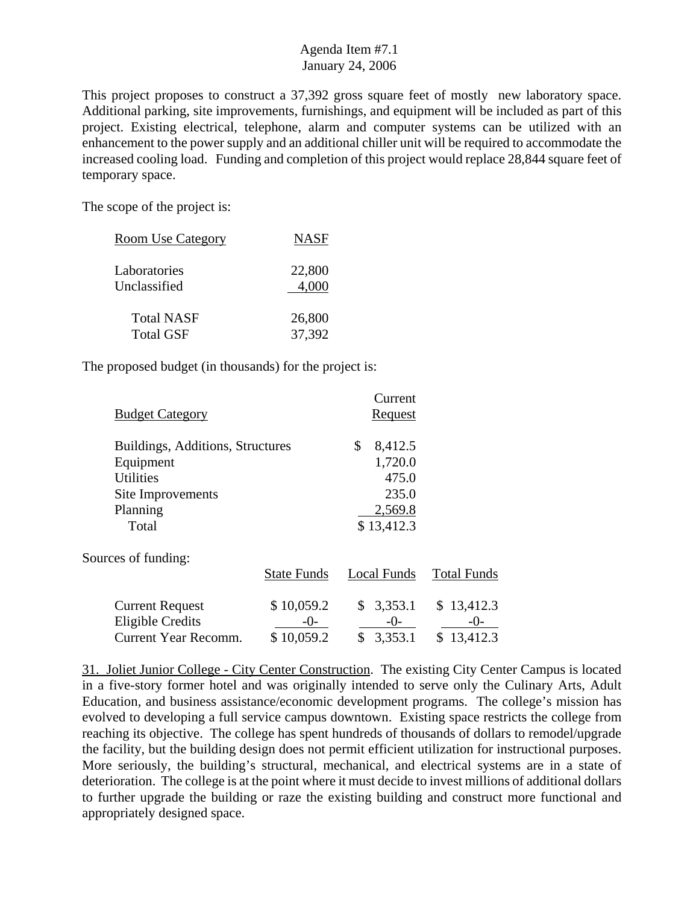This project proposes to construct a 37,392 gross square feet of mostly new laboratory space. Additional parking, site improvements, furnishings, and equipment will be included as part of this project. Existing electrical, telephone, alarm and computer systems can be utilized with an enhancement to the power supply and an additional chiller unit will be required to accommodate the increased cooling load. Funding and completion of this project would replace 28,844 square feet of temporary space.

The scope of the project is:

| <b>Room Use Category</b> | <b>NASF</b> |
|--------------------------|-------------|
| Laboratories             | 22,800      |
| Unclassified             | 4,000       |
| <b>Total NASF</b>        | 26,800      |
| <b>Total GSF</b>         | 37,392      |

The proposed budget (in thousands) for the project is:

|                                  |                    | Current        |                    |
|----------------------------------|--------------------|----------------|--------------------|
| <b>Budget Category</b>           |                    | <b>Request</b> |                    |
| Buildings, Additions, Structures |                    | \$<br>8,412.5  |                    |
| Equipment                        |                    | 1,720.0        |                    |
| <b>Utilities</b>                 |                    | 475.0          |                    |
| Site Improvements                |                    | 235.0          |                    |
| Planning                         |                    | 2,569.8        |                    |
| Total                            |                    | \$13,412.3     |                    |
| Sources of funding:              |                    |                |                    |
|                                  | <b>State Funds</b> | Local Funds    | <b>Total Funds</b> |
| <b>Current Request</b>           | \$10,059.2         | \$<br>3,353.1  | 13,412.3<br>\$     |
| <b>Eligible Credits</b>          | -0-                | -0-            | -()-               |
| <b>Current Year Recomm.</b>      | \$10,059.2         | \$<br>3,353.1  | \$13,412.3         |

31. Joliet Junior College - City Center Construction. The existing City Center Campus is located in a five-story former hotel and was originally intended to serve only the Culinary Arts, Adult Education, and business assistance/economic development programs. The college's mission has evolved to developing a full service campus downtown. Existing space restricts the college from reaching its objective. The college has spent hundreds of thousands of dollars to remodel/upgrade the facility, but the building design does not permit efficient utilization for instructional purposes. More seriously, the building's structural, mechanical, and electrical systems are in a state of deterioration. The college is at the point where it must decide to invest millions of additional dollars to further upgrade the building or raze the existing building and construct more functional and appropriately designed space.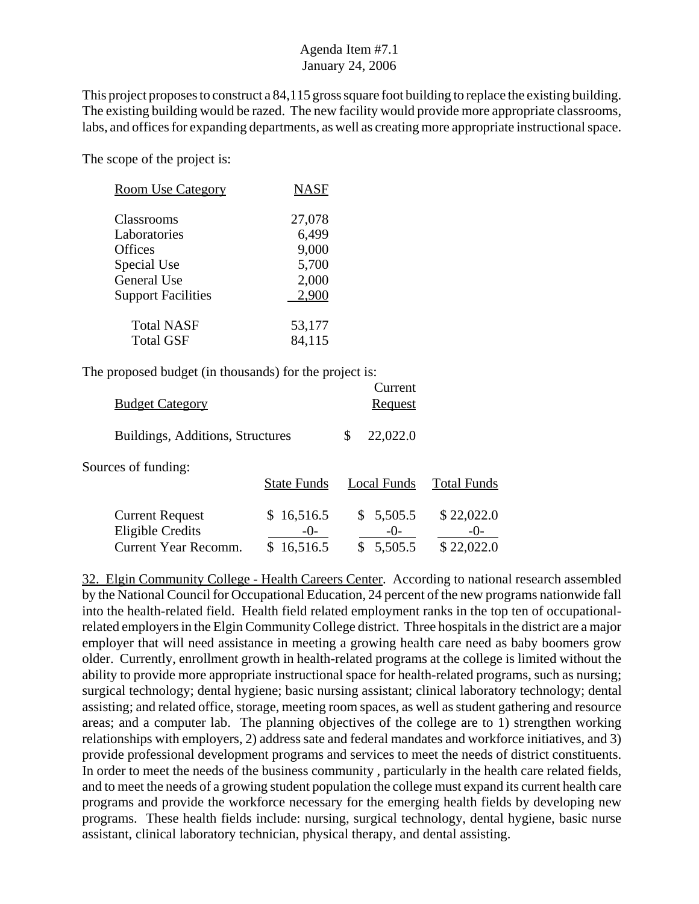This project proposes to construct a 84,115 gross square foot building to replace the existing building. The existing building would be razed. The new facility would provide more appropriate classrooms, labs, and offices for expanding departments, as well as creating more appropriate instructional space.

The scope of the project is:

| <b>Room Use Category</b>  | <b>NASF</b> |
|---------------------------|-------------|
| Classrooms                | 27,078      |
| Laboratories              | 6,499       |
| <b>Offices</b>            | 9,000       |
| Special Use               | 5,700       |
| <b>General Use</b>        | 2,000       |
| <b>Support Facilities</b> | 2,900       |
| <b>Total NASF</b>         | 53,177      |
| <b>Total GSF</b>          | 84,115      |

The proposed budget (in thousands) for the project is:

| <b>Budget Category</b>                                                           |                                 | Current<br>Request                  |                                   |
|----------------------------------------------------------------------------------|---------------------------------|-------------------------------------|-----------------------------------|
| Buildings, Additions, Structures                                                 |                                 | 22,022.0<br>\$                      |                                   |
| Sources of funding:                                                              | <b>State Funds</b>              | Local Funds                         | <b>Total Funds</b>                |
| <b>Current Request</b><br><b>Eligible Credits</b><br><b>Current Year Recomm.</b> | \$16,516.5<br>$-()$<br>16,516.5 | 5,505.5<br>S.<br>$-()$ -<br>5,505.5 | \$22,022.0<br>$-()$<br>\$22,022.0 |

32. Elgin Community College - Health Careers Center. According to national research assembled by the National Council for Occupational Education, 24 percent of the new programs nationwide fall into the health-related field. Health field related employment ranks in the top ten of occupationalrelated employers in the Elgin Community College district. Three hospitals in the district are a major employer that will need assistance in meeting a growing health care need as baby boomers grow older. Currently, enrollment growth in health-related programs at the college is limited without the ability to provide more appropriate instructional space for health-related programs, such as nursing; surgical technology; dental hygiene; basic nursing assistant; clinical laboratory technology; dental assisting; and related office, storage, meeting room spaces, as well as student gathering and resource areas; and a computer lab. The planning objectives of the college are to 1) strengthen working relationships with employers, 2) address sate and federal mandates and workforce initiatives, and 3) provide professional development programs and services to meet the needs of district constituents. In order to meet the needs of the business community , particularly in the health care related fields, and to meet the needs of a growing student population the college must expand its current health care programs and provide the workforce necessary for the emerging health fields by developing new programs. These health fields include: nursing, surgical technology, dental hygiene, basic nurse assistant, clinical laboratory technician, physical therapy, and dental assisting.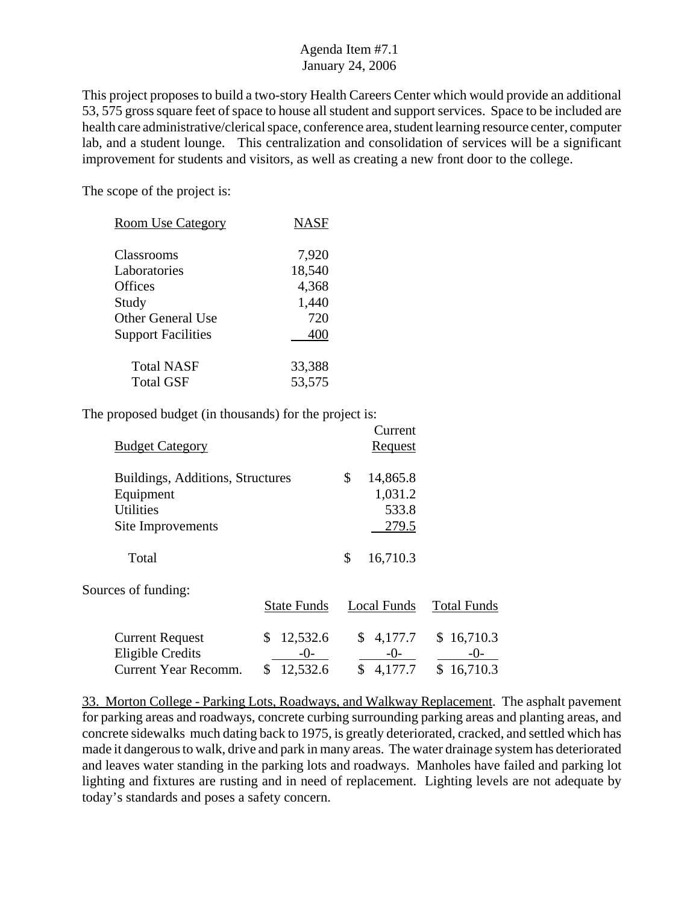This project proposes to build a two-story Health Careers Center which would provide an additional 53, 575 gross square feet of space to house all student and support services. Space to be included are health care administrative/clerical space, conference area, student learning resource center, computer lab, and a student lounge. This centralization and consolidation of services will be a significant improvement for students and visitors, as well as creating a new front door to the college.

Current

The scope of the project is:

| <b>Room Use Category</b>  | <b>NASF</b> |
|---------------------------|-------------|
| Classrooms                | 7,920       |
| Laboratories              | 18,540      |
| Offices                   | 4,368       |
| Study                     | 1,440       |
| <b>Other General Use</b>  | 720         |
| <b>Support Facilities</b> | 400         |
| <b>Total NASF</b>         | 33,388      |
| <b>Total GSF</b>          | 53,575      |

The proposed budget (in thousands) for the project is:

| <b>Budget Category</b>                                                           |                                          | Cultur<br><b>Request</b>                |                                     |
|----------------------------------------------------------------------------------|------------------------------------------|-----------------------------------------|-------------------------------------|
| Buildings, Additions, Structures<br>Equipment<br><b>Utilities</b>                |                                          | 14,865.8<br>\$<br>1,031.2<br>533.8      |                                     |
| Site Improvements                                                                |                                          | 279.5                                   |                                     |
| Total                                                                            |                                          | \$<br>16,710.3                          |                                     |
| Sources of funding:                                                              | <b>State Funds</b>                       | <b>Local Funds</b>                      | <b>Total Funds</b>                  |
| <b>Current Request</b><br><b>Eligible Credits</b><br><b>Current Year Recomm.</b> | \$<br>12,532.6<br>$-0-$<br>12,532.6<br>S | 4,177.7<br>\$<br>$-0-$<br>4,177.7<br>\$ | \$16,710.3<br>$-()$ -<br>\$16,710.3 |

33. Morton College - Parking Lots, Roadways, and Walkway Replacement. The asphalt pavement for parking areas and roadways, concrete curbing surrounding parking areas and planting areas, and concrete sidewalks much dating back to 1975, is greatly deteriorated, cracked, and settled which has made it dangerous to walk, drive and park in many areas. The water drainage system has deteriorated and leaves water standing in the parking lots and roadways. Manholes have failed and parking lot lighting and fixtures are rusting and in need of replacement. Lighting levels are not adequate by today's standards and poses a safety concern.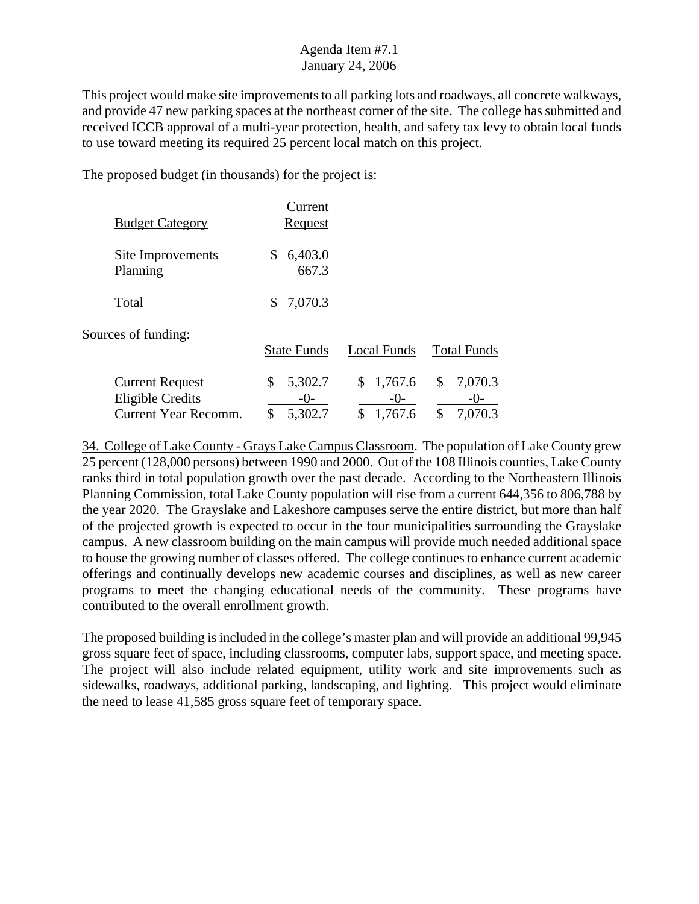This project would make site improvements to all parking lots and roadways, all concrete walkways, and provide 47 new parking spaces at the northeast corner of the site. The college has submitted and received ICCB approval of a multi-year protection, health, and safety tax levy to obtain local funds to use toward meeting its required 25 percent local match on this project.

The proposed budget (in thousands) for the project is:

| <b>Budget Category</b>                                                           | Current<br><b>Request</b>                 |                                         |                                |
|----------------------------------------------------------------------------------|-------------------------------------------|-----------------------------------------|--------------------------------|
| Site Improvements<br>Planning                                                    | 6,403.0<br>S<br>667.3                     |                                         |                                |
| Total                                                                            | 7,070.3<br>S.                             |                                         |                                |
| Sources of funding:                                                              | <b>State Funds</b>                        | Local Funds                             | <b>Total Funds</b>             |
| <b>Current Request</b><br><b>Eligible Credits</b><br><b>Current Year Recomm.</b> | 5,302.7<br>\$<br>$-()$ -<br>\$<br>5,302.7 | \$<br>1,767.6<br>$-()$<br>\$<br>1,767.6 | \$<br>7,070.3<br>\$<br>7,070.3 |

34. College of Lake County - Grays Lake Campus Classroom. The population of Lake County grew 25 percent (128,000 persons) between 1990 and 2000. Out of the 108 Illinois counties, Lake County ranks third in total population growth over the past decade. According to the Northeastern Illinois Planning Commission, total Lake County population will rise from a current 644,356 to 806,788 by the year 2020. The Grayslake and Lakeshore campuses serve the entire district, but more than half of the projected growth is expected to occur in the four municipalities surrounding the Grayslake campus. A new classroom building on the main campus will provide much needed additional space to house the growing number of classes offered. The college continues to enhance current academic offerings and continually develops new academic courses and disciplines, as well as new career programs to meet the changing educational needs of the community. These programs have contributed to the overall enrollment growth.

The proposed building is included in the college's master plan and will provide an additional 99,945 gross square feet of space, including classrooms, computer labs, support space, and meeting space. The project will also include related equipment, utility work and site improvements such as sidewalks, roadways, additional parking, landscaping, and lighting. This project would eliminate the need to lease 41,585 gross square feet of temporary space.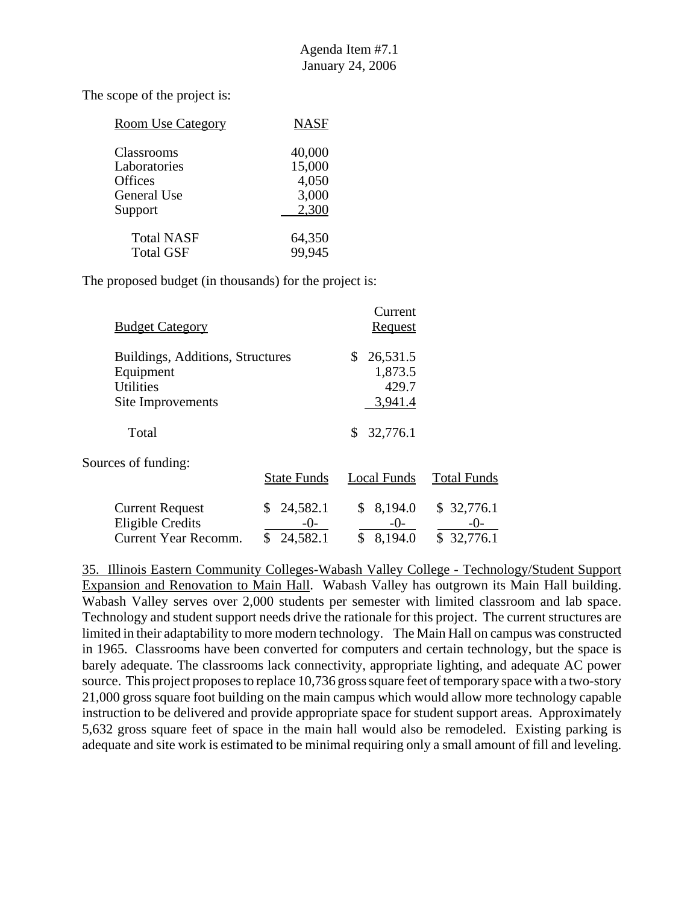| <b>Room Use Category</b> | <b>NASF</b> |
|--------------------------|-------------|
| Classrooms               | 40,000      |
| Laboratories             | 15,000      |
| Offices                  | 4,050       |
| General Use              | 3,000       |
| Support                  | 2,300       |
| <b>Total NASF</b>        | 64,350      |
| <b>Total GSF</b>         | 99,945      |
|                          |             |

The proposed budget (in thousands) for the project is:

| <b>Budget Category</b>                                                                 |                                   | Current<br>Request                            |                                   |
|----------------------------------------------------------------------------------------|-----------------------------------|-----------------------------------------------|-----------------------------------|
| Buildings, Additions, Structures<br>Equipment<br><b>Utilities</b><br>Site Improvements |                                   | 26,531.5<br>\$<br>1,873.5<br>429.7<br>3,941.4 |                                   |
| Total                                                                                  |                                   | 32,776.1<br>\$                                |                                   |
| Sources of funding:                                                                    | <b>State Funds</b>                | Local Funds                                   | <b>Total Funds</b>                |
| <b>Current Request</b><br><b>Eligible Credits</b><br><b>Current Year Recomm.</b>       | 24,582.1<br>\$<br>-0-<br>24,582.1 | 8,194.0<br>\$<br>$-()$ -<br>8,194.0<br>\$     | \$32,776.1<br>$-()$<br>\$32,776.1 |

35. Illinois Eastern Community Colleges-Wabash Valley College - Technology/Student Support Expansion and Renovation to Main Hall. Wabash Valley has outgrown its Main Hall building. Wabash Valley serves over 2,000 students per semester with limited classroom and lab space. Technology and student support needs drive the rationale for this project. The current structures are limited in their adaptability to more modern technology. The Main Hall on campus was constructed in 1965. Classrooms have been converted for computers and certain technology, but the space is barely adequate. The classrooms lack connectivity, appropriate lighting, and adequate AC power source. This project proposes to replace 10,736 gross square feet of temporary space with a two-story 21,000 gross square foot building on the main campus which would allow more technology capable instruction to be delivered and provide appropriate space for student support areas. Approximately 5,632 gross square feet of space in the main hall would also be remodeled. Existing parking is adequate and site work is estimated to be minimal requiring only a small amount of fill and leveling.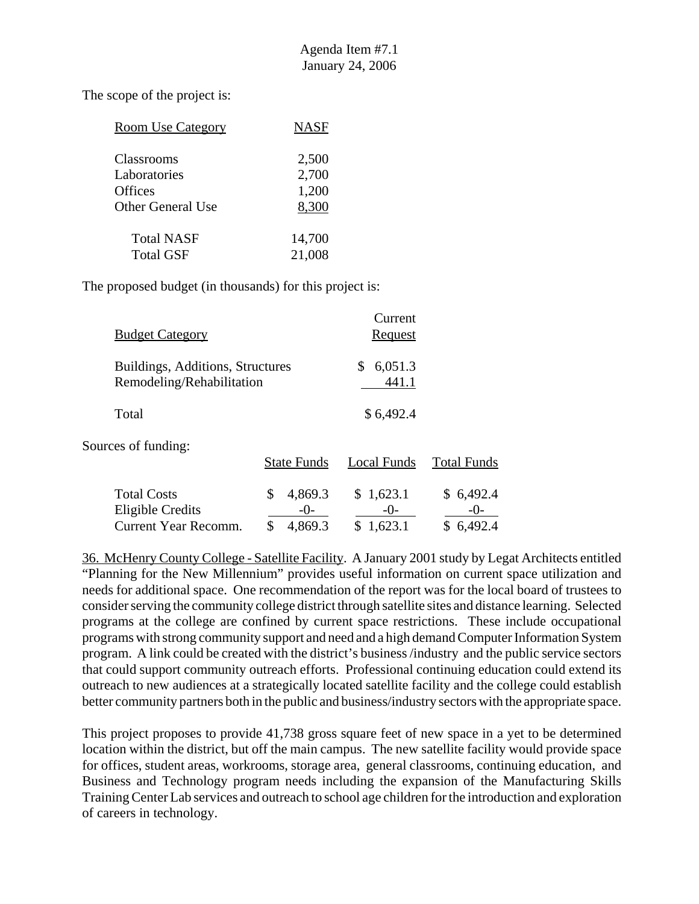| <b>Room Use Category</b> | <b>NASF</b> |
|--------------------------|-------------|
| Classrooms               | 2,500       |
| Laboratories             | 2,700       |
| <b>Offices</b>           | 1,200       |
| <b>Other General Use</b> | 8,300       |
| <b>Total NASF</b>        | 14,700      |
| <b>Total GSF</b>         | 21,008      |

The proposed budget (in thousands) for this project is:

| <b>Budget Category</b>                                                |                                           | Current<br>Request              |                               |
|-----------------------------------------------------------------------|-------------------------------------------|---------------------------------|-------------------------------|
| Buildings, Additions, Structures<br>Remodeling/Rehabilitation         |                                           | \$<br>6,051.3<br>441.1          |                               |
| Total                                                                 |                                           | \$6,492.4                       |                               |
| Sources of funding:                                                   | <b>State Funds</b>                        | Local Funds                     | <b>Total Funds</b>            |
| <b>Total Costs</b><br><b>Eligible Credits</b><br>Current Year Recomm. | \$<br>4,869.3<br>$-()$ -<br>\$<br>4,869.3 | \$1,623.1<br>$-()$ -<br>1,623.1 | \$6,492.4<br>$-()$<br>6,492.4 |

36. McHenry County College - Satellite Facility. A January 2001 study by Legat Architects entitled "Planning for the New Millennium" provides useful information on current space utilization and needs for additional space. One recommendation of the report was for the local board of trustees to consider serving the community college district through satellite sites and distance learning. Selected programs at the college are confined by current space restrictions. These include occupational programs with strong community support and need and a high demand Computer Information System program. A link could be created with the district's business /industry and the public service sectors that could support community outreach efforts. Professional continuing education could extend its outreach to new audiences at a strategically located satellite facility and the college could establish better community partners both in the public and business/industry sectors with the appropriate space.

This project proposes to provide 41,738 gross square feet of new space in a yet to be determined location within the district, but off the main campus. The new satellite facility would provide space for offices, student areas, workrooms, storage area, general classrooms, continuing education, and Business and Technology program needs including the expansion of the Manufacturing Skills Training Center Lab services and outreach to school age children for the introduction and exploration of careers in technology.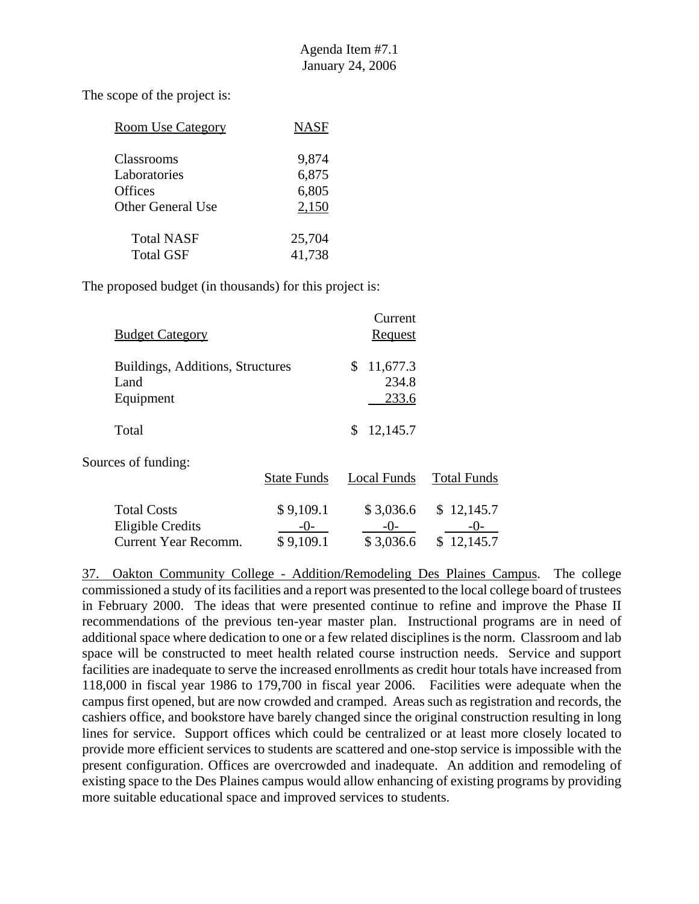| <b>Room Use Category</b> | <b>NASF</b> |
|--------------------------|-------------|
| Classrooms               | 9,874       |
| Laboratories             | 6,875       |
| Offices                  | 6,805       |
| <b>Other General Use</b> | 2,150       |
| <b>Total NASF</b>        | 25,704      |
| <b>Total GSF</b>         | 41,738      |

The proposed budget (in thousands) for this project is:

| <b>Budget Category</b>                                                |                                   | Current<br><b>Request</b>        |                                  |
|-----------------------------------------------------------------------|-----------------------------------|----------------------------------|----------------------------------|
| Buildings, Additions, Structures<br>Land<br>Equipment                 |                                   | 11,677.3<br>\$<br>234.8<br>233.6 |                                  |
| Total                                                                 |                                   | 12,145.7<br>\$                   |                                  |
| Sources of funding:                                                   | <b>State Funds</b>                | Local Funds                      | <b>Total Funds</b>               |
| <b>Total Costs</b><br>Eligible Credits<br><b>Current Year Recomm.</b> | \$9,109.1<br>$-()$ -<br>\$9,109.1 | \$3,036.6<br>-()-<br>\$3,036.6   | \$12,145.7<br>-()-<br>\$12,145.7 |

37. Oakton Community College - Addition/Remodeling Des Plaines Campus. The college commissioned a study of its facilities and a report was presented to the local college board of trustees in February 2000. The ideas that were presented continue to refine and improve the Phase II recommendations of the previous ten-year master plan. Instructional programs are in need of additional space where dedication to one or a few related disciplines is the norm. Classroom and lab space will be constructed to meet health related course instruction needs. Service and support facilities are inadequate to serve the increased enrollments as credit hour totals have increased from 118,000 in fiscal year 1986 to 179,700 in fiscal year 2006. Facilities were adequate when the campus first opened, but are now crowded and cramped. Areas such as registration and records, the cashiers office, and bookstore have barely changed since the original construction resulting in long lines for service. Support offices which could be centralized or at least more closely located to provide more efficient services to students are scattered and one-stop service is impossible with the present configuration. Offices are overcrowded and inadequate. An addition and remodeling of existing space to the Des Plaines campus would allow enhancing of existing programs by providing more suitable educational space and improved services to students.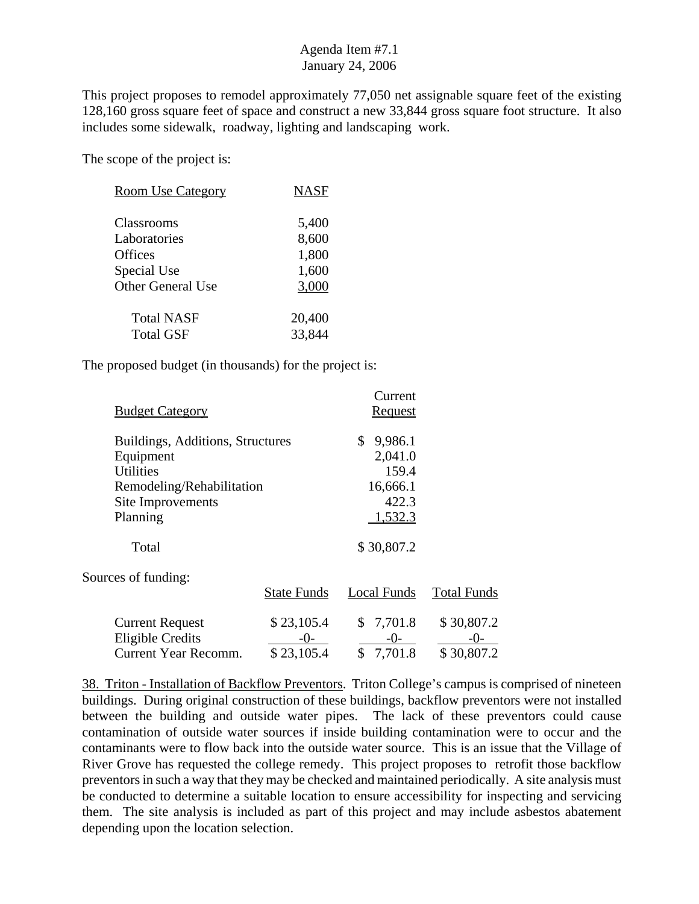This project proposes to remodel approximately 77,050 net assignable square feet of the existing 128,160 gross square feet of space and construct a new 33,844 gross square foot structure. It also includes some sidewalk, roadway, lighting and landscaping work.

The scope of the project is:

| <b>Room Use Category</b> | <b>NASF</b> |
|--------------------------|-------------|
| Classrooms               | 5,400       |
| Laboratories             | 8,600       |
| Offices                  | 1,800       |
| Special Use              | 1,600       |
| <b>Other General Use</b> | 3,000       |
| <b>Total NASF</b>        | 20,400      |
| <b>Total GSF</b>         | 33,844      |

The proposed budget (in thousands) for the project is:

|                                  | Current        |                    |
|----------------------------------|----------------|--------------------|
|                                  | <u>Request</u> |                    |
| Buildings, Additions, Structures | \$<br>9,986.1  |                    |
|                                  | 2,041.0        |                    |
|                                  | 159.4          |                    |
| Remodeling/Rehabilitation        | 16,666.1       |                    |
|                                  | 422.3          |                    |
|                                  | 1,532.3        |                    |
|                                  | \$30,807.2     |                    |
|                                  |                |                    |
| <b>State Funds</b>               | Local Funds    | <b>Total Funds</b> |
| \$23,105.4                       | 7,701.8<br>\$  | \$30,807.2         |
| $-0-$                            | $-0-$          | -()-               |
| \$23,105.4                       | \$<br>7,701.8  | \$30,807.2         |
|                                  |                |                    |

38. Triton - Installation of Backflow Preventors. Triton College's campus is comprised of nineteen buildings. During original construction of these buildings, backflow preventors were not installed between the building and outside water pipes. The lack of these preventors could cause contamination of outside water sources if inside building contamination were to occur and the contaminants were to flow back into the outside water source. This is an issue that the Village of River Grove has requested the college remedy. This project proposes to retrofit those backflow preventors in such a way that they may be checked and maintained periodically. A site analysis must be conducted to determine a suitable location to ensure accessibility for inspecting and servicing them. The site analysis is included as part of this project and may include asbestos abatement depending upon the location selection.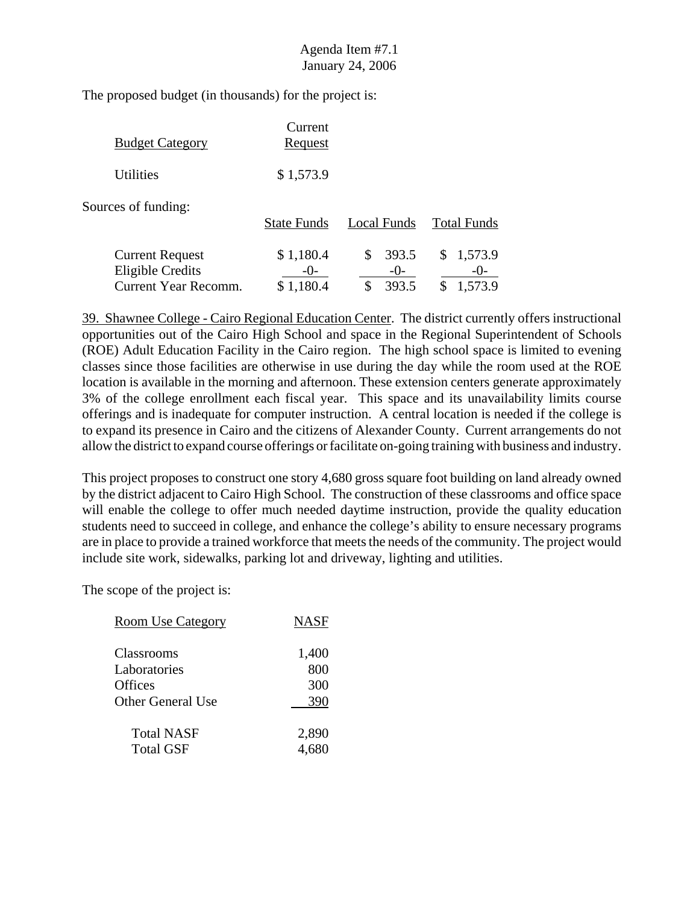The proposed budget (in thousands) for the project is:

| <b>Budget Category</b>                                                           | Current<br><u>Request</u> |                                      |                                     |
|----------------------------------------------------------------------------------|---------------------------|--------------------------------------|-------------------------------------|
| <b>Utilities</b>                                                                 | \$1,573.9                 |                                      |                                     |
| Sources of funding:                                                              | <b>State Funds</b>        | Local Funds                          | <b>Total Funds</b>                  |
| <b>Current Request</b><br><b>Eligible Credits</b><br><b>Current Year Recomm.</b> | \$1,180.4<br>\$1,180.4    | \$<br>393.5<br>$-()$ -<br>393.5<br>S | 1,573.9<br>S.<br>$-()$ -<br>1,573.9 |

39. Shawnee College - Cairo Regional Education Center. The district currently offers instructional opportunities out of the Cairo High School and space in the Regional Superintendent of Schools (ROE) Adult Education Facility in the Cairo region. The high school space is limited to evening classes since those facilities are otherwise in use during the day while the room used at the ROE location is available in the morning and afternoon. These extension centers generate approximately 3% of the college enrollment each fiscal year. This space and its unavailability limits course offerings and is inadequate for computer instruction. A central location is needed if the college is to expand its presence in Cairo and the citizens of Alexander County. Current arrangements do not allow the district to expand course offerings or facilitate on-going training with business and industry.

This project proposes to construct one story 4,680 gross square foot building on land already owned by the district adjacent to Cairo High School. The construction of these classrooms and office space will enable the college to offer much needed daytime instruction, provide the quality education students need to succeed in college, and enhance the college's ability to ensure necessary programs are in place to provide a trained workforce that meets the needs of the community. The project would include site work, sidewalks, parking lot and driveway, lighting and utilities.

The scope of the project is:

| <b>Room Use Category</b> | <b>NASF</b> |
|--------------------------|-------------|
|                          |             |
| Classrooms               | 1,400       |
| Laboratories             | 800         |
| Offices                  | 300         |
| Other General Use        | 390         |
|                          |             |
| <b>Total NASF</b>        | 2,890       |
| <b>Total GSF</b>         | 4.680       |
|                          |             |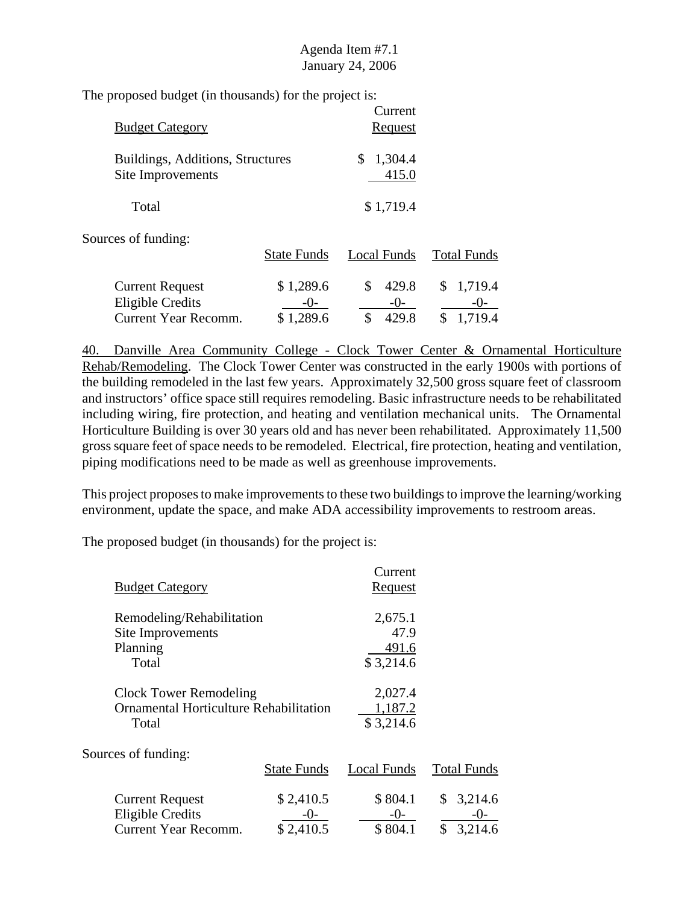The proposed budget (in thousands) for the project is:

| <b>Budget Category</b>                                |                    |             | Current<br>Request |                        |
|-------------------------------------------------------|--------------------|-------------|--------------------|------------------------|
| Buildings, Additions, Structures<br>Site Improvements |                    | \$          | 1,304.4<br>415.0   |                        |
| Total                                                 |                    |             | \$1,719.4          |                        |
| Sources of funding:                                   | <b>State Funds</b> | Local Funds |                    | <b>Total Funds</b>     |
| <b>Current Request</b><br><b>Eligible Credits</b>     | \$1,289.6<br>$-()$ | \$          | 429.8<br>$-()$     | \$<br>1,719.4<br>$-()$ |
| Current Year Recomm.                                  | \$1,289.6          | \$          | 429.8              | \$<br>1,719.4          |

40. Danville Area Community College - Clock Tower Center & Ornamental Horticulture Rehab/Remodeling. The Clock Tower Center was constructed in the early 1900s with portions of the building remodeled in the last few years. Approximately 32,500 gross square feet of classroom and instructors' office space still requires remodeling. Basic infrastructure needs to be rehabilitated including wiring, fire protection, and heating and ventilation mechanical units. The Ornamental Horticulture Building is over 30 years old and has never been rehabilitated. Approximately 11,500 gross square feet of space needs to be remodeled. Electrical, fire protection, heating and ventilation, piping modifications need to be made as well as greenhouse improvements.

This project proposes to make improvements to these two buildings to improve the learning/working environment, update the space, and make ADA accessibility improvements to restroom areas.

|                                        |                    | Current        |                    |
|----------------------------------------|--------------------|----------------|--------------------|
| <b>Budget Category</b>                 |                    | <u>Request</u> |                    |
| Remodeling/Rehabilitation              |                    | 2,675.1        |                    |
| Site Improvements                      |                    | 47.9           |                    |
| Planning                               |                    | 491.6          |                    |
| Total                                  |                    | \$3,214.6      |                    |
| <b>Clock Tower Remodeling</b>          |                    | 2,027.4        |                    |
| Ornamental Horticulture Rehabilitation |                    | 1,187.2        |                    |
| Total                                  |                    | \$3,214.6      |                    |
| Sources of funding:                    |                    |                |                    |
|                                        | <b>State Funds</b> | Local Funds    | <b>Total Funds</b> |
| <b>Current Request</b>                 | \$2,410.5          | \$804.1        | \$<br>3,214.6      |
| <b>Eligible Credits</b>                | $-()$              | $-()$          | $-()$              |
| <b>Current Year Recomm.</b>            | \$2,410.5          | \$804.1        | \$3,214.6          |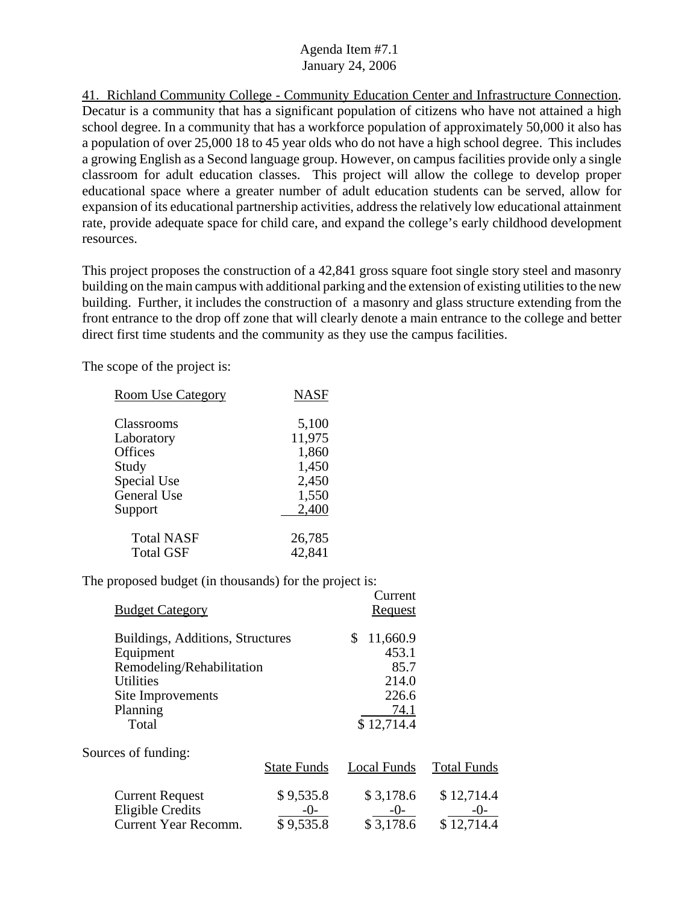41. Richland Community College - Community Education Center and Infrastructure Connection. Decatur is a community that has a significant population of citizens who have not attained a high school degree. In a community that has a workforce population of approximately 50,000 it also has a population of over 25,000 18 to 45 year olds who do not have a high school degree. This includes a growing English as a Second language group. However, on campus facilities provide only a single classroom for adult education classes. This project will allow the college to develop proper educational space where a greater number of adult education students can be served, allow for expansion of its educational partnership activities, address the relatively low educational attainment rate, provide adequate space for child care, and expand the college's early childhood development resources.

This project proposes the construction of a 42,841 gross square foot single story steel and masonry building on the main campus with additional parking and the extension of existing utilities to the new building. Further, it includes the construction of a masonry and glass structure extending from the front entrance to the drop off zone that will clearly denote a main entrance to the college and better direct first time students and the community as they use the campus facilities.

The scope of the project is:

| <b>Room Use Category</b>    | <b>NASF</b>     |
|-----------------------------|-----------------|
| Classrooms                  | 5,100           |
| Laboratory<br>Offices       | 11,975<br>1,860 |
| Study<br><b>Special Use</b> | 1,450<br>2,450  |
| General Use<br>Support      | 1,550<br>2,400  |
| <b>Total NASF</b>           | 26,785          |
| <b>Total GSF</b>            | 42,841          |

|                                  |                    | Current        |                    |
|----------------------------------|--------------------|----------------|--------------------|
| <b>Budget Category</b>           |                    | <b>Request</b> |                    |
| Buildings, Additions, Structures |                    | \$<br>11,660.9 |                    |
| Equipment                        |                    | 453.1          |                    |
| Remodeling/Rehabilitation        |                    | 85.7           |                    |
| <b>Utilities</b>                 |                    | 214.0          |                    |
| Site Improvements                |                    | 226.6          |                    |
| Planning                         |                    | 74.1           |                    |
| Total                            |                    | \$12,714.4     |                    |
| Sources of funding:              |                    |                |                    |
|                                  | <b>State Funds</b> | Local Funds    | <b>Total Funds</b> |
| <b>Current Request</b>           | \$9,535.8          | \$3,178.6      | \$12,714.4         |
| <b>Eligible Credits</b>          | -0-                | $-0-$          | $-()$ -            |
| <b>Current Year Recomm.</b>      | \$9,535.8          | \$3,178.6      | \$12,714.4         |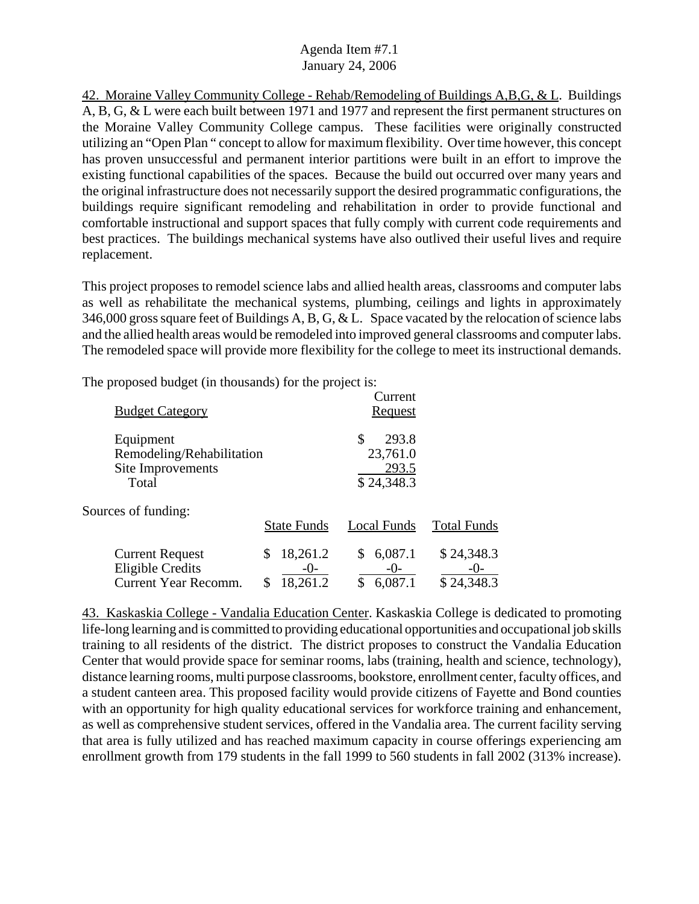42. Moraine Valley Community College - Rehab/Remodeling of Buildings A,B,G, & L. Buildings A, B, G, & L were each built between 1971 and 1977 and represent the first permanent structures on the Moraine Valley Community College campus. These facilities were originally constructed utilizing an "Open Plan " concept to allow for maximum flexibility. Over time however, this concept has proven unsuccessful and permanent interior partitions were built in an effort to improve the existing functional capabilities of the spaces. Because the build out occurred over many years and the original infrastructure does not necessarily support the desired programmatic configurations, the buildings require significant remodeling and rehabilitation in order to provide functional and comfortable instructional and support spaces that fully comply with current code requirements and best practices. The buildings mechanical systems have also outlived their useful lives and require replacement.

This project proposes to remodel science labs and allied health areas, classrooms and computer labs as well as rehabilitate the mechanical systems, plumbing, ceilings and lights in approximately 346,000 gross square feet of Buildings A, B, G, & L. Space vacated by the relocation of science labs and the allied health areas would be remodeled into improved general classrooms and computer labs. The remodeled space will provide more flexibility for the college to meet its instructional demands.

The proposed budget (in thousands) for the project is:

| <b>Budget Category</b>                                                           |                               | Current<br><u>Request</u>                      |                                     |
|----------------------------------------------------------------------------------|-------------------------------|------------------------------------------------|-------------------------------------|
| Equipment<br>Remodeling/Rehabilitation<br>Site Improvements<br>Total             |                               | \$<br>293.8<br>23,761.0<br>293.5<br>\$24,348.3 |                                     |
| Sources of funding:                                                              | <b>State Funds</b>            | Local Funds                                    | <b>Total Funds</b>                  |
| <b>Current Request</b><br><b>Eligible Credits</b><br><b>Current Year Recomm.</b> | 18,261.2<br>$-()$<br>18,261.2 | 6,087.1<br>$-()$<br>6,087.1                    | \$24,348.3<br>$-()$ -<br>\$24,348.3 |

43. Kaskaskia College - Vandalia Education Center. Kaskaskia College is dedicated to promoting life-long learning and is committed to providing educational opportunities and occupational job skills training to all residents of the district. The district proposes to construct the Vandalia Education Center that would provide space for seminar rooms, labs (training, health and science, technology), distance learning rooms, multi purpose classrooms, bookstore, enrollment center, faculty offices, and a student canteen area. This proposed facility would provide citizens of Fayette and Bond counties with an opportunity for high quality educational services for workforce training and enhancement, as well as comprehensive student services, offered in the Vandalia area. The current facility serving that area is fully utilized and has reached maximum capacity in course offerings experiencing am enrollment growth from 179 students in the fall 1999 to 560 students in fall 2002 (313% increase).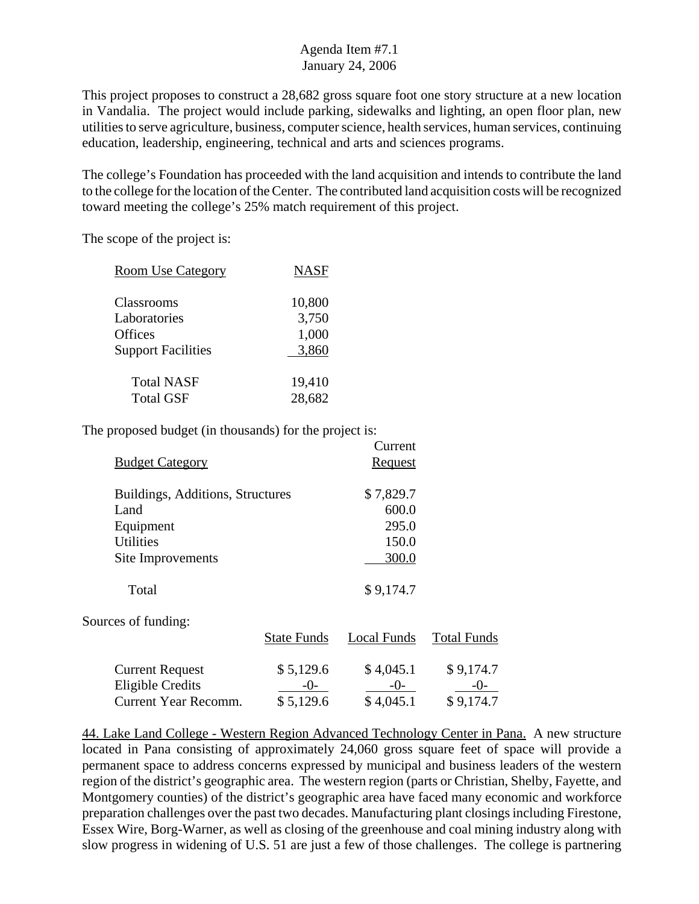This project proposes to construct a 28,682 gross square foot one story structure at a new location in Vandalia. The project would include parking, sidewalks and lighting, an open floor plan, new utilities to serve agriculture, business, computer science, health services, human services, continuing education, leadership, engineering, technical and arts and sciences programs.

The college's Foundation has proceeded with the land acquisition and intends to contribute the land to the college for the location of the Center. The contributed land acquisition costs will be recognized toward meeting the college's 25% match requirement of this project.

The scope of the project is:

| <b>Room Use Category</b>  | <b>NASF</b> |
|---------------------------|-------------|
|                           |             |
| Classrooms                | 10,800      |
| Laboratories              | 3,750       |
| Offices                   | 1,000       |
| <b>Support Facilities</b> | 3,860       |
|                           |             |
| <b>Total NASF</b>         | 19,410      |
| <b>Total GSF</b>          | 28,682      |
|                           |             |

The proposed budget (in thousands) for the project is:

|                                  |                    | Current            |                    |
|----------------------------------|--------------------|--------------------|--------------------|
| <b>Budget Category</b>           |                    | <b>Request</b>     |                    |
| Buildings, Additions, Structures |                    | \$7,829.7          |                    |
| Land                             |                    | 600.0              |                    |
| Equipment                        |                    | 295.0              |                    |
| <b>Utilities</b>                 |                    | 150.0              |                    |
| Site Improvements                |                    | 300.0              |                    |
| Total                            |                    | \$9,174.7          |                    |
| Sources of funding:              |                    |                    |                    |
|                                  | <b>State Funds</b> | <b>Local Funds</b> | <b>Total Funds</b> |
| <b>Current Request</b>           | \$5,129.6          | \$4,045.1          | \$9,174.7          |
| <b>Eligible Credits</b>          | -0-                | $-()$              | $-()$ -            |
| <b>Current Year Recomm.</b>      | \$5,129.6          | \$4,045.1          | \$9,174.7          |

44. Lake Land College - Western Region Advanced Technology Center in Pana. A new structure located in Pana consisting of approximately 24,060 gross square feet of space will provide a permanent space to address concerns expressed by municipal and business leaders of the western region of the district's geographic area. The western region (parts or Christian, Shelby, Fayette, and Montgomery counties) of the district's geographic area have faced many economic and workforce preparation challenges over the past two decades. Manufacturing plant closings including Firestone, Essex Wire, Borg-Warner, as well as closing of the greenhouse and coal mining industry along with slow progress in widening of U.S. 51 are just a few of those challenges. The college is partnering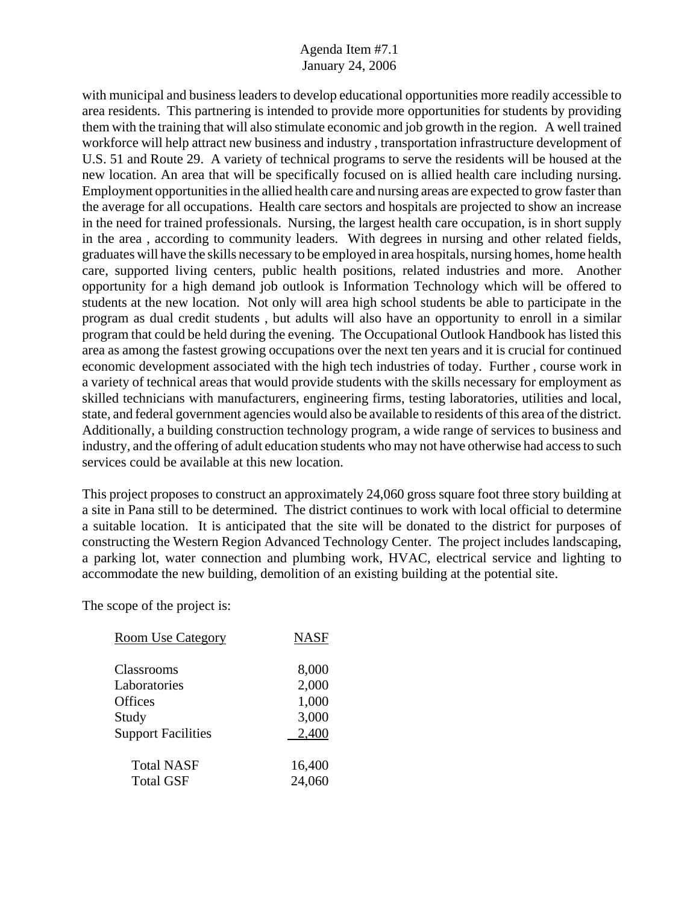with municipal and business leaders to develop educational opportunities more readily accessible to area residents. This partnering is intended to provide more opportunities for students by providing them with the training that will also stimulate economic and job growth in the region. A well trained workforce will help attract new business and industry , transportation infrastructure development of U.S. 51 and Route 29. A variety of technical programs to serve the residents will be housed at the new location. An area that will be specifically focused on is allied health care including nursing. Employment opportunities in the allied health care and nursing areas are expected to grow faster than the average for all occupations. Health care sectors and hospitals are projected to show an increase in the need for trained professionals. Nursing, the largest health care occupation, is in short supply in the area , according to community leaders. With degrees in nursing and other related fields, graduates will have the skills necessary to be employed in area hospitals, nursing homes, home health care, supported living centers, public health positions, related industries and more. Another opportunity for a high demand job outlook is Information Technology which will be offered to students at the new location. Not only will area high school students be able to participate in the program as dual credit students , but adults will also have an opportunity to enroll in a similar program that could be held during the evening. The Occupational Outlook Handbook has listed this area as among the fastest growing occupations over the next ten years and it is crucial for continued economic development associated with the high tech industries of today. Further , course work in a variety of technical areas that would provide students with the skills necessary for employment as skilled technicians with manufacturers, engineering firms, testing laboratories, utilities and local, state, and federal government agencies would also be available to residents of this area of the district. Additionally, a building construction technology program, a wide range of services to business and industry, and the offering of adult education students who may not have otherwise had access to such services could be available at this new location.

This project proposes to construct an approximately 24,060 gross square foot three story building at a site in Pana still to be determined. The district continues to work with local official to determine a suitable location. It is anticipated that the site will be donated to the district for purposes of constructing the Western Region Advanced Technology Center. The project includes landscaping, a parking lot, water connection and plumbing work, HVAC, electrical service and lighting to accommodate the new building, demolition of an existing building at the potential site.

The scope of the project is:

| 8,000<br>2,000          |
|-------------------------|
| 1,000<br>3,000<br>2,400 |
| 16,400<br>24,060        |
|                         |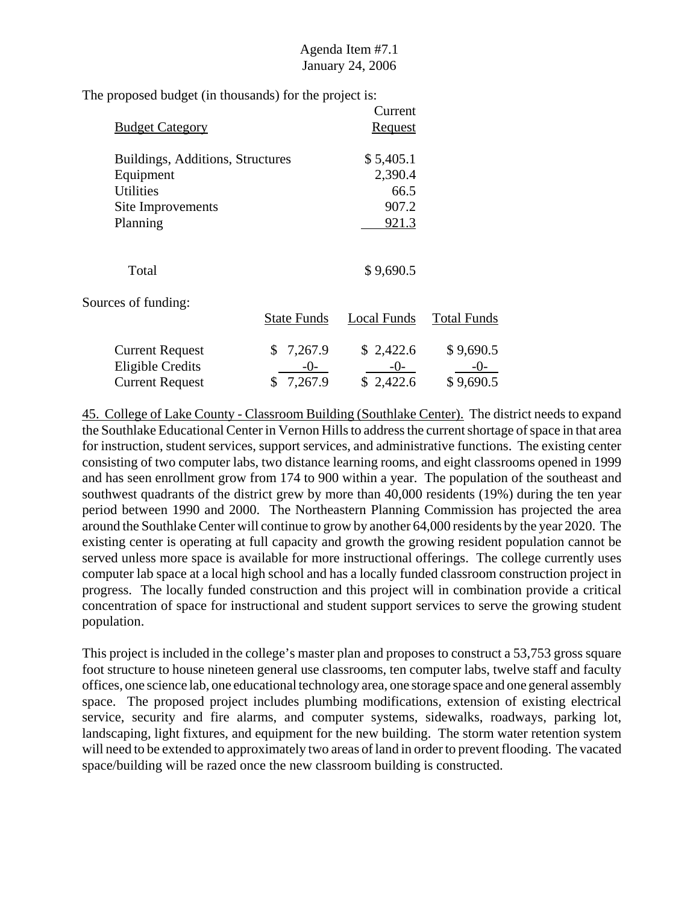The proposed budget (in thousands) for the project is:

|                                  |                    | Current            |                    |
|----------------------------------|--------------------|--------------------|--------------------|
| <b>Budget Category</b>           |                    | <u>Request</u>     |                    |
| Buildings, Additions, Structures |                    | \$5,405.1          |                    |
| Equipment                        |                    | 2,390.4            |                    |
| <b>Utilities</b>                 |                    | 66.5               |                    |
| Site Improvements                |                    | 907.2              |                    |
| Planning                         |                    | 921.3              |                    |
| Total                            |                    | \$9,690.5          |                    |
| Sources of funding:              |                    |                    |                    |
|                                  | <b>State Funds</b> | <b>Local Funds</b> | <b>Total Funds</b> |
| <b>Current Request</b>           | 7,267.9<br>S.      | \$2,422.6          | \$9,690.5          |
| <b>Eligible Credits</b>          | -0-                | $-0-$              | $-()$ -            |
| <b>Current Request</b>           | 7,267.9<br>\$      | \$2,422.6          | \$9,690.5          |

45. College of Lake County - Classroom Building (Southlake Center). The district needs to expand the Southlake Educational Center in Vernon Hills to address the current shortage of space in that area for instruction, student services, support services, and administrative functions. The existing center consisting of two computer labs, two distance learning rooms, and eight classrooms opened in 1999 and has seen enrollment grow from 174 to 900 within a year. The population of the southeast and southwest quadrants of the district grew by more than 40,000 residents (19%) during the ten year period between 1990 and 2000. The Northeastern Planning Commission has projected the area around the Southlake Center will continue to grow by another 64,000 residents by the year 2020. The existing center is operating at full capacity and growth the growing resident population cannot be served unless more space is available for more instructional offerings. The college currently uses computer lab space at a local high school and has a locally funded classroom construction project in progress. The locally funded construction and this project will in combination provide a critical concentration of space for instructional and student support services to serve the growing student population.

This project is included in the college's master plan and proposes to construct a 53,753 gross square foot structure to house nineteen general use classrooms, ten computer labs, twelve staff and faculty offices, one science lab, one educational technology area, one storage space and one general assembly space. The proposed project includes plumbing modifications, extension of existing electrical service, security and fire alarms, and computer systems, sidewalks, roadways, parking lot, landscaping, light fixtures, and equipment for the new building. The storm water retention system will need to be extended to approximately two areas of land in order to prevent flooding. The vacated space/building will be razed once the new classroom building is constructed.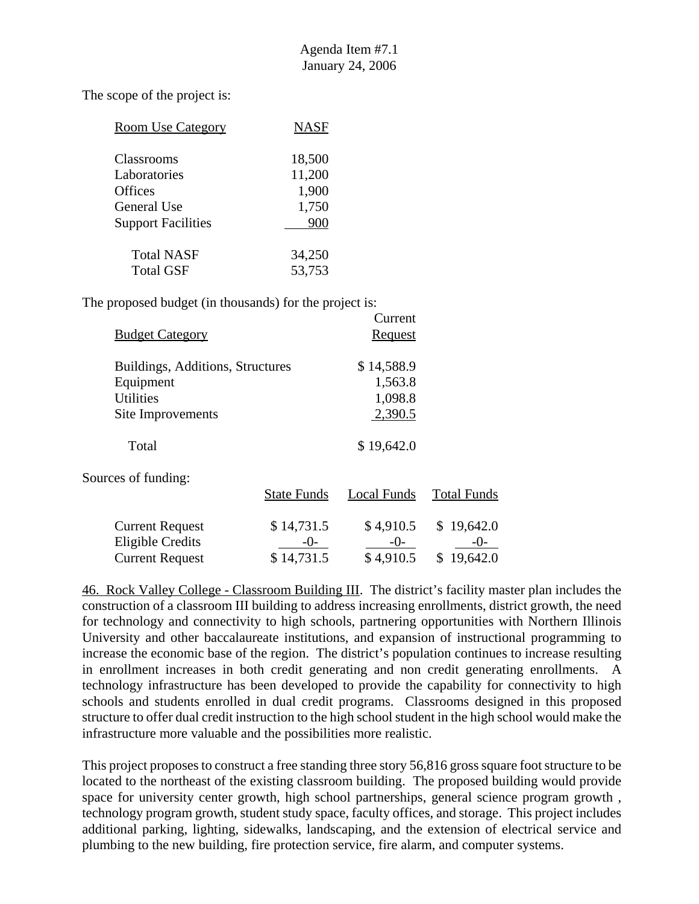The scope of the project is:

| <b>Room Use Category</b>  | <b>NASF</b> |
|---------------------------|-------------|
| Classrooms                | 18,500      |
| Laboratories              | 11,200      |
| <b>Offices</b>            | 1,900       |
| General Use               | 1,750       |
| <b>Support Facilities</b> | 900         |
| <b>Total NASF</b>         | 34,250      |
| <b>Total GSF</b>          | 53,753      |

The proposed budget (in thousands) for the project is:

| <b>Budget Category</b>                            |                    | Current<br><b>Request</b> |                    |
|---------------------------------------------------|--------------------|---------------------------|--------------------|
| Buildings, Additions, Structures                  |                    | \$14,588.9                |                    |
| Equipment                                         |                    | 1,563.8                   |                    |
| <b>Utilities</b>                                  |                    | 1,098.8                   |                    |
| Site Improvements                                 |                    | 2,390.5                   |                    |
| Total                                             |                    | \$19,642.0                |                    |
| Sources of funding:                               |                    |                           |                    |
|                                                   | <b>State Funds</b> | Local Funds               | <b>Total Funds</b> |
| <b>Current Request</b><br><b>Eligible Credits</b> | \$14,731.5         | \$4,910.5<br>-0-          | \$19,642.0         |

Current Request  $$ 14,731.5 \qquad $ 4,910.5 \qquad $ 19,642.0$ 

46. Rock Valley College - Classroom Building III. The district's facility master plan includes the construction of a classroom III building to address increasing enrollments, district growth, the need for technology and connectivity to high schools, partnering opportunities with Northern Illinois University and other baccalaureate institutions, and expansion of instructional programming to increase the economic base of the region. The district's population continues to increase resulting in enrollment increases in both credit generating and non credit generating enrollments. A technology infrastructure has been developed to provide the capability for connectivity to high schools and students enrolled in dual credit programs. Classrooms designed in this proposed structure to offer dual credit instruction to the high school student in the high school would make the infrastructure more valuable and the possibilities more realistic.

This project proposes to construct a free standing three story 56,816 gross square foot structure to be located to the northeast of the existing classroom building. The proposed building would provide space for university center growth, high school partnerships, general science program growth , technology program growth, student study space, faculty offices, and storage. This project includes additional parking, lighting, sidewalks, landscaping, and the extension of electrical service and plumbing to the new building, fire protection service, fire alarm, and computer systems.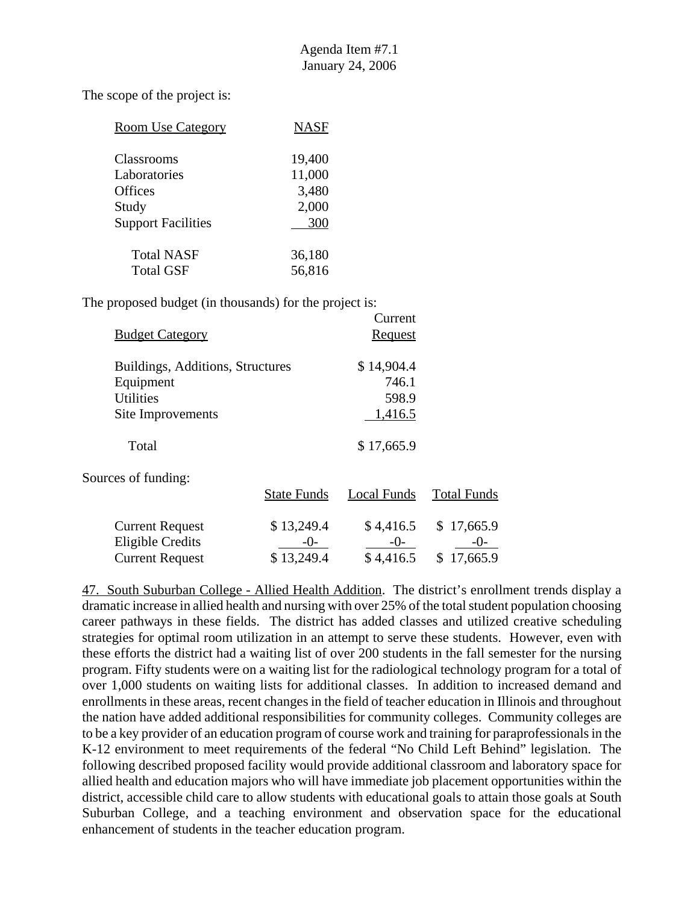| <b>Room Use Category</b>  | <b>NASF</b> |
|---------------------------|-------------|
| Classrooms                | 19,400      |
| Laboratories              | 11,000      |
| <b>Offices</b>            | 3,480       |
| Study                     | 2,000       |
| <b>Support Facilities</b> | 300         |
| <b>Total NASF</b>         | 36,180      |
| <b>Total GSF</b>          | 56,816      |

The proposed budget (in thousands) for the project is:

| <b>Budget Category</b>                            |                    | Current<br>Request   |                    |
|---------------------------------------------------|--------------------|----------------------|--------------------|
| Buildings, Additions, Structures                  |                    | \$14,904.4           |                    |
| Equipment                                         |                    | 746.1                |                    |
| <b>Utilities</b>                                  |                    | 598.9                |                    |
| Site Improvements                                 |                    | 1,416.5              |                    |
| Total                                             |                    | \$17,665.9           |                    |
| Sources of funding:                               |                    |                      |                    |
|                                                   | <b>State Funds</b> | Local Funds          | <b>Total Funds</b> |
| <b>Current Request</b><br><b>Eligible Credits</b> | \$13,249.4<br>-()- | \$4,416.5<br>$-()$ - | \$17,665.9<br>-()- |

Current Request  $$ 13,249.4$   $$ 4,416.5$   $$ 17,665.9$ 

47. South Suburban College - Allied Health Addition. The district's enrollment trends display a dramatic increase in allied health and nursing with over 25% of the total student population choosing career pathways in these fields. The district has added classes and utilized creative scheduling strategies for optimal room utilization in an attempt to serve these students. However, even with these efforts the district had a waiting list of over 200 students in the fall semester for the nursing program. Fifty students were on a waiting list for the radiological technology program for a total of over 1,000 students on waiting lists for additional classes. In addition to increased demand and enrollments in these areas, recent changes in the field of teacher education in Illinois and throughout the nation have added additional responsibilities for community colleges. Community colleges are to be a key provider of an education program of course work and training for paraprofessionals in the K-12 environment to meet requirements of the federal "No Child Left Behind" legislation. The following described proposed facility would provide additional classroom and laboratory space for allied health and education majors who will have immediate job placement opportunities within the district, accessible child care to allow students with educational goals to attain those goals at South Suburban College, and a teaching environment and observation space for the educational enhancement of students in the teacher education program.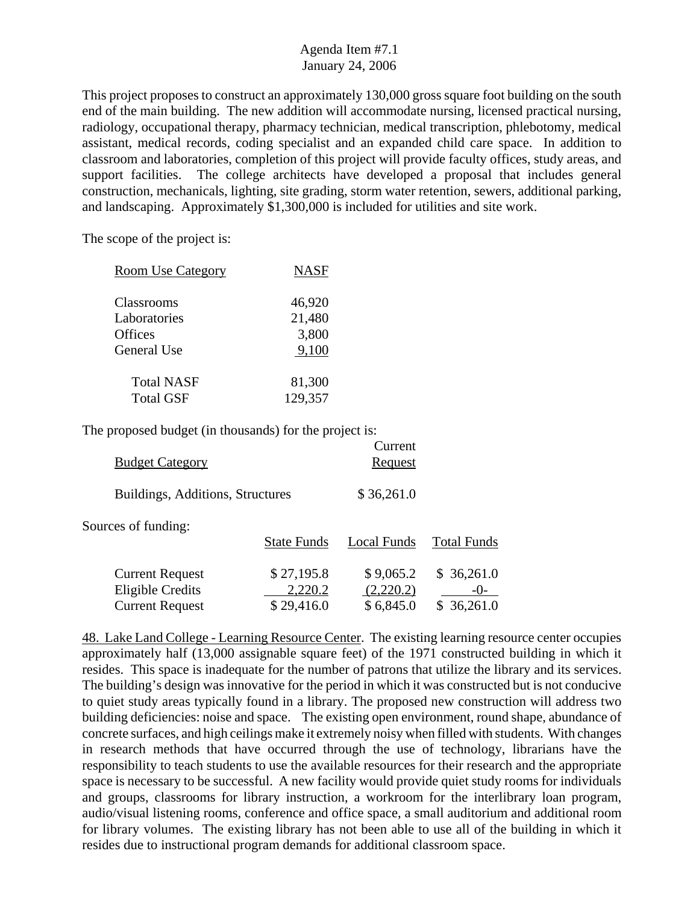This project proposes to construct an approximately 130,000 gross square foot building on the south end of the main building. The new addition will accommodate nursing, licensed practical nursing, radiology, occupational therapy, pharmacy technician, medical transcription, phlebotomy, medical assistant, medical records, coding specialist and an expanded child care space. In addition to classroom and laboratories, completion of this project will provide faculty offices, study areas, and support facilities. The college architects have developed a proposal that includes general construction, mechanicals, lighting, site grading, storm water retention, sewers, additional parking, and landscaping. Approximately \$1,300,000 is included for utilities and site work.

The scope of the project is:

| <b>Room Use Category</b>   | <b>NASF</b>      |
|----------------------------|------------------|
| Classrooms<br>Laboratories | 46,920<br>21,480 |
| Offices<br>General Use     | 3,800<br>9,100   |
| <b>Total NASF</b>          | 81,300           |
| <b>Total GSF</b>           | 129,357          |

The proposed budget (in thousands) for the project is:

| <b>Budget Category</b>                                               |                                     | Current<br>Request                  |                                  |
|----------------------------------------------------------------------|-------------------------------------|-------------------------------------|----------------------------------|
| Buildings, Additions, Structures                                     |                                     | \$36,261.0                          |                                  |
| Sources of funding:                                                  | <b>State Funds</b>                  | Local Funds                         | <b>Total Funds</b>               |
| <b>Current Request</b><br>Eligible Credits<br><b>Current Request</b> | \$27,195.8<br>2,220.2<br>\$29,416.0 | \$9,065.2<br>(2,220.2)<br>\$6,845.0 | \$36,261.0<br>-()-<br>\$36,261.0 |

48. Lake Land College - Learning Resource Center. The existing learning resource center occupies approximately half (13,000 assignable square feet) of the 1971 constructed building in which it resides. This space is inadequate for the number of patrons that utilize the library and its services. The building's design was innovative for the period in which it was constructed but is not conducive to quiet study areas typically found in a library. The proposed new construction will address two building deficiencies: noise and space. The existing open environment, round shape, abundance of concrete surfaces, and high ceilings make it extremely noisy when filled with students. With changes in research methods that have occurred through the use of technology, librarians have the responsibility to teach students to use the available resources for their research and the appropriate space is necessary to be successful. A new facility would provide quiet study rooms for individuals and groups, classrooms for library instruction, a workroom for the interlibrary loan program, audio/visual listening rooms, conference and office space, a small auditorium and additional room for library volumes. The existing library has not been able to use all of the building in which it resides due to instructional program demands for additional classroom space.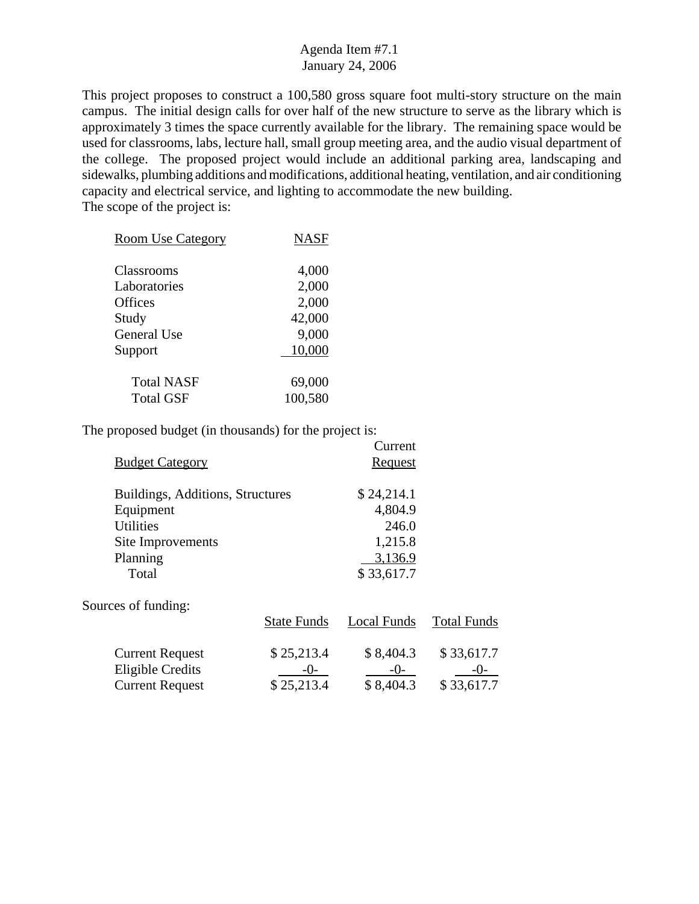This project proposes to construct a 100,580 gross square foot multi-story structure on the main campus. The initial design calls for over half of the new structure to serve as the library which is approximately 3 times the space currently available for the library. The remaining space would be used for classrooms, labs, lecture hall, small group meeting area, and the audio visual department of the college. The proposed project would include an additional parking area, landscaping and sidewalks, plumbing additions and modifications, additional heating, ventilation, and air conditioning capacity and electrical service, and lighting to accommodate the new building. The scope of the project is:

| <b>Room Use Category</b> | <b>NASF</b> |
|--------------------------|-------------|
| Classrooms               | 4,000       |
| Laboratories             | 2,000       |
| Offices                  | 2,000       |
| Study                    | 42,000      |
| <b>General Use</b>       | 9,000       |
| Support                  | 10,000      |
| <b>Total NASF</b>        | 69,000      |
| <b>Total GSF</b>         | 100,580     |

|                                  |                    | Current        |                    |
|----------------------------------|--------------------|----------------|--------------------|
| <b>Budget Category</b>           |                    | <b>Request</b> |                    |
| Buildings, Additions, Structures |                    | \$24,214.1     |                    |
|                                  |                    |                |                    |
| Equipment                        |                    | 4,804.9        |                    |
| <b>Utilities</b>                 |                    | 246.0          |                    |
| Site Improvements                |                    | 1,215.8        |                    |
| Planning                         |                    | 3,136.9        |                    |
| Total                            |                    | \$33,617.7     |                    |
| Sources of funding:              |                    |                |                    |
|                                  | <b>State Funds</b> | Local Funds    | <b>Total Funds</b> |
| <b>Current Request</b>           | \$25,213.4         | \$8,404.3      | \$33,617.7         |
| <b>Eligible Credits</b>          | -0-                | $-0-$          | $-()$ -            |
| <b>Current Request</b>           | \$25,213.4         | \$8,404.3      | \$33,617.7         |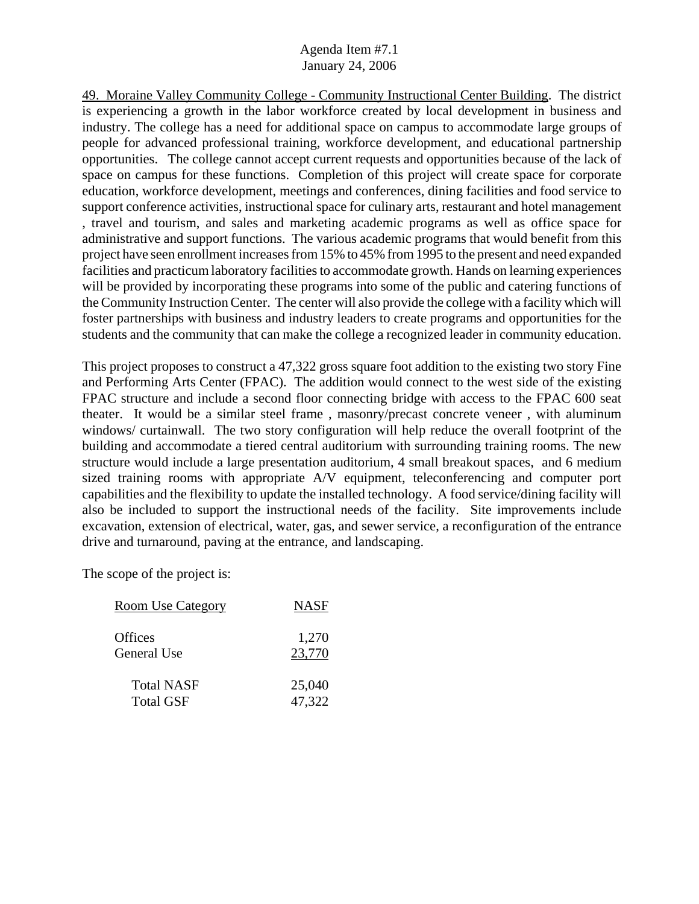49. Moraine Valley Community College - Community Instructional Center Building. The district is experiencing a growth in the labor workforce created by local development in business and industry. The college has a need for additional space on campus to accommodate large groups of people for advanced professional training, workforce development, and educational partnership opportunities. The college cannot accept current requests and opportunities because of the lack of space on campus for these functions. Completion of this project will create space for corporate education, workforce development, meetings and conferences, dining facilities and food service to support conference activities, instructional space for culinary arts, restaurant and hotel management , travel and tourism, and sales and marketing academic programs as well as office space for administrative and support functions. The various academic programs that would benefit from this project have seen enrollment increases from 15% to 45% from 1995 to the present and need expanded facilities and practicum laboratory facilities to accommodate growth. Hands on learning experiences will be provided by incorporating these programs into some of the public and catering functions of the Community Instruction Center. The center will also provide the college with a facility which will foster partnerships with business and industry leaders to create programs and opportunities for the students and the community that can make the college a recognized leader in community education.

This project proposes to construct a 47,322 gross square foot addition to the existing two story Fine and Performing Arts Center (FPAC). The addition would connect to the west side of the existing FPAC structure and include a second floor connecting bridge with access to the FPAC 600 seat theater. It would be a similar steel frame , masonry/precast concrete veneer , with aluminum windows/ curtainwall. The two story configuration will help reduce the overall footprint of the building and accommodate a tiered central auditorium with surrounding training rooms. The new structure would include a large presentation auditorium, 4 small breakout spaces, and 6 medium sized training rooms with appropriate A/V equipment, teleconferencing and computer port capabilities and the flexibility to update the installed technology. A food service/dining facility will also be included to support the instructional needs of the facility. Site improvements include excavation, extension of electrical, water, gas, and sewer service, a reconfiguration of the entrance drive and turnaround, paving at the entrance, and landscaping.

The scope of the project is:

| <u>Room Use Category</u> | <b>NASF</b> |
|--------------------------|-------------|
| Offices                  | 1,270       |
| General Use              | 23,770      |
| <b>Total NASF</b>        | 25,040      |
| <b>Total GSF</b>         | 47,322      |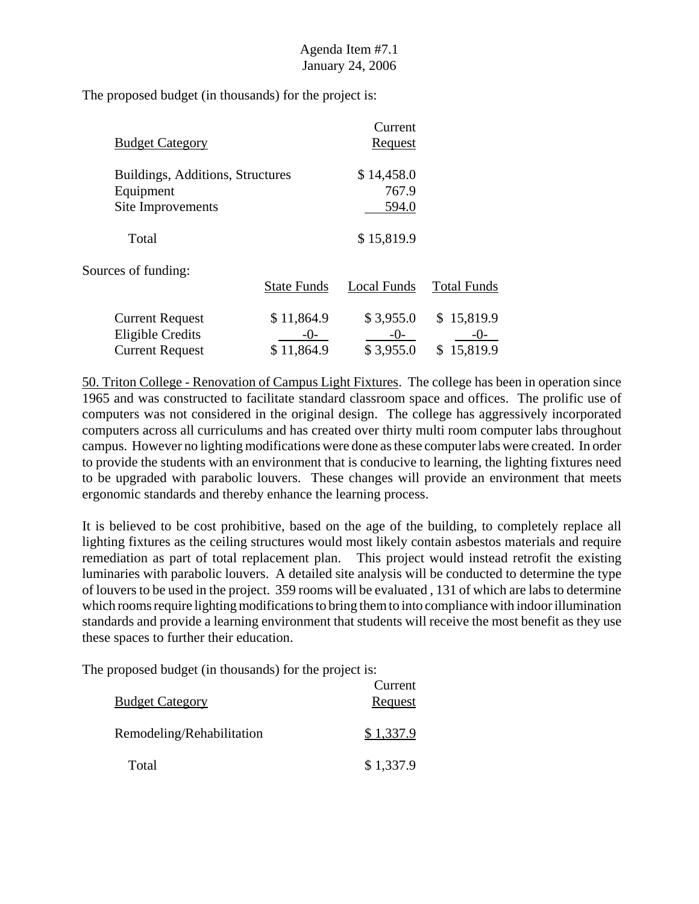The proposed budget (in thousands) for the project is:

| <b>Budget Category</b>           |                    | Current<br><b>Request</b> |                    |
|----------------------------------|--------------------|---------------------------|--------------------|
| Buildings, Additions, Structures |                    | \$14,458.0                |                    |
| Equipment                        |                    | 767.9                     |                    |
| Site Improvements                |                    | 594.0                     |                    |
| Total                            |                    | \$15,819.9                |                    |
| Sources of funding:              |                    |                           |                    |
|                                  | <b>State Funds</b> | Local Funds               | <b>Total Funds</b> |
| <b>Current Request</b>           | \$11,864.9         | \$3,955.0                 | \$15,819.9         |
| <b>Eligible Credits</b>          | $-()$ -            | $-()$                     | -()-               |
| <b>Current Request</b>           | \$11,864.9         | \$3,955.0                 | 15,819.9<br>S.     |

50. Triton College - Renovation of Campus Light Fixtures. The college has been in operation since 1965 and was constructed to facilitate standard classroom space and offices. The prolific use of computers was not considered in the original design. The college has aggressively incorporated computers across all curriculums and has created over thirty multi room computer labs throughout campus. However no lighting modifications were done as these computer labs were created. In order to provide the students with an environment that is conducive to learning, the lighting fixtures need to be upgraded with parabolic louvers. These changes will provide an environment that meets ergonomic standards and thereby enhance the learning process.

It is believed to be cost prohibitive, based on the age of the building, to completely replace all lighting fixtures as the ceiling structures would most likely contain asbestos materials and require remediation as part of total replacement plan. This project would instead retrofit the existing luminaries with parabolic louvers. A detailed site analysis will be conducted to determine the type of louvers to be used in the project. 359 rooms will be evaluated , 131 of which are labs to determine which rooms require lighting modifications to bring them to into compliance with indoor illumination standards and provide a learning environment that students will receive the most benefit as they use these spaces to further their education.

| <b>Budget Category</b>    | Current<br><b>Request</b> |
|---------------------------|---------------------------|
| Remodeling/Rehabilitation | \$1,337.9                 |
| Total                     | \$1,337.9                 |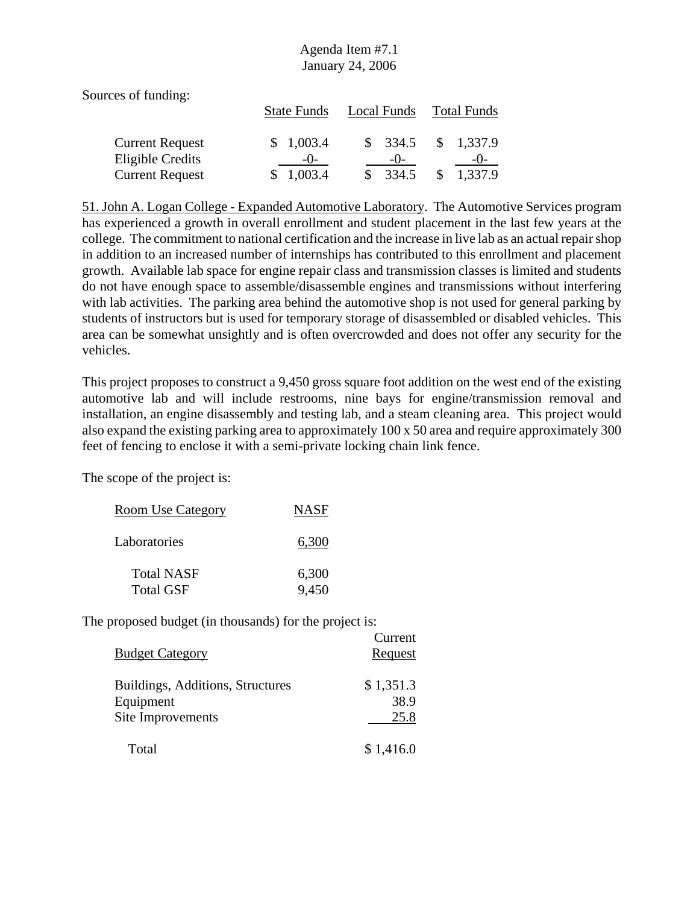Sources of funding:

|                        | <b>State Funds</b> | Local Funds        | <b>Total Funds</b>       |
|------------------------|--------------------|--------------------|--------------------------|
| <b>Current Request</b> | \$1,003.4          | $\frac{\$}{334.5}$ | \$1,337.9                |
| Eligible Credits       | $-()$              | $-()$              | $-()$                    |
| <b>Current Request</b> | 1,003.4<br>SS.     | $\frac{\$}{334.5}$ | 1,337.9<br><sup>\$</sup> |

51. John A. Logan College - Expanded Automotive Laboratory. The Automotive Services program has experienced a growth in overall enrollment and student placement in the last few years at the college. The commitment to national certification and the increase in live lab as an actual repair shop in addition to an increased number of internships has contributed to this enrollment and placement growth. Available lab space for engine repair class and transmission classes is limited and students do not have enough space to assemble/disassemble engines and transmissions without interfering with lab activities. The parking area behind the automotive shop is not used for general parking by students of instructors but is used for temporary storage of disassembled or disabled vehicles. This area can be somewhat unsightly and is often overcrowded and does not offer any security for the vehicles.

This project proposes to construct a 9,450 gross square foot addition on the west end of the existing automotive lab and will include restrooms, nine bays for engine/transmission removal and installation, an engine disassembly and testing lab, and a steam cleaning area. This project would also expand the existing parking area to approximately 100 x 50 area and require approximately 300 feet of fencing to enclose it with a semi-private locking chain link fence.

The scope of the project is:

| Room Use Category | <b>NASF</b> |
|-------------------|-------------|
| Laboratories      | 6,300       |
| <b>Total NASF</b> | 6,300       |
| <b>Total GSF</b>  | 9,450       |

| <b>Budget Category</b>                                             | Current<br>Request        |
|--------------------------------------------------------------------|---------------------------|
| Buildings, Additions, Structures<br>Equipment<br>Site Improvements | \$1,351.3<br>38.9<br>25.8 |
| Total                                                              | \$1,416.0                 |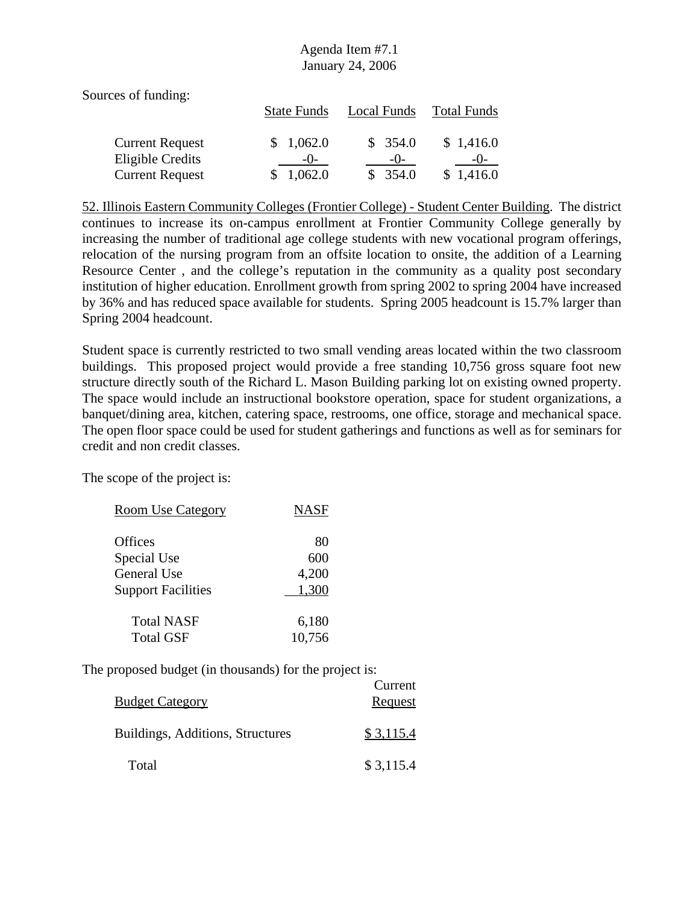Sources of funding:

|                        | <b>State Funds</b> | Local Funds | <b>Total Funds</b> |
|------------------------|--------------------|-------------|--------------------|
| <b>Current Request</b> | \$1,062.0          | \$354.0     | \$1,416.0          |
| Eligible Credits       | $-()$              | $-()$       | $-()$              |
| <b>Current Request</b> | 1,062.0            | \$354.0     | \$1,416.0          |

52. Illinois Eastern Community Colleges (Frontier College) - Student Center Building. The district continues to increase its on-campus enrollment at Frontier Community College generally by increasing the number of traditional age college students with new vocational program offerings, relocation of the nursing program from an offsite location to onsite, the addition of a Learning Resource Center , and the college's reputation in the community as a quality post secondary institution of higher education. Enrollment growth from spring 2002 to spring 2004 have increased by 36% and has reduced space available for students. Spring 2005 headcount is 15.7% larger than Spring 2004 headcount.

Student space is currently restricted to two small vending areas located within the two classroom buildings. This proposed project would provide a free standing 10,756 gross square foot new structure directly south of the Richard L. Mason Building parking lot on existing owned property. The space would include an instructional bookstore operation, space for student organizations, a banquet/dining area, kitchen, catering space, restrooms, one office, storage and mechanical space. The open floor space could be used for student gatherings and functions as well as for seminars for credit and non credit classes.

The scope of the project is:

| <b>Room Use Category</b>  | <b>NASF</b> |
|---------------------------|-------------|
|                           |             |
| <b>Offices</b>            | 80          |
| Special Use               | 600         |
| General Use               | 4,200       |
| <b>Support Facilities</b> | 1,300       |
| <b>Total NASF</b>         | 6,180       |
| <b>Total GSF</b>          | 10,756      |

| <b>Budget Category</b>           | Current<br>Request |
|----------------------------------|--------------------|
| Buildings, Additions, Structures | \$3,115.4          |
| Total                            | \$3,115.4          |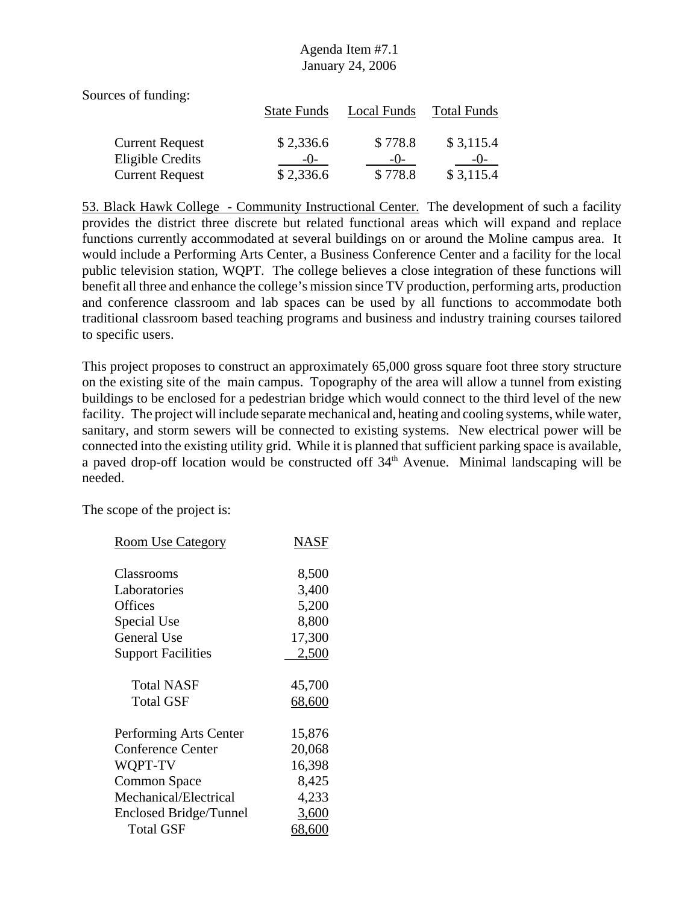Sources of funding:

|                        | <b>State Funds</b> | Local Funds | <b>Total Funds</b> |
|------------------------|--------------------|-------------|--------------------|
| <b>Current Request</b> | \$2,336.6          | \$778.8     | \$3,115.4          |
| Eligible Credits       | $-()$              | $-()$       | $-()$              |
| <b>Current Request</b> | \$2,336.6          | \$778.8     | \$3,115.4          |

53. Black Hawk College - Community Instructional Center. The development of such a facility provides the district three discrete but related functional areas which will expand and replace functions currently accommodated at several buildings on or around the Moline campus area. It would include a Performing Arts Center, a Business Conference Center and a facility for the local public television station, WQPT. The college believes a close integration of these functions will benefit all three and enhance the college's mission since TV production, performing arts, production and conference classroom and lab spaces can be used by all functions to accommodate both traditional classroom based teaching programs and business and industry training courses tailored to specific users.

This project proposes to construct an approximately 65,000 gross square foot three story structure on the existing site of the main campus. Topography of the area will allow a tunnel from existing buildings to be enclosed for a pedestrian bridge which would connect to the third level of the new facility. The project will include separate mechanical and, heating and cooling systems, while water, sanitary, and storm sewers will be connected to existing systems. New electrical power will be connected into the existing utility grid. While it is planned that sufficient parking space is available, a paved drop-off location would be constructed off 34<sup>th</sup> Avenue. Minimal landscaping will be needed.

The scope of the project is:

| <b>Room Use Category</b>      | NASF   |
|-------------------------------|--------|
| Classrooms                    | 8,500  |
| Laboratories                  | 3,400  |
| Offices                       | 5,200  |
| Special Use                   | 8,800  |
| General Use                   | 17,300 |
| <b>Support Facilities</b>     | 2,500  |
| Total NASF                    | 45,700 |
| <b>Total GSF</b>              | 68,600 |
| Performing Arts Center        | 15,876 |
| <b>Conference Center</b>      | 20,068 |
| WQPT-TV                       | 16,398 |
| <b>Common Space</b>           | 8,425  |
| Mechanical/Electrical         | 4,233  |
| <b>Enclosed Bridge/Tunnel</b> | 3,600  |
| Total GSF                     | 68,600 |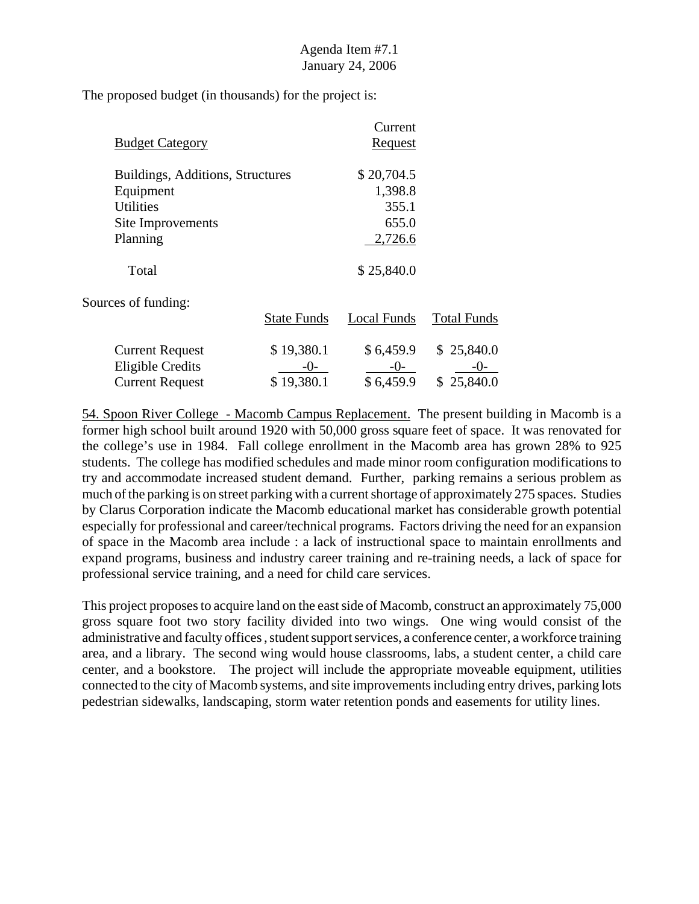The proposed budget (in thousands) for the project is:

|                                  |                    | Current            |                    |
|----------------------------------|--------------------|--------------------|--------------------|
| <b>Budget Category</b>           |                    | <u>Request</u>     |                    |
| Buildings, Additions, Structures |                    | \$20,704.5         |                    |
| Equipment                        |                    | 1,398.8            |                    |
| <b>Utilities</b>                 |                    | 355.1              |                    |
| Site Improvements                |                    | 655.0              |                    |
| Planning                         |                    | 2,726.6            |                    |
| Total                            |                    | \$25,840.0         |                    |
| Sources of funding:              |                    |                    |                    |
|                                  | <b>State Funds</b> | <b>Local Funds</b> | <b>Total Funds</b> |
| <b>Current Request</b>           | \$19,380.1         | \$6,459.9          | \$25,840.0         |
| <b>Eligible Credits</b>          | $-()$ -            | $-0-$              | $-()$ -            |
| <b>Current Request</b>           | \$19,380.1         | \$6,459.9          | \$25,840.0         |

54. Spoon River College - Macomb Campus Replacement. The present building in Macomb is a former high school built around 1920 with 50,000 gross square feet of space. It was renovated for the college's use in 1984. Fall college enrollment in the Macomb area has grown 28% to 925 students. The college has modified schedules and made minor room configuration modifications to try and accommodate increased student demand. Further, parking remains a serious problem as much of the parking is on street parking with a current shortage of approximately 275 spaces. Studies by Clarus Corporation indicate the Macomb educational market has considerable growth potential especially for professional and career/technical programs. Factors driving the need for an expansion of space in the Macomb area include : a lack of instructional space to maintain enrollments and expand programs, business and industry career training and re-training needs, a lack of space for professional service training, and a need for child care services.

This project proposes to acquire land on the east side of Macomb, construct an approximately 75,000 gross square foot two story facility divided into two wings. One wing would consist of the administrative and faculty offices , student support services, a conference center, a workforce training area, and a library. The second wing would house classrooms, labs, a student center, a child care center, and a bookstore. The project will include the appropriate moveable equipment, utilities connected to the city of Macomb systems, and site improvements including entry drives, parking lots pedestrian sidewalks, landscaping, storm water retention ponds and easements for utility lines.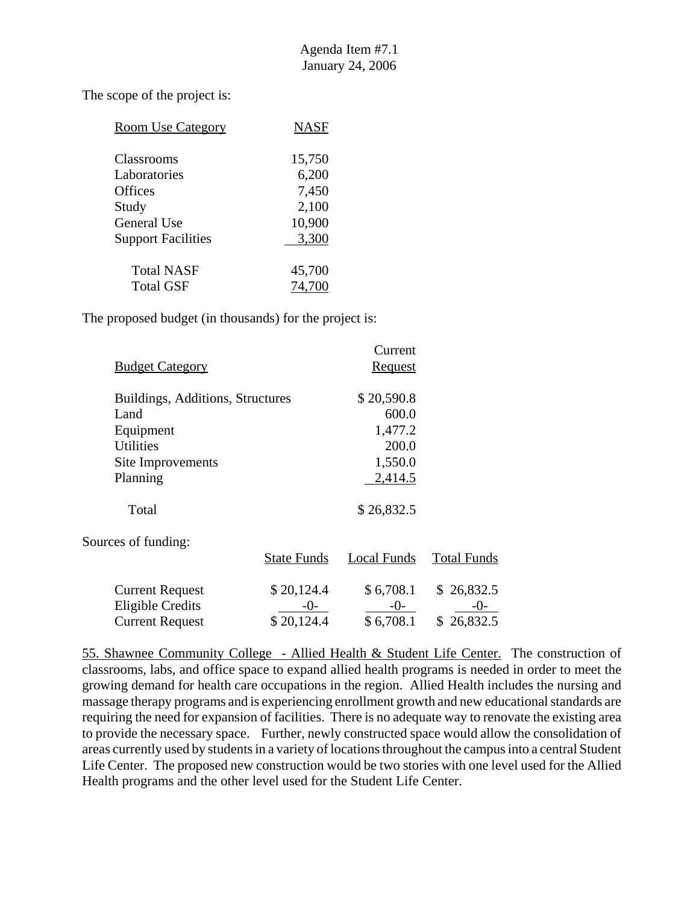The scope of the project is:

| <b>Room Use Category</b>   | <b>NASF</b>     |
|----------------------------|-----------------|
| Classrooms<br>Laboratories | 15,750<br>6,200 |
| <b>Offices</b>             | 7,450           |
| Study<br>General Use       | 2,100<br>10,900 |
| <b>Support Facilities</b>  | 3,300           |
| <b>Total NASF</b>          | 45,700          |
| Total GSF                  |                 |

The proposed budget (in thousands) for the project is:

|                                  |                    | Current            |                    |
|----------------------------------|--------------------|--------------------|--------------------|
| <b>Budget Category</b>           |                    | <u>Request</u>     |                    |
| Buildings, Additions, Structures |                    | \$20,590.8         |                    |
| Land                             |                    | 600.0              |                    |
| Equipment                        |                    | 1,477.2            |                    |
| <b>Utilities</b>                 |                    | 200.0              |                    |
| Site Improvements                |                    | 1,550.0            |                    |
| Planning                         |                    | 2,414.5            |                    |
| Total                            |                    | \$26,832.5         |                    |
| Sources of funding:              |                    |                    |                    |
|                                  | <b>State Funds</b> | <b>Local Funds</b> | <b>Total Funds</b> |
| <b>Current Request</b>           | \$20,124.4         | \$6,708.1          | \$26,832.5         |
| <b>Eligible Credits</b>          | $-()$ -            | -0-                | $-()$              |
| <b>Current Request</b>           | \$20,124.4         | \$6,708.1          | \$26,832.5         |

55. Shawnee Community College - Allied Health & Student Life Center. The construction of classrooms, labs, and office space to expand allied health programs is needed in order to meet the growing demand for health care occupations in the region. Allied Health includes the nursing and massage therapy programs and is experiencing enrollment growth and new educational standards are requiring the need for expansion of facilities. There is no adequate way to renovate the existing area to provide the necessary space. Further, newly constructed space would allow the consolidation of areas currently used by students in a variety of locations throughout the campus into a central Student Life Center. The proposed new construction would be two stories with one level used for the Allied Health programs and the other level used for the Student Life Center.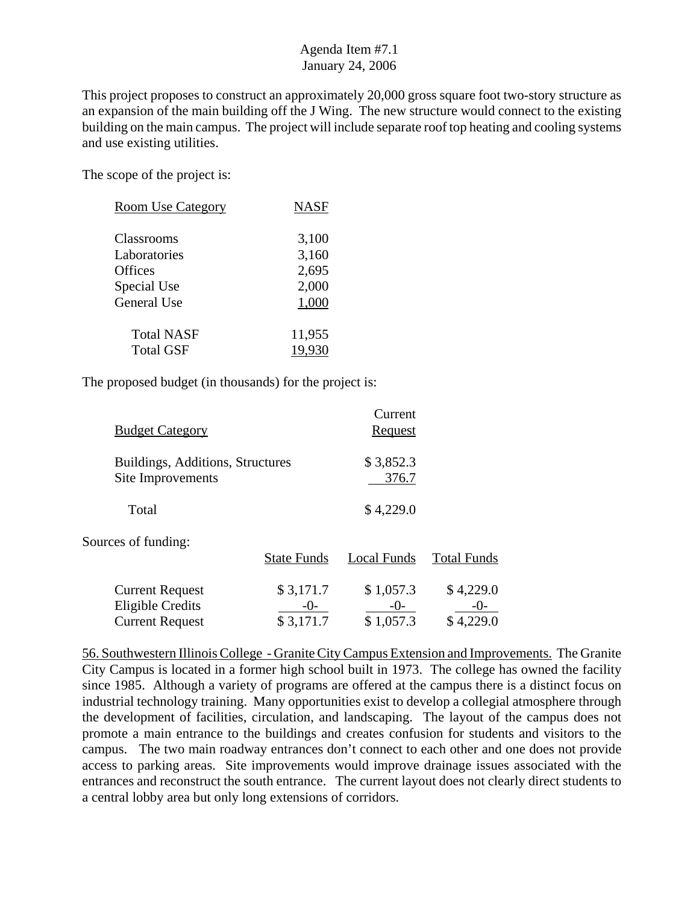This project proposes to construct an approximately 20,000 gross square foot two-story structure as an expansion of the main building off the J Wing. The new structure would connect to the existing building on the main campus. The project will include separate roof top heating and cooling systems and use existing utilities.

The scope of the project is:

| <b>Room Use Category</b> | <b>NASF</b> |
|--------------------------|-------------|
| Classrooms               | 3,100       |
| Laboratories             | 3,160       |
| <b>Offices</b>           | 2,695       |
| Special Use              | 2,000       |
| General Use              | 1,000       |
| <b>Total NASF</b>        | 11,955      |
| <b>Total GSF</b>         | 19,930      |

The proposed budget (in thousands) for the project is:

| <b>Budget Category</b>           |                    | Current<br><b>Request</b> |                    |
|----------------------------------|--------------------|---------------------------|--------------------|
| Buildings, Additions, Structures |                    | \$3,852.3                 |                    |
| Site Improvements                |                    | 376.7                     |                    |
| Total                            |                    | \$4,229.0                 |                    |
| Sources of funding:              |                    |                           |                    |
|                                  | <b>State Funds</b> | Local Funds               | <b>Total Funds</b> |
| <b>Current Request</b>           | \$3,171.7          | \$1,057.3                 | \$4,229.0          |
| <b>Eligible Credits</b>          | $-()$              | $-()$                     | -( )-              |
| <b>Current Request</b>           | \$3,171.7          | \$1,057.3                 | \$4,229.0          |

56. Southwestern Illinois College - Granite City Campus Extension and Improvements. The Granite City Campus is located in a former high school built in 1973. The college has owned the facility since 1985. Although a variety of programs are offered at the campus there is a distinct focus on industrial technology training. Many opportunities exist to develop a collegial atmosphere through the development of facilities, circulation, and landscaping. The layout of the campus does not promote a main entrance to the buildings and creates confusion for students and visitors to the campus. The two main roadway entrances don't connect to each other and one does not provide access to parking areas. Site improvements would improve drainage issues associated with the entrances and reconstruct the south entrance. The current layout does not clearly direct students to a central lobby area but only long extensions of corridors.